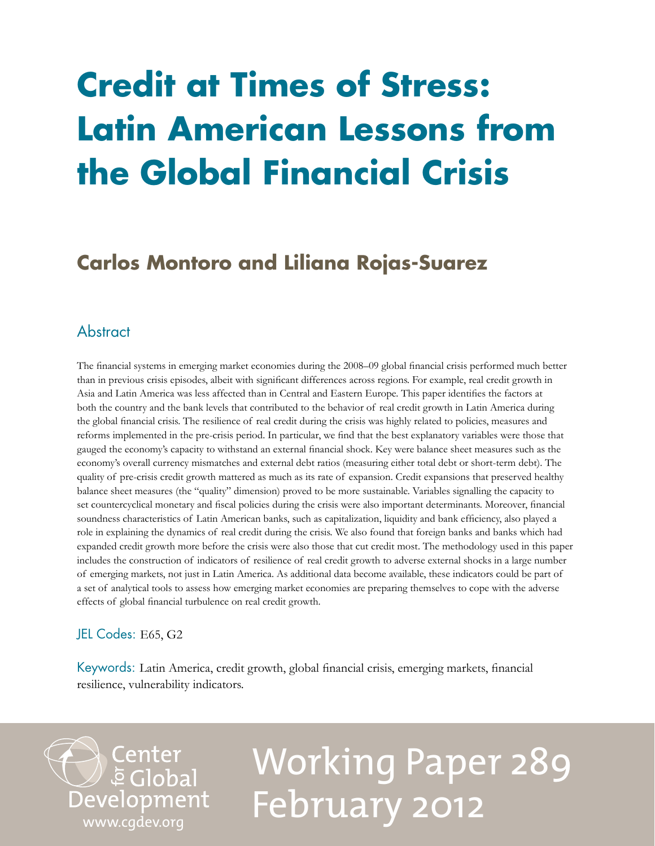## **Credit at Times of Stress: Latin American Lessons from the Global Financial Crisis**

## **Carlos Montoro and Liliana Rojas-Suarez**

## **Abstract**

The financial systems in emerging market economies during the 2008–09 global financial crisis performed much better than in previous crisis episodes, albeit with significant differences across regions. For example, real credit growth in Asia and Latin America was less affected than in Central and Eastern Europe. This paper identifies the factors at both the country and the bank levels that contributed to the behavior of real credit growth in Latin America during the global financial crisis. The resilience of real credit during the crisis was highly related to policies, measures and reforms implemented in the pre-crisis period. In particular, we find that the best explanatory variables were those that gauged the economy's capacity to withstand an external financial shock. Key were balance sheet measures such as the economy's overall currency mismatches and external debt ratios (measuring either total debt or short-term debt). The quality of pre-crisis credit growth mattered as much as its rate of expansion. Credit expansions that preserved healthy balance sheet measures (the "quality" dimension) proved to be more sustainable. Variables signalling the capacity to set countercyclical monetary and fiscal policies during the crisis were also important determinants. Moreover, financial soundness characteristics of Latin American banks, such as capitalization, liquidity and bank efficiency, also played a role in explaining the dynamics of real credit during the crisis. We also found that foreign banks and banks which had expanded credit growth more before the crisis were also those that cut credit most. The methodology used in this paper includes the construction of indicators of resilience of real credit growth to adverse external shocks in a large number of emerging markets, not just in Latin America. As additional data become available, these indicators could be part of a set of analytical tools to assess how emerging market economies are preparing themselves to cope with the adverse effects of global financial turbulence on real credit growth.

## JEL Codes: E65, G2

Keywords: Latin America, credit growth, global financial crisis, emerging markets, financial resilience, vulnerability indicators.

Center<br>Debal<br>Development [www.cgdev.org](http://www.cgdev.org)

# Working Paper 289 February 2012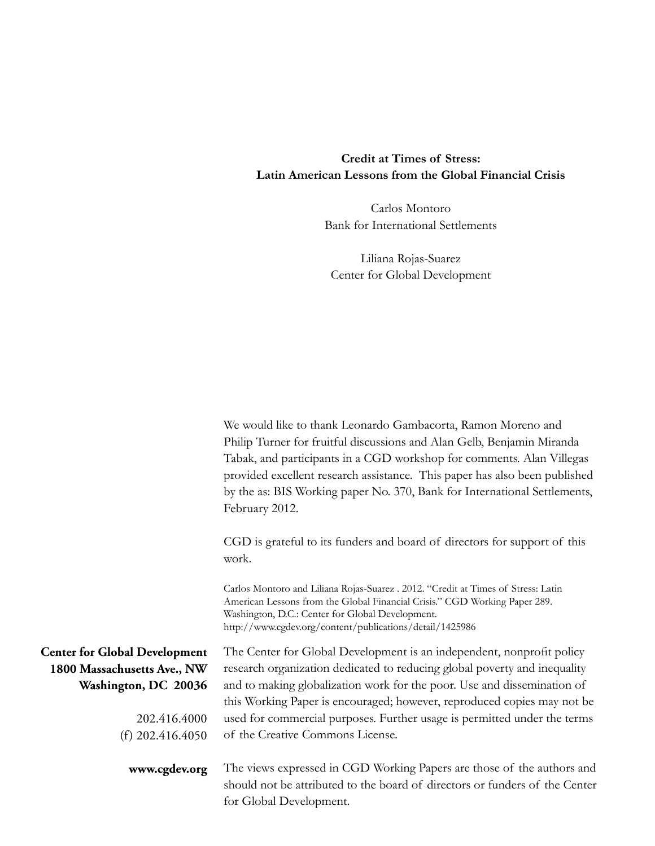## **Credit at Times of Stress: Latin American Lessons from the Global Financial Crisis**

Carlos Montoro Bank for International Settlements

Liliana Rojas-Suarez Center for Global Development

We would like to thank Leonardo Gambacorta, Ramon Moreno and Philip Turner for fruitful discussions and Alan Gelb, Benjamin Miranda Tabak, and participants in a CGD workshop for comments. Alan Villegas provided excellent research assistance. This paper has also been published by the as: BIS Working paper No. 370, Bank for International Settlements, February 2012.

CGD is grateful to its funders and board of directors for support of this work.

Carlos Montoro and Liliana Rojas-Suarez . 2012. "Credit at Times of Stress: Latin American Lessons from the Global Financial Crisis." CGD Working Paper 289. Washington, D.C.: Center for Global Development. http://www.cgdev.org/content/publications/detail/1425986

## **Center for Global Development 1800 Massachusetts Ave., NW Washington, DC 20036**

202.416.4000 (f) 202.416.4050

**www.cgdev.org**

The Center for Global Development is an independent, nonprofit policy research organization dedicated to reducing global poverty and inequality and to making globalization work for the poor. Use and dissemination of this Working Paper is encouraged; however, reproduced copies may not be used for commercial purposes. Further usage is permitted under the terms of the Creative Commons License.

The views expressed in CGD Working Papers are those of the authors and should not be attributed to the board of directors or funders of the Center for Global Development.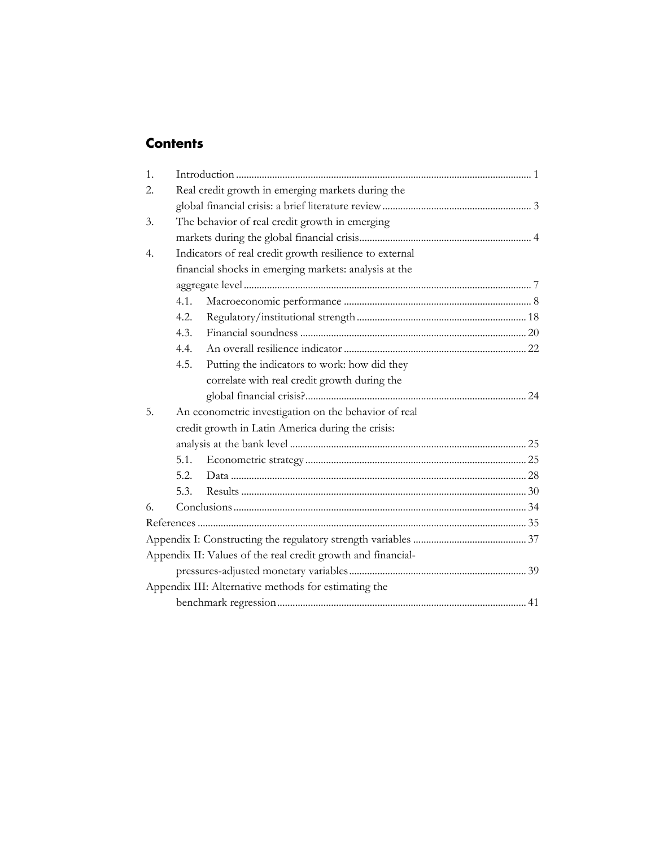## **Contents**

| 1. |      |                                                              |  |
|----|------|--------------------------------------------------------------|--|
| 2. |      | Real credit growth in emerging markets during the            |  |
|    |      |                                                              |  |
| 3. |      | The behavior of real credit growth in emerging               |  |
|    |      |                                                              |  |
| 4. |      | Indicators of real credit growth resilience to external      |  |
|    |      | financial shocks in emerging markets: analysis at the        |  |
|    |      |                                                              |  |
|    | 4.1. |                                                              |  |
|    | 4.2. |                                                              |  |
|    | 4.3. |                                                              |  |
|    | 4.4. |                                                              |  |
|    | 4.5. | Putting the indicators to work: how did they                 |  |
|    |      | correlate with real credit growth during the                 |  |
|    |      |                                                              |  |
| 5. |      | An econometric investigation on the behavior of real         |  |
|    |      | credit growth in Latin America during the crisis:            |  |
|    |      |                                                              |  |
|    | 5.1. |                                                              |  |
|    | 5.2. |                                                              |  |
|    | 5.3. |                                                              |  |
| 6. |      |                                                              |  |
|    |      |                                                              |  |
|    |      |                                                              |  |
|    |      | Appendix II: Values of the real credit growth and financial- |  |
|    |      |                                                              |  |
|    |      | Appendix III: Alternative methods for estimating the         |  |
|    |      |                                                              |  |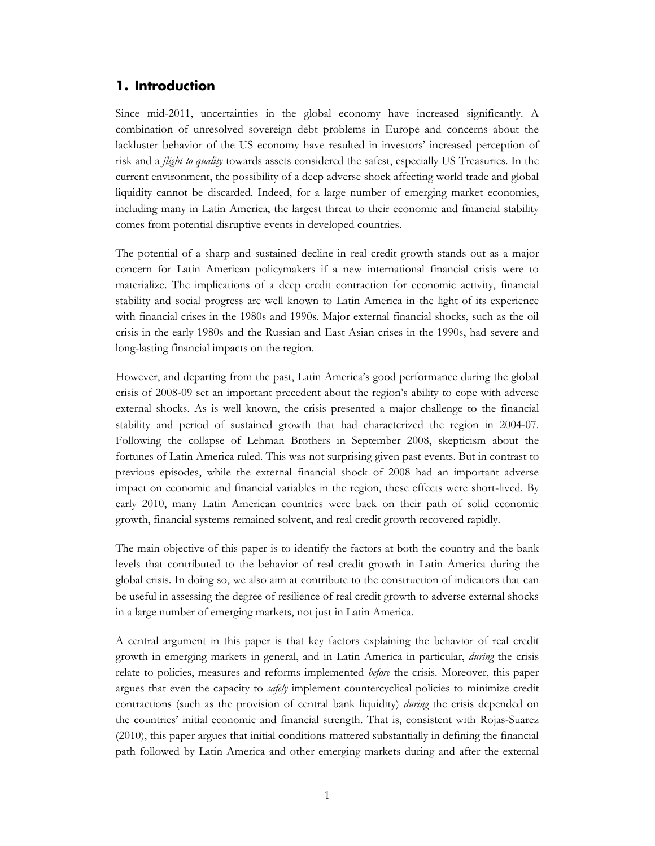## <span id="page-4-0"></span>**1. Introduction**

Since mid-2011, uncertainties in the global economy have increased significantly. A combination of unresolved sovereign debt problems in Europe and concerns about the lackluster behavior of the US economy have resulted in investors' increased perception of risk and a *flight to quality* towards assets considered the safest, especially US Treasuries. In the current environment, the possibility of a deep adverse shock affecting world trade and global liquidity cannot be discarded. Indeed, for a large number of emerging market economies, including many in Latin America, the largest threat to their economic and financial stability comes from potential disruptive events in developed countries.

The potential of a sharp and sustained decline in real credit growth stands out as a major concern for Latin American policymakers if a new international financial crisis were to materialize. The implications of a deep credit contraction for economic activity, financial stability and social progress are well known to Latin America in the light of its experience with financial crises in the 1980s and 1990s. Major external financial shocks, such as the oil crisis in the early 1980s and the Russian and East Asian crises in the 1990s, had severe and long-lasting financial impacts on the region.

However, and departing from the past, Latin America's good performance during the global crisis of 2008-09 set an important precedent about the region's ability to cope with adverse external shocks. As is well known, the crisis presented a major challenge to the financial stability and period of sustained growth that had characterized the region in 2004-07. Following the collapse of Lehman Brothers in September 2008, skepticism about the fortunes of Latin America ruled. This was not surprising given past events. But in contrast to previous episodes, while the external financial shock of 2008 had an important adverse impact on economic and financial variables in the region, these effects were short-lived. By early 2010, many Latin American countries were back on their path of solid economic growth, financial systems remained solvent, and real credit growth recovered rapidly.

The main objective of this paper is to identify the factors at both the country and the bank levels that contributed to the behavior of real credit growth in Latin America during the global crisis. In doing so, we also aim at contribute to the construction of indicators that can be useful in assessing the degree of resilience of real credit growth to adverse external shocks in a large number of emerging markets, not just in Latin America.

A central argument in this paper is that key factors explaining the behavior of real credit growth in emerging markets in general, and in Latin America in particular, *during* the crisis relate to policies, measures and reforms implemented *before* the crisis. Moreover, this paper argues that even the capacity to *safely* implement countercyclical policies to minimize credit contractions (such as the provision of central bank liquidity) *during* the crisis depended on the countries' initial economic and financial strength. That is, consistent with Rojas-Suarez (2010), this paper argues that initial conditions mattered substantially in defining the financial path followed by Latin America and other emerging markets during and after the external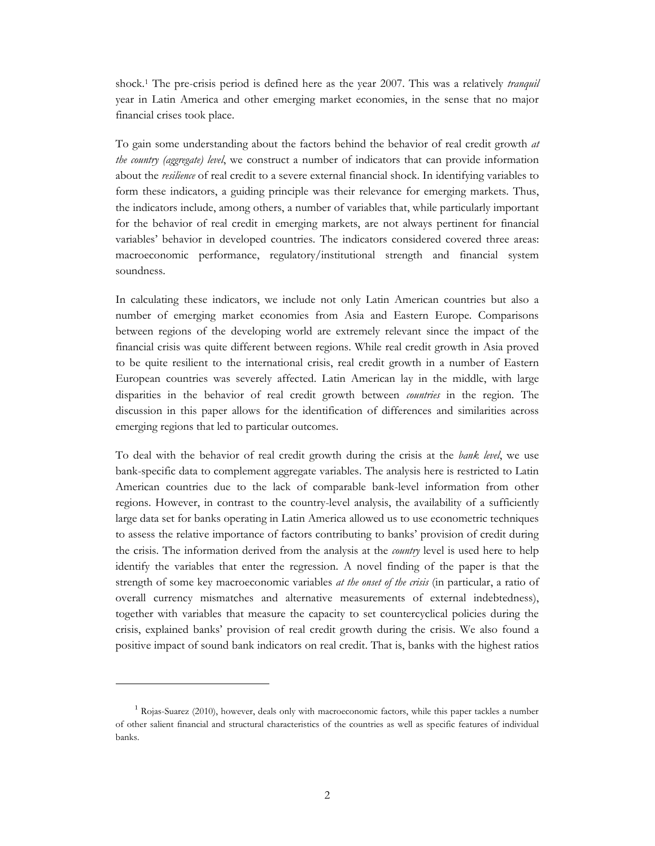shock.<sup>1</sup> The pre-crisis period is defined here as the year 2007. This was a relatively *tranquil*  year in Latin America and other emerging market economies, in the sense that no major financial crises took place.

To gain some understanding about the factors behind the behavior of real credit growth *at the country (aggregate) level*, we construct a number of indicators that can provide information about the *resilience* of real credit to a severe external financial shock. In identifying variables to form these indicators, a guiding principle was their relevance for emerging markets. Thus, the indicators include, among others, a number of variables that, while particularly important for the behavior of real credit in emerging markets, are not always pertinent for financial variables' behavior in developed countries. The indicators considered covered three areas: macroeconomic performance, regulatory/institutional strength and financial system soundness.

In calculating these indicators, we include not only Latin American countries but also a number of emerging market economies from Asia and Eastern Europe. Comparisons between regions of the developing world are extremely relevant since the impact of the financial crisis was quite different between regions. While real credit growth in Asia proved to be quite resilient to the international crisis, real credit growth in a number of Eastern European countries was severely affected. Latin American lay in the middle, with large disparities in the behavior of real credit growth between *countries* in the region. The discussion in this paper allows for the identification of differences and similarities across emerging regions that led to particular outcomes.

To deal with the behavior of real credit growth during the crisis at the *bank level*, we use bank-specific data to complement aggregate variables. The analysis here is restricted to Latin American countries due to the lack of comparable bank-level information from other regions. However, in contrast to the country-level analysis, the availability of a sufficiently large data set for banks operating in Latin America allowed us to use econometric techniques to assess the relative importance of factors contributing to banks' provision of credit during the crisis. The information derived from the analysis at the *country* level is used here to help identify the variables that enter the regression. A novel finding of the paper is that the strength of some key macroeconomic variables *at the onset of the crisis* (in particular, a ratio of overall currency mismatches and alternative measurements of external indebtedness), together with variables that measure the capacity to set countercyclical policies during the crisis, explained banks' provision of real credit growth during the crisis. We also found a positive impact of sound bank indicators on real credit. That is, banks with the highest ratios

<sup>&</sup>lt;sup>1</sup> Rojas-Suarez (2010), however, deals only with macroeconomic factors, while this paper tackles a number of other salient financial and structural characteristics of the countries as well as specific features of individual banks.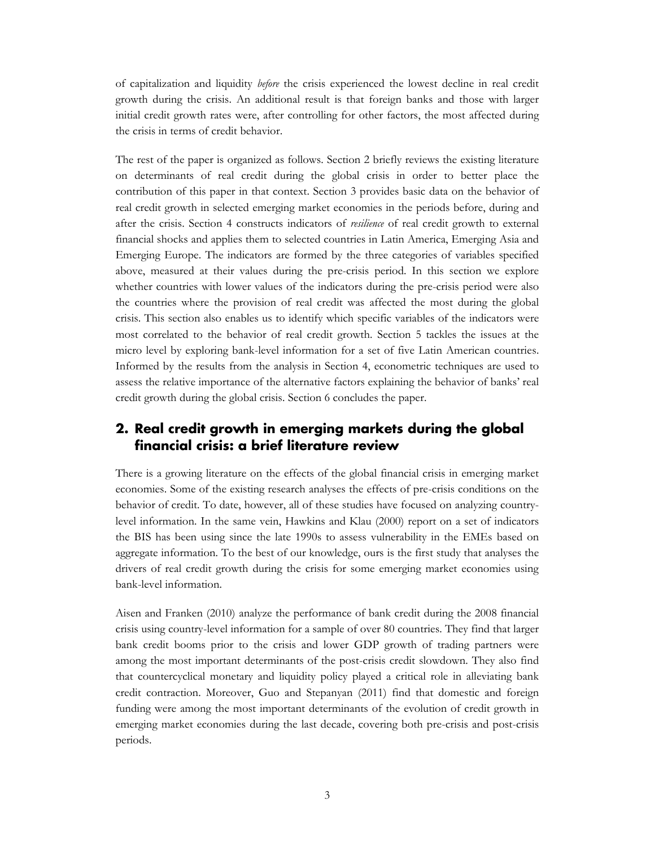of capitalization and liquidity *before* the crisis experienced the lowest decline in real credit growth during the crisis. An additional result is that foreign banks and those with larger initial credit growth rates were, after controlling for other factors, the most affected during the crisis in terms of credit behavior.

The rest of the paper is organized as follows. Section 2 briefly reviews the existing literature on determinants of real credit during the global crisis in order to better place the contribution of this paper in that context. Section 3 provides basic data on the behavior of real credit growth in selected emerging market economies in the periods before, during and after the crisis. Section 4 constructs indicators of *resilience* of real credit growth to external financial shocks and applies them to selected countries in Latin America, Emerging Asia and Emerging Europe. The indicators are formed by the three categories of variables specified above, measured at their values during the pre-crisis period. In this section we explore whether countries with lower values of the indicators during the pre-crisis period were also the countries where the provision of real credit was affected the most during the global crisis. This section also enables us to identify which specific variables of the indicators were most correlated to the behavior of real credit growth. Section 5 tackles the issues at the micro level by exploring bank-level information for a set of five Latin American countries. Informed by the results from the analysis in Section 4, econometric techniques are used to assess the relative importance of the alternative factors explaining the behavior of banks' real credit growth during the global crisis. Section 6 concludes the paper.

## <span id="page-6-0"></span>**2. Real credit growth in emerging markets during the global financial crisis: a brief literature review**

There is a growing literature on the effects of the global financial crisis in emerging market economies. Some of the existing research analyses the effects of pre-crisis conditions on the behavior of credit. To date, however, all of these studies have focused on analyzing countrylevel information. In the same vein, Hawkins and Klau (2000) report on a set of indicators the BIS has been using since the late 1990s to assess vulnerability in the EMEs based on aggregate information. To the best of our knowledge, ours is the first study that analyses the drivers of real credit growth during the crisis for some emerging market economies using bank-level information.

Aisen and Franken (2010) analyze the performance of bank credit during the 2008 financial crisis using country-level information for a sample of over 80 countries. They find that larger bank credit booms prior to the crisis and lower GDP growth of trading partners were among the most important determinants of the post-crisis credit slowdown. They also find that countercyclical monetary and liquidity policy played a critical role in alleviating bank credit contraction. Moreover, Guo and Stepanyan (2011) find that domestic and foreign funding were among the most important determinants of the evolution of credit growth in emerging market economies during the last decade, covering both pre-crisis and post-crisis periods.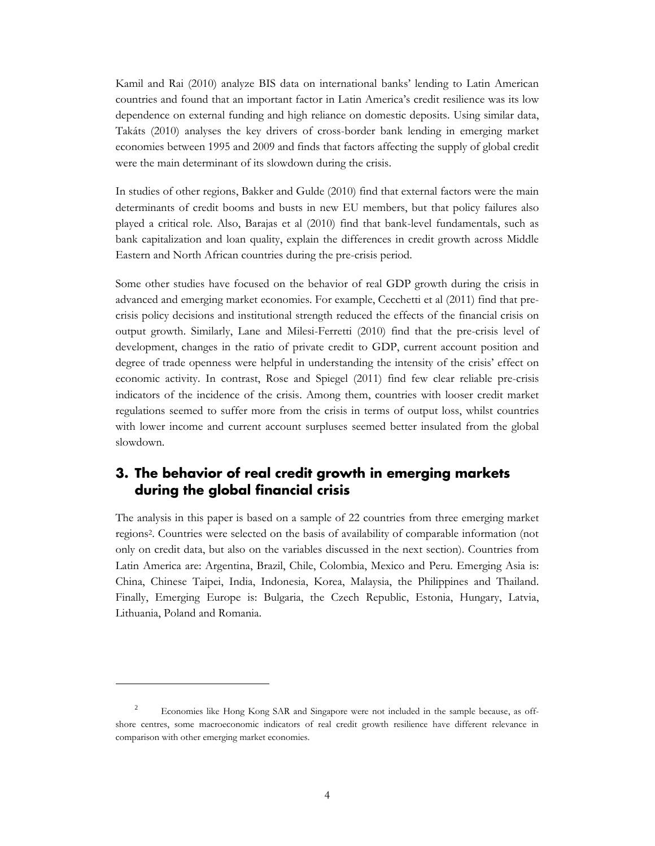Kamil and Rai (2010) analyze BIS data on international banks' lending to Latin American countries and found that an important factor in Latin America's credit resilience was its low dependence on external funding and high reliance on domestic deposits. Using similar data, Takáts (2010) analyses the key drivers of cross-border bank lending in emerging market economies between 1995 and 2009 and finds that factors affecting the supply of global credit were the main determinant of its slowdown during the crisis.

In studies of other regions, Bakker and Gulde (2010) find that external factors were the main determinants of credit booms and busts in new EU members, but that policy failures also played a critical role. Also, Barajas et al (2010) find that bank-level fundamentals, such as bank capitalization and loan quality, explain the differences in credit growth across Middle Eastern and North African countries during the pre-crisis period.

Some other studies have focused on the behavior of real GDP growth during the crisis in advanced and emerging market economies. For example, Cecchetti et al (2011) find that precrisis policy decisions and institutional strength reduced the effects of the financial crisis on output growth. Similarly, Lane and Milesi-Ferretti (2010) find that the pre-crisis level of development, changes in the ratio of private credit to GDP, current account position and degree of trade openness were helpful in understanding the intensity of the crisis' effect on economic activity. In contrast, Rose and Spiegel (2011) find few clear reliable pre-crisis indicators of the incidence of the crisis. Among them, countries with looser credit market regulations seemed to suffer more from the crisis in terms of output loss, whilst countries with lower income and current account surpluses seemed better insulated from the global slowdown.

## <span id="page-7-0"></span>**3. The behavior of real credit growth in emerging markets during the global financial crisis**

The analysis in this paper is based on a sample of 22 countries from three emerging market regions<sup>2</sup> . Countries were selected on the basis of availability of comparable information (not only on credit data, but also on the variables discussed in the next section). Countries from Latin America are: Argentina, Brazil, Chile, Colombia, Mexico and Peru. Emerging Asia is: China, Chinese Taipei, India, Indonesia, Korea, Malaysia, the Philippines and Thailand. Finally, Emerging Europe is: Bulgaria, the Czech Republic, Estonia, Hungary, Latvia, Lithuania, Poland and Romania.

<sup>2</sup> Economies like Hong Kong SAR and Singapore were not included in the sample because, as offshore centres, some macroeconomic indicators of real credit growth resilience have different relevance in comparison with other emerging market economies.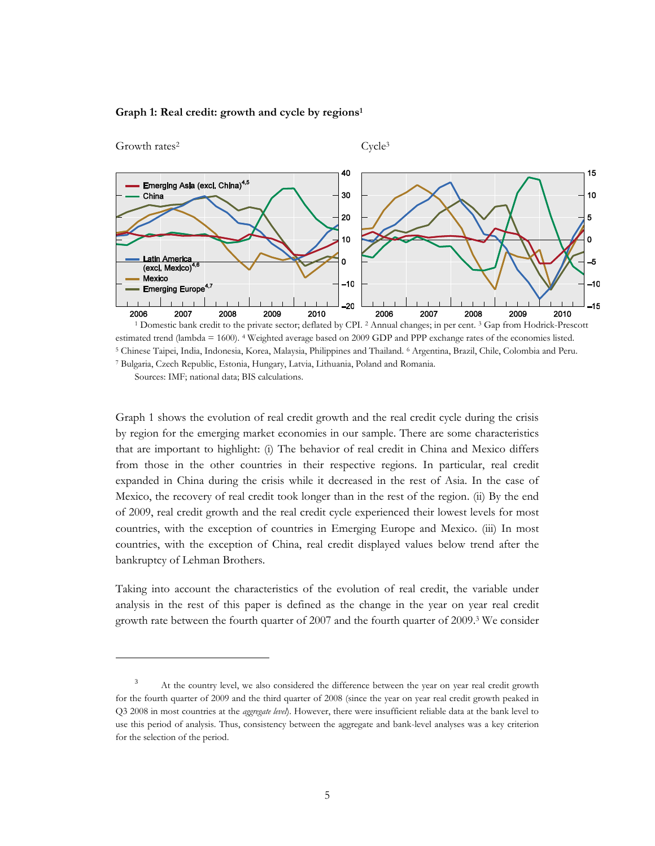#### **Graph 1: Real credit: growth and cycle by regions<sup>1</sup>**



<sup>1</sup> Domestic bank credit to the private sector; deflated by CPI. <sup>2</sup> Annual changes; in per cent. <sup>3</sup> Gap from Hodrick-Prescott estimated trend (lambda = 1600). <sup>4</sup> Weighted average based on 2009 GDP and PPP exchange rates of the economies listed. <sup>5</sup> Chinese Taipei, India, Indonesia, Korea, Malaysia, Philippines and Thailand. <sup>6</sup> Argentina, Brazil, Chile, Colombia and Peru. <sup>7</sup> Bulgaria, Czech Republic, Estonia, Hungary, Latvia, Lithuania, Poland and Romania.

Sources: IMF; national data; BIS calculations.

 $\ddot{\phantom{a}}$ 

Graph 1 shows the evolution of real credit growth and the real credit cycle during the crisis by region for the emerging market economies in our sample. There are some characteristics that are important to highlight: (i) The behavior of real credit in China and Mexico differs from those in the other countries in their respective regions. In particular, real credit expanded in China during the crisis while it decreased in the rest of Asia. In the case of Mexico, the recovery of real credit took longer than in the rest of the region. (ii) By the end of 2009, real credit growth and the real credit cycle experienced their lowest levels for most countries, with the exception of countries in Emerging Europe and Mexico. (iii) In most countries, with the exception of China, real credit displayed values below trend after the bankruptcy of Lehman Brothers.

Taking into account the characteristics of the evolution of real credit, the variable under analysis in the rest of this paper is defined as the change in the year on year real credit growth rate between the fourth quarter of 2007 and the fourth quarter of 2009. <sup>3</sup> We consider

At the country level, we also considered the difference between the year on year real credit growth for the fourth quarter of 2009 and the third quarter of 2008 (since the year on year real credit growth peaked in Q3 2008 in most countries at the *aggregate level*). However, there were insufficient reliable data at the bank level to use this period of analysis. Thus, consistency between the aggregate and bank-level analyses was a key criterion for the selection of the period.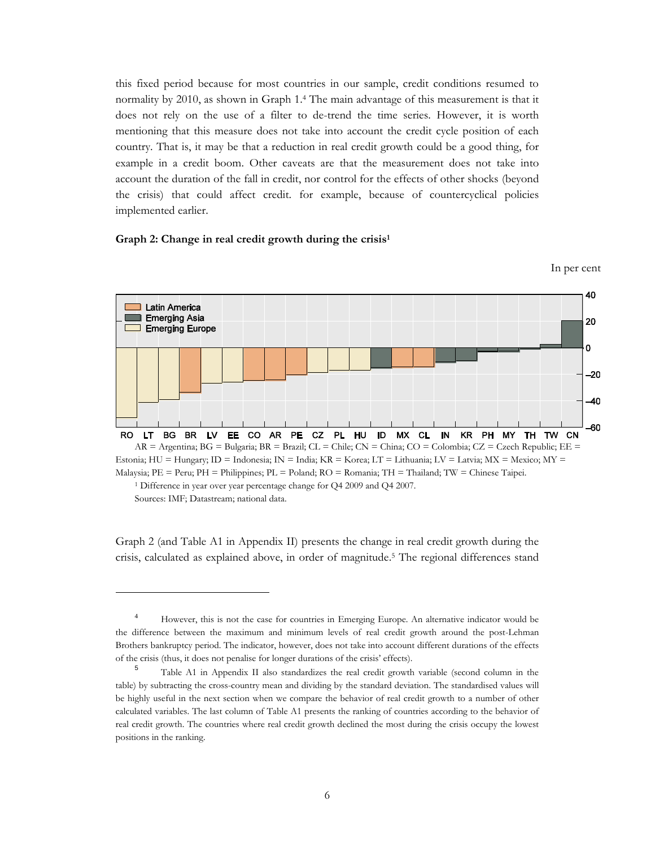this fixed period because for most countries in our sample, credit conditions resumed to normality by 2010, as shown in Graph 1. <sup>4</sup> The main advantage of this measurement is that it does not rely on the use of a filter to de-trend the time series. However, it is worth mentioning that this measure does not take into account the credit cycle position of each country. That is, it may be that a reduction in real credit growth could be a good thing, for example in a credit boom. Other caveats are that the measurement does not take into account the duration of the fall in credit, nor control for the effects of other shocks (beyond the crisis) that could affect credit. for example, because of countercyclical policies implemented earlier.

#### **Graph 2: Change in real credit growth during the crisis<sup>1</sup>**



In per cent

Estonia; HU = Hungary; ID = Indonesia; IN = India; KR = Korea; LT = Lithuania; LV = Latvia;  $MX =$  Mexico; MY = Malaysia; PE = Peru; PH = Philippines; PL = Poland; RO = Romania; TH = Thailand; TW = Chinese Taipei.

<sup>1</sup> Difference in year over year percentage change for Q4 2009 and Q4 2007.

Sources: IMF; Datastream; national data.

 $\overline{a}$ 

Graph 2 (and Table A1 in Appendix II) presents the change in real credit growth during the crisis, calculated as explained above, in order of magnitude. <sup>5</sup> The regional differences stand

<sup>4</sup> However, this is not the case for countries in Emerging Europe. An alternative indicator would be the difference between the maximum and minimum levels of real credit growth around the post-Lehman Brothers bankruptcy period. The indicator, however, does not take into account different durations of the effects of the crisis (thus, it does not penalise for longer durations of the crisis' effects).

<sup>5</sup> Table A1 in Appendix II also standardizes the real credit growth variable (second column in the table) by subtracting the cross-country mean and dividing by the standard deviation. The standardised values will be highly useful in the next section when we compare the behavior of real credit growth to a number of other calculated variables. The last column of Table A1 presents the ranking of countries according to the behavior of real credit growth. The countries where real credit growth declined the most during the crisis occupy the lowest positions in the ranking.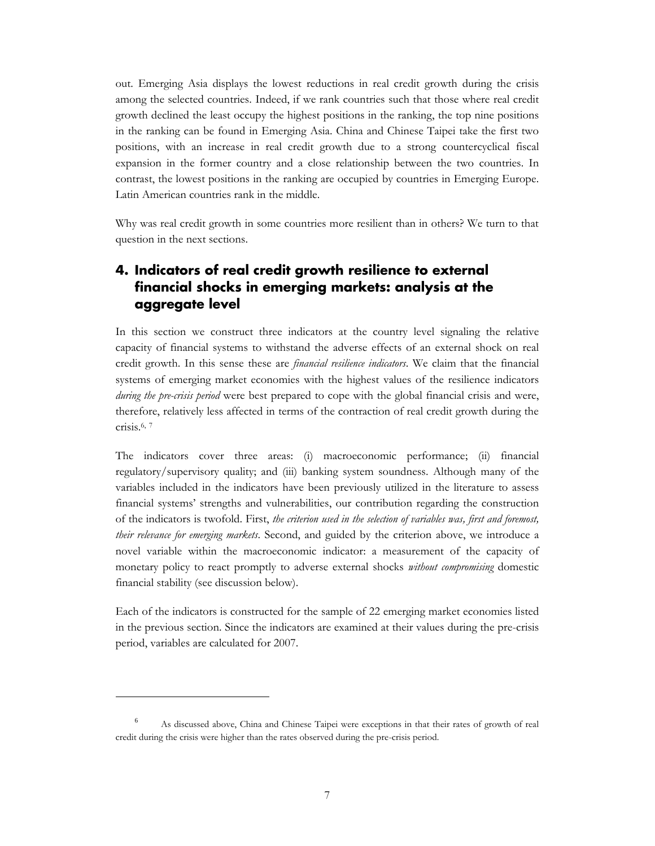out. Emerging Asia displays the lowest reductions in real credit growth during the crisis among the selected countries. Indeed, if we rank countries such that those where real credit growth declined the least occupy the highest positions in the ranking, the top nine positions in the ranking can be found in Emerging Asia. China and Chinese Taipei take the first two positions, with an increase in real credit growth due to a strong countercyclical fiscal expansion in the former country and a close relationship between the two countries. In contrast, the lowest positions in the ranking are occupied by countries in Emerging Europe. Latin American countries rank in the middle.

Why was real credit growth in some countries more resilient than in others? We turn to that question in the next sections.

## <span id="page-10-0"></span>**4. Indicators of real credit growth resilience to external financial shocks in emerging markets: analysis at the aggregate level**

In this section we construct three indicators at the country level signaling the relative capacity of financial systems to withstand the adverse effects of an external shock on real credit growth. In this sense these are *financial resilience indicators*. We claim that the financial systems of emerging market economies with the highest values of the resilience indicators *during the pre-crisis period* were best prepared to cope with the global financial crisis and were, therefore, relatively less affected in terms of the contraction of real credit growth during the crisis. 6, 7

The indicators cover three areas: (i) macroeconomic performance; (ii) financial regulatory/supervisory quality; and (iii) banking system soundness. Although many of the variables included in the indicators have been previously utilized in the literature to assess financial systems' strengths and vulnerabilities, our contribution regarding the construction of the indicators is twofold. First, *the criterion used in the selection of variables was, first and foremost, their relevance for emerging markets*. Second, and guided by the criterion above, we introduce a novel variable within the macroeconomic indicator: a measurement of the capacity of monetary policy to react promptly to adverse external shocks *without compromising* domestic financial stability (see discussion below).

Each of the indicators is constructed for the sample of 22 emerging market economies listed in the previous section. Since the indicators are examined at their values during the pre-crisis period, variables are calculated for 2007.

<sup>6</sup> As discussed above, China and Chinese Taipei were exceptions in that their rates of growth of real credit during the crisis were higher than the rates observed during the pre-crisis period.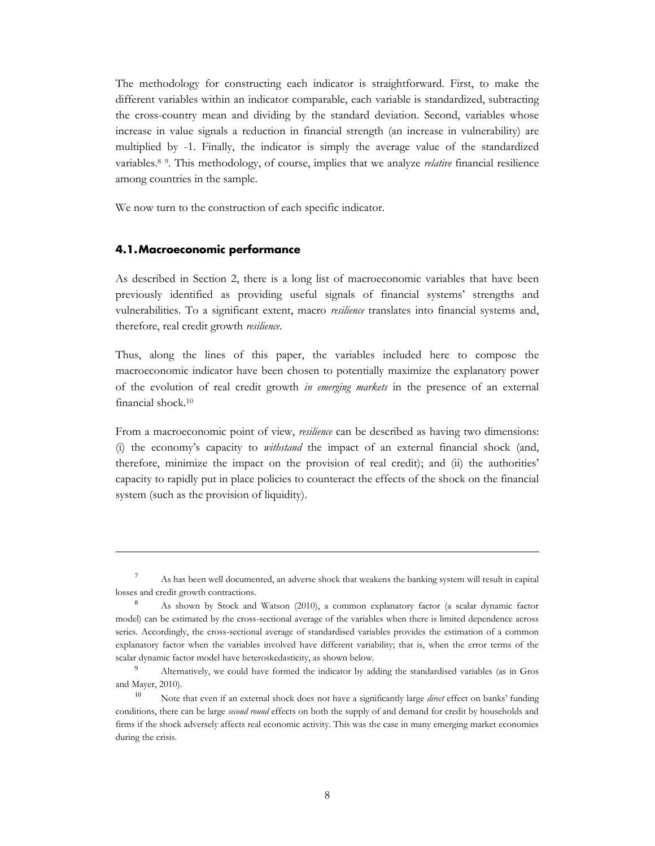The methodology for constructing each indicator is straightforward. First, to make the different variables within an indicator comparable, each variable is standardized, subtracting the cross-country mean and dividing by the standard deviation. Second, variables whose increase in value signals a reduction in financial strength (an increase in vulnerability) are multiplied by -1. Finally, the indicator is simply the average value of the standardized variables. 8 9 . This methodology, of course, implies that we analyze *relative* financial resilience among countries in the sample.

We now turn to the construction of each specific indicator.

#### <span id="page-11-0"></span>**4.1.Macroeconomic performance**

 $\overline{a}$ 

As described in Section 2, there is a long list of macroeconomic variables that have been previously identified as providing useful signals of financial systems' strengths and vulnerabilities. To a significant extent, macro *resilience* translates into financial systems and, therefore, real credit growth *resilience*.

Thus, along the lines of this paper, the variables included here to compose the macroeconomic indicator have been chosen to potentially maximize the explanatory power of the evolution of real credit growth *in emerging markets* in the presence of an external financial shock.<sup>10</sup>

From a macroeconomic point of view, *resilience* can be described as having two dimensions: (i) the economy's capacity to *withstand* the impact of an external financial shock (and, therefore, minimize the impact on the provision of real credit); and (ii) the authorities' capacity to rapidly put in place policies to counteract the effects of the shock on the financial system (such as the provision of liquidity).

<sup>7</sup> As has been well documented, an adverse shock that weakens the banking system will result in capital losses and credit growth contractions.

<sup>8</sup> As shown by Stock and Watson (2010), a common explanatory factor (a scalar dynamic factor model) can be estimated by the cross-sectional average of the variables when there is limited dependence across series. Accordingly, the cross-sectional average of standardised variables provides the estimation of a common explanatory factor when the variables involved have different variability; that is, when the error terms of the scalar dynamic factor model have heteroskedasticity, as shown below.

<sup>9</sup> Alternatively, we could have formed the indicator by adding the standardised variables (as in Gros and Mayer, 2010).

<sup>10</sup> Note that even if an external shock does not have a significantly large *direct* effect on banks' funding conditions, there can be large *second round* effects on both the supply of and demand for credit by households and firms if the shock adversely affects real economic activity. This was the case in many emerging market economies during the crisis.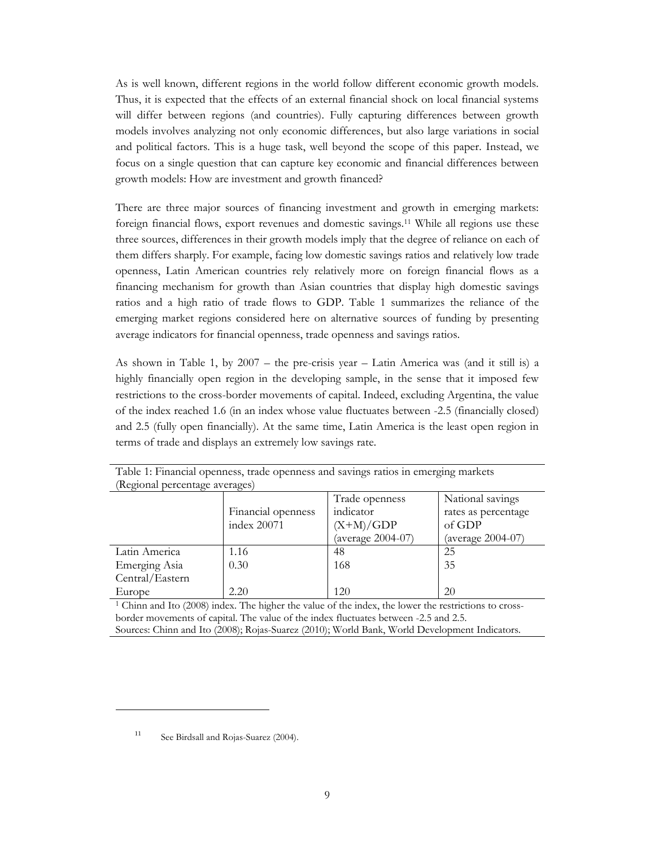As is well known, different regions in the world follow different economic growth models. Thus, it is expected that the effects of an external financial shock on local financial systems will differ between regions (and countries). Fully capturing differences between growth models involves analyzing not only economic differences, but also large variations in social and political factors. This is a huge task, well beyond the scope of this paper. Instead, we focus on a single question that can capture key economic and financial differences between growth models: How are investment and growth financed?

There are three major sources of financing investment and growth in emerging markets: foreign financial flows, export revenues and domestic savings.<sup>11</sup> While all regions use these three sources, differences in their growth models imply that the degree of reliance on each of them differs sharply. For example, facing low domestic savings ratios and relatively low trade openness, Latin American countries rely relatively more on foreign financial flows as a financing mechanism for growth than Asian countries that display high domestic savings ratios and a high ratio of trade flows to GDP. Table 1 summarizes the reliance of the emerging market regions considered here on alternative sources of funding by presenting average indicators for financial openness, trade openness and savings ratios.

As shown in Table 1, by 2007 – the pre-crisis year – Latin America was (and it still is) a highly financially open region in the developing sample, in the sense that it imposed few restrictions to the cross-border movements of capital. Indeed, excluding Argentina, the value of the index reached 1.6 (in an index whose value fluctuates between -2.5 (financially closed) and 2.5 (fully open financially). At the same time, Latin America is the least open region in terms of trade and displays an extremely low savings rate.

| (Regional percentage averages) |                    |                   |                     |  |  |  |
|--------------------------------|--------------------|-------------------|---------------------|--|--|--|
|                                |                    | Trade openness    | National savings    |  |  |  |
|                                | Financial openness | indicator         | rates as percentage |  |  |  |
|                                | index 20071        | $(X+M)/GDP$       | of GDP              |  |  |  |
|                                |                    | (average 2004-07) | (average 2004-07)   |  |  |  |
| Latin America                  | 1.16               | 48                | 25                  |  |  |  |
| Emerging Asia                  | 0.30               | 168               | 35                  |  |  |  |
| Central/Eastern                |                    |                   |                     |  |  |  |
| Europe                         | 2.20               | 120               | 20                  |  |  |  |

Table 1: Financial openness, trade openness and savings ratios in emerging markets

<sup>1</sup> Chinn and Ito (2008) index. The higher the value of the index, the lower the restrictions to crossborder movements of capital. The value of the index fluctuates between -2.5 and 2.5. Sources: Chinn and Ito (2008); Rojas-Suarez (2010); World Bank, World Development Indicators.

<sup>11</sup> See Birdsall and Rojas-Suarez (2004).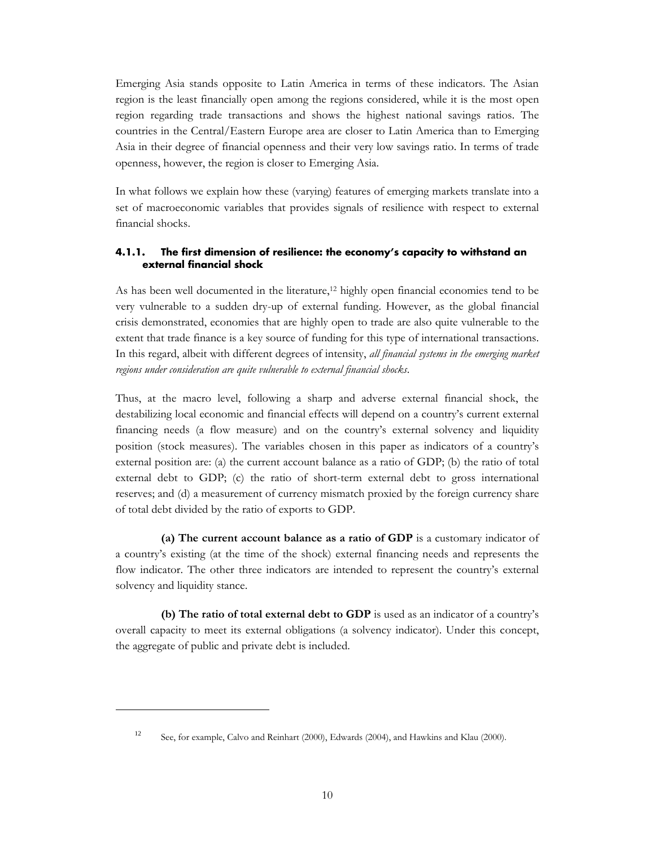Emerging Asia stands opposite to Latin America in terms of these indicators. The Asian region is the least financially open among the regions considered, while it is the most open region regarding trade transactions and shows the highest national savings ratios. The countries in the Central/Eastern Europe area are closer to Latin America than to Emerging Asia in their degree of financial openness and their very low savings ratio. In terms of trade openness, however, the region is closer to Emerging Asia.

In what follows we explain how these (varying) features of emerging markets translate into a set of macroeconomic variables that provides signals of resilience with respect to external financial shocks.

#### **4.1.1. The first dimension of resilience: the economy's capacity to withstand an external financial shock**

As has been well documented in the literature, <sup>12</sup> highly open financial economies tend to be very vulnerable to a sudden dry-up of external funding. However, as the global financial crisis demonstrated, economies that are highly open to trade are also quite vulnerable to the extent that trade finance is a key source of funding for this type of international transactions. In this regard, albeit with different degrees of intensity, *all financial systems in the emerging market regions under consideration are quite vulnerable to external financial shocks*.

Thus, at the macro level, following a sharp and adverse external financial shock, the destabilizing local economic and financial effects will depend on a country's current external financing needs (a flow measure) and on the country's external solvency and liquidity position (stock measures). The variables chosen in this paper as indicators of a country's external position are: (a) the current account balance as a ratio of GDP; (b) the ratio of total external debt to GDP; (c) the ratio of short-term external debt to gross international reserves; and (d) a measurement of currency mismatch proxied by the foreign currency share of total debt divided by the ratio of exports to GDP.

**(a) The current account balance as a ratio of GDP** is a customary indicator of a country's existing (at the time of the shock) external financing needs and represents the flow indicator. The other three indicators are intended to represent the country's external solvency and liquidity stance.

**(b) The ratio of total external debt to GDP** is used as an indicator of a country's overall capacity to meet its external obligations (a solvency indicator). Under this concept, the aggregate of public and private debt is included.

<sup>&</sup>lt;sup>12</sup> See, for example, Calvo and Reinhart (2000), Edwards (2004), and Hawkins and Klau (2000).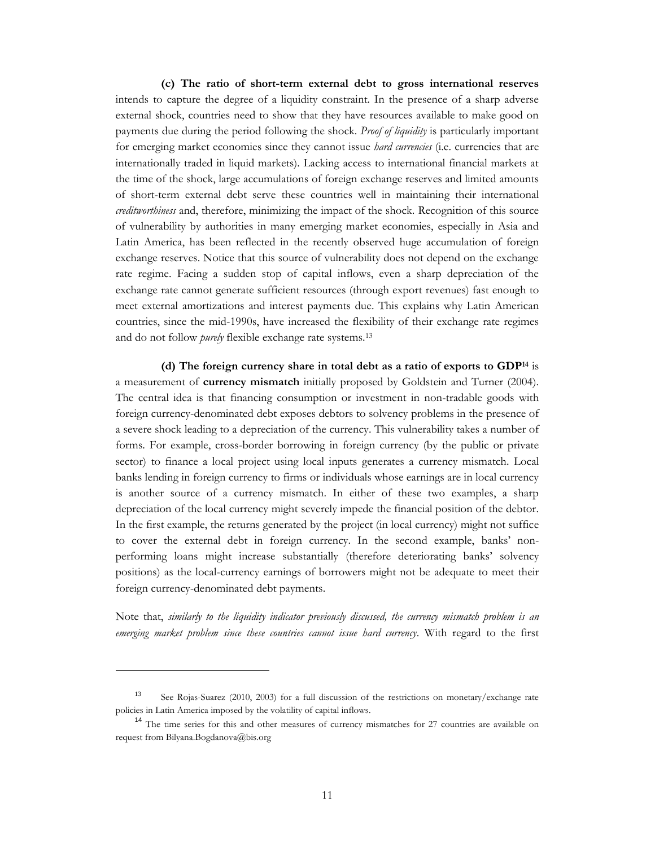**(c) The ratio of short-term external debt to gross international reserves** intends to capture the degree of a liquidity constraint. In the presence of a sharp adverse external shock, countries need to show that they have resources available to make good on payments due during the period following the shock. *Proof of liquidity* is particularly important for emerging market economies since they cannot issue *hard currencies* (i.e. currencies that are internationally traded in liquid markets). Lacking access to international financial markets at the time of the shock, large accumulations of foreign exchange reserves and limited amounts of short-term external debt serve these countries well in maintaining their international *creditworthiness* and, therefore, minimizing the impact of the shock. Recognition of this source of vulnerability by authorities in many emerging market economies, especially in Asia and Latin America, has been reflected in the recently observed huge accumulation of foreign exchange reserves. Notice that this source of vulnerability does not depend on the exchange rate regime. Facing a sudden stop of capital inflows, even a sharp depreciation of the exchange rate cannot generate sufficient resources (through export revenues) fast enough to meet external amortizations and interest payments due. This explains why Latin American countries, since the mid-1990s, have increased the flexibility of their exchange rate regimes and do not follow *purely* flexible exchange rate systems.<sup>13</sup>

**(d) The foreign currency share in total debt as a ratio of exports to GDP<sup>14</sup>** is a measurement of **currency mismatch** initially proposed by Goldstein and Turner (2004). The central idea is that financing consumption or investment in non-tradable goods with foreign currency-denominated debt exposes debtors to solvency problems in the presence of a severe shock leading to a depreciation of the currency. This vulnerability takes a number of forms. For example, cross-border borrowing in foreign currency (by the public or private sector) to finance a local project using local inputs generates a currency mismatch. Local banks lending in foreign currency to firms or individuals whose earnings are in local currency is another source of a currency mismatch. In either of these two examples, a sharp depreciation of the local currency might severely impede the financial position of the debtor. In the first example, the returns generated by the project (in local currency) might not suffice to cover the external debt in foreign currency. In the second example, banks' nonperforming loans might increase substantially (therefore deteriorating banks' solvency positions) as the local-currency earnings of borrowers might not be adequate to meet their foreign currency-denominated debt payments.

Note that, *similarly to the liquidity indicator previously discussed, the currency mismatch problem is an emerging market problem since these countries cannot issue hard currency*. With regard to the first

<sup>13</sup> See Rojas-Suarez (2010, 2003) for a full discussion of the restrictions on monetary/exchange rate policies in Latin America imposed by the volatility of capital inflows.

<sup>&</sup>lt;sup>14</sup> The time series for this and other measures of currency mismatches for 27 countries are available on request from Bilyana.Bogdanova@bis.org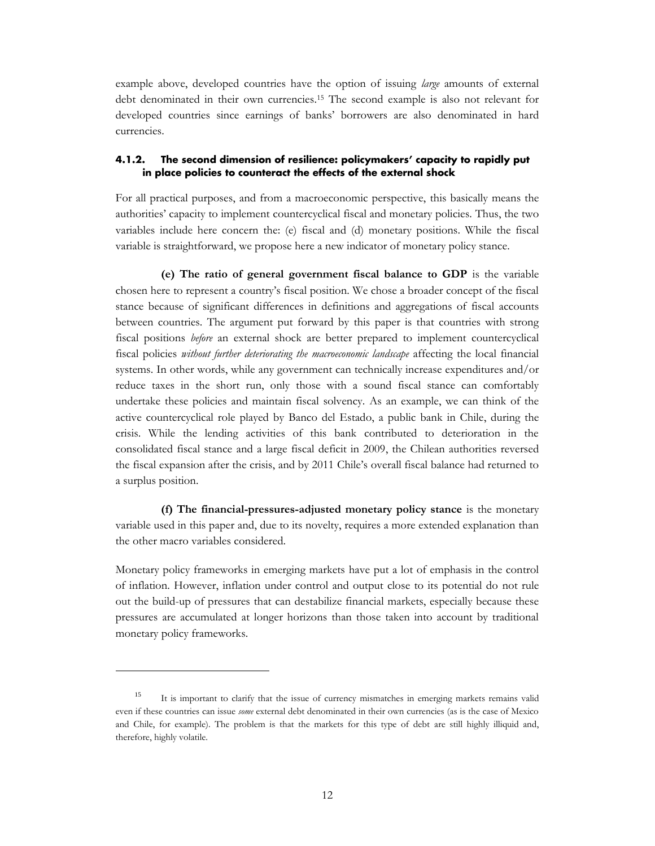example above, developed countries have the option of issuing *large* amounts of external debt denominated in their own currencies. <sup>15</sup> The second example is also not relevant for developed countries since earnings of banks' borrowers are also denominated in hard currencies.

#### **4.1.2. The second dimension of resilience: policymakers' capacity to rapidly put in place policies to counteract the effects of the external shock**

For all practical purposes, and from a macroeconomic perspective, this basically means the authorities' capacity to implement countercyclical fiscal and monetary policies. Thus, the two variables include here concern the: (e) fiscal and (d) monetary positions. While the fiscal variable is straightforward, we propose here a new indicator of monetary policy stance.

**(e) The ratio of general government fiscal balance to GDP** is the variable chosen here to represent a country's fiscal position. We chose a broader concept of the fiscal stance because of significant differences in definitions and aggregations of fiscal accounts between countries. The argument put forward by this paper is that countries with strong fiscal positions *before* an external shock are better prepared to implement countercyclical fiscal policies *without further deteriorating the macroeconomic landscape* affecting the local financial systems. In other words, while any government can technically increase expenditures and/or reduce taxes in the short run, only those with a sound fiscal stance can comfortably undertake these policies and maintain fiscal solvency. As an example, we can think of the active countercyclical role played by Banco del Estado, a public bank in Chile, during the crisis. While the lending activities of this bank contributed to deterioration in the consolidated fiscal stance and a large fiscal deficit in 2009, the Chilean authorities reversed the fiscal expansion after the crisis, and by 2011 Chile's overall fiscal balance had returned to a surplus position.

**(f) The financial-pressures-adjusted monetary policy stance** is the monetary variable used in this paper and, due to its novelty, requires a more extended explanation than the other macro variables considered.

Monetary policy frameworks in emerging markets have put a lot of emphasis in the control of inflation. However, inflation under control and output close to its potential do not rule out the build-up of pressures that can destabilize financial markets, especially because these pressures are accumulated at longer horizons than those taken into account by traditional monetary policy frameworks.

<sup>&</sup>lt;sup>15</sup> It is important to clarify that the issue of currency mismatches in emerging markets remains valid even if these countries can issue *some* external debt denominated in their own currencies (as is the case of Mexico and Chile, for example). The problem is that the markets for this type of debt are still highly illiquid and, therefore, highly volatile.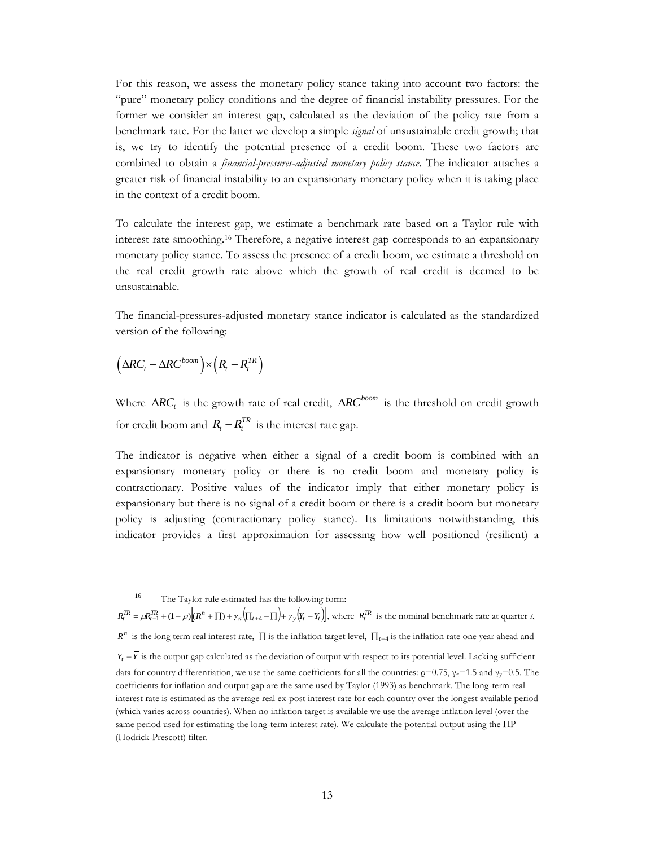For this reason, we assess the monetary policy stance taking into account two factors: the "pure" monetary policy conditions and the degree of financial instability pressures. For the former we consider an interest gap, calculated as the deviation of the policy rate from a benchmark rate. For the latter we develop a simple *signal* of unsustainable credit growth; that is, we try to identify the potential presence of a credit boom. These two factors are combined to obtain a *financial-pressures-adjusted monetary policy stance*. The indicator attaches a greater risk of financial instability to an expansionary monetary policy when it is taking place in the context of a credit boom.

To calculate the interest gap, we estimate a benchmark rate based on a Taylor rule with interest rate smoothing. <sup>16</sup> Therefore, a negative interest gap corresponds to an expansionary monetary policy stance. To assess the presence of a credit boom, we estimate a threshold on the real credit growth rate above which the growth of real credit is deemed to be unsustainable.

The financial-pressures-adjusted monetary stance indicator is calculated as the standardized version of the following:

$$
\left(\Delta RC_{t} - \Delta RC^{boom}\right) \times \left(R_{t} - R_{t}^{TR}\right)
$$

 $\overline{a}$ 

Where  $\Delta RC_t$  is the growth rate of real credit,  $\Delta RC^{boom}$  is the threshold on credit growth for credit boom and  $R_t - R_t^{TR}$  is the interest rate gap.

The indicator is negative when either a signal of a credit boom is combined with an expansionary monetary policy or there is no credit boom and monetary policy is contractionary. Positive values of the indicator imply that either monetary policy is expansionary but there is no signal of a credit boom or there is a credit boom but monetary policy is adjusting (contractionary policy stance). Its limitations notwithstanding, this indicator provides a first approximation for assessing how well positioned (resilient) a

The Taylor rule estimated has the following form:

 $R_t^{TR} = \rho R_{t-1}^{TR} + (1-\rho)[R^n + \overline{\Pi}) + \gamma_{\pi}(\Pi_{t+4} - \overline{\Pi}) + \gamma_{\gamma}(Y_t - \overline{Y}_t)],$  where  $R_t^{TR}$  is the nominal benchmark rate at quarter t,  $R^n$  is the long term real interest rate,  $\overline{\Pi}$  is the inflation target level,  $\prod_{t+4}$  is the inflation rate one year ahead and  $Y_t - \overline{Y}$  is the output gap calculated as the deviation of output with respect to its potential level. Lacking sufficient data for country differentiation, we use the same coefficients for all the countries:  $\rho$ =0.75,  $\gamma$ <sub>π</sub>=1.5 and  $\gamma$ <sub>v</sub>=0.5. The coefficients for inflation and output gap are the same used by Taylor (1993) as benchmark. The long-term real interest rate is estimated as the average real ex-post interest rate for each country over the longest available period (which varies across countries). When no inflation target is available we use the average inflation level (over the same period used for estimating the long-term interest rate). We calculate the potential output using the HP (Hodrick-Prescott) filter.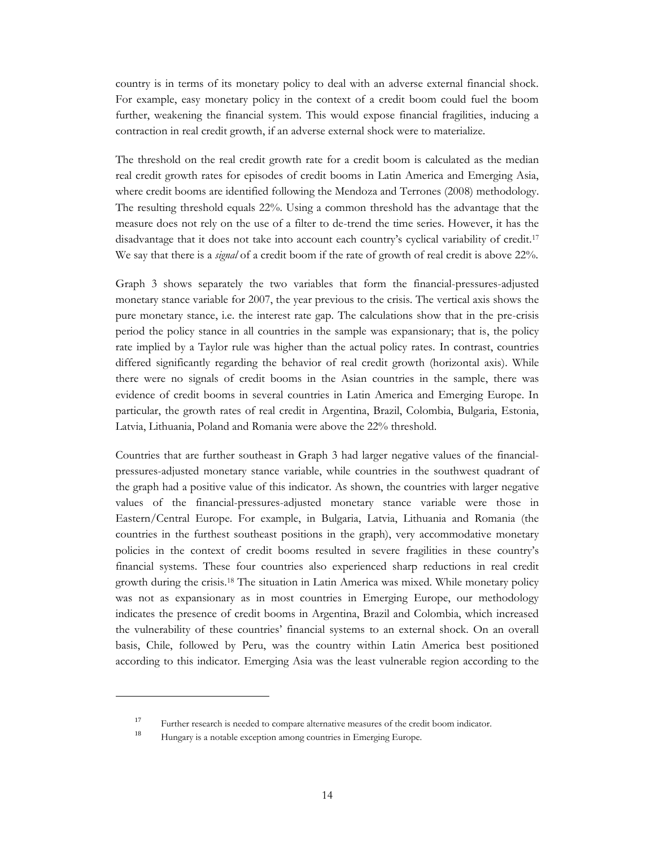country is in terms of its monetary policy to deal with an adverse external financial shock. For example, easy monetary policy in the context of a credit boom could fuel the boom further, weakening the financial system. This would expose financial fragilities, inducing a contraction in real credit growth, if an adverse external shock were to materialize.

The threshold on the real credit growth rate for a credit boom is calculated as the median real credit growth rates for episodes of credit booms in Latin America and Emerging Asia, where credit booms are identified following the Mendoza and Terrones (2008) methodology. The resulting threshold equals 22%. Using a common threshold has the advantage that the measure does not rely on the use of a filter to de-trend the time series. However, it has the disadvantage that it does not take into account each country's cyclical variability of credit.<sup>17</sup> We say that there is a *signal* of a credit boom if the rate of growth of real credit is above 22%.

Graph 3 shows separately the two variables that form the financial-pressures-adjusted monetary stance variable for 2007, the year previous to the crisis. The vertical axis shows the pure monetary stance, i.e. the interest rate gap. The calculations show that in the pre-crisis period the policy stance in all countries in the sample was expansionary; that is, the policy rate implied by a Taylor rule was higher than the actual policy rates. In contrast, countries differed significantly regarding the behavior of real credit growth (horizontal axis). While there were no signals of credit booms in the Asian countries in the sample, there was evidence of credit booms in several countries in Latin America and Emerging Europe. In particular, the growth rates of real credit in Argentina, Brazil, Colombia, Bulgaria, Estonia, Latvia, Lithuania, Poland and Romania were above the 22% threshold.

Countries that are further southeast in Graph 3 had larger negative values of the financialpressures-adjusted monetary stance variable, while countries in the southwest quadrant of the graph had a positive value of this indicator. As shown, the countries with larger negative values of the financial-pressures-adjusted monetary stance variable were those in Eastern/Central Europe. For example, in Bulgaria, Latvia, Lithuania and Romania (the countries in the furthest southeast positions in the graph), very accommodative monetary policies in the context of credit booms resulted in severe fragilities in these country's financial systems. These four countries also experienced sharp reductions in real credit growth during the crisis.<sup>18</sup> The situation in Latin America was mixed. While monetary policy was not as expansionary as in most countries in Emerging Europe, our methodology indicates the presence of credit booms in Argentina, Brazil and Colombia, which increased the vulnerability of these countries' financial systems to an external shock. On an overall basis, Chile, followed by Peru, was the country within Latin America best positioned according to this indicator. Emerging Asia was the least vulnerable region according to the

<sup>&</sup>lt;sup>17</sup> Further research is needed to compare alternative measures of the credit boom indicator.

Hungary is a notable exception among countries in Emerging Europe.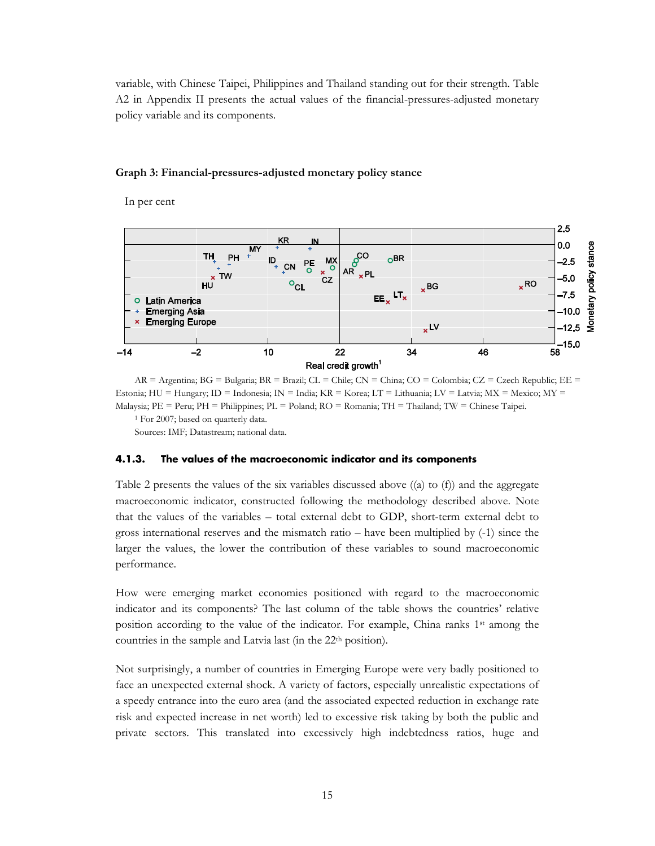variable, with Chinese Taipei, Philippines and Thailand standing out for their strength. Table A2 in Appendix II presents the actual values of the financial-pressures-adjusted monetary policy variable and its components.

#### **Graph 3: Financial-pressures-adjusted monetary policy stance**

In per cent



AR = Argentina; BG = Bulgaria; BR = Brazil; CL = Chile; CN = China; CO = Colombia; CZ = Czech Republic; EE = Estonia; HU = Hungary; ID = Indonesia; IN = India; KR = Korea; LT = Lithuania; LV = Latvia; MX = Mexico; MY = Malaysia; PE = Peru; PH = Philippines; PL = Poland; RO = Romania; TH = Thailand; TW = Chinese Taipei.

<sup>1</sup> For 2007; based on quarterly data. Sources: IMF; Datastream; national data.

#### **4.1.3. The values of the macroeconomic indicator and its components**

Table 2 presents the values of the six variables discussed above  $((a)$  to  $(f))$  and the aggregate macroeconomic indicator, constructed following the methodology described above. Note that the values of the variables – total external debt to GDP, short-term external debt to gross international reserves and the mismatch ratio – have been multiplied by (-1) since the larger the values, the lower the contribution of these variables to sound macroeconomic performance.

How were emerging market economies positioned with regard to the macroeconomic indicator and its components? The last column of the table shows the countries' relative position according to the value of the indicator. For example, China ranks 1<sup>st</sup> among the countries in the sample and Latvia last (in the 22th position).

Not surprisingly, a number of countries in Emerging Europe were very badly positioned to face an unexpected external shock. A variety of factors, especially unrealistic expectations of a speedy entrance into the euro area (and the associated expected reduction in exchange rate risk and expected increase in net worth) led to excessive risk taking by both the public and private sectors. This translated into excessively high indebtedness ratios, huge and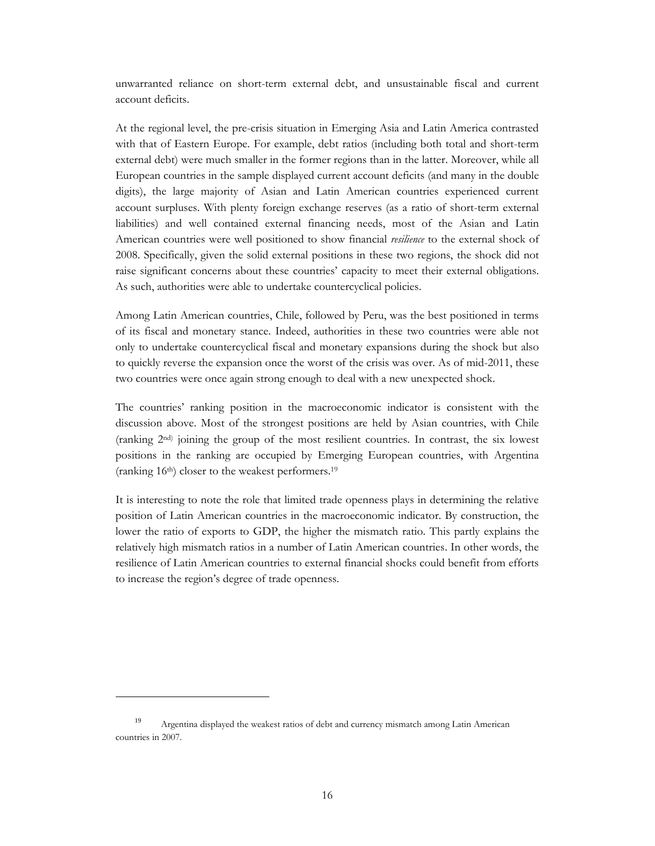unwarranted reliance on short-term external debt, and unsustainable fiscal and current account deficits.

At the regional level, the pre-crisis situation in Emerging Asia and Latin America contrasted with that of Eastern Europe. For example, debt ratios (including both total and short-term external debt) were much smaller in the former regions than in the latter. Moreover, while all European countries in the sample displayed current account deficits (and many in the double digits), the large majority of Asian and Latin American countries experienced current account surpluses. With plenty foreign exchange reserves (as a ratio of short-term external liabilities) and well contained external financing needs, most of the Asian and Latin American countries were well positioned to show financial *resilience* to the external shock of 2008. Specifically, given the solid external positions in these two regions, the shock did not raise significant concerns about these countries' capacity to meet their external obligations. As such, authorities were able to undertake countercyclical policies.

Among Latin American countries, Chile, followed by Peru, was the best positioned in terms of its fiscal and monetary stance. Indeed, authorities in these two countries were able not only to undertake countercyclical fiscal and monetary expansions during the shock but also to quickly reverse the expansion once the worst of the crisis was over. As of mid-2011, these two countries were once again strong enough to deal with a new unexpected shock.

The countries' ranking position in the macroeconomic indicator is consistent with the discussion above. Most of the strongest positions are held by Asian countries, with Chile (ranking 2nd) joining the group of the most resilient countries. In contrast, the six lowest positions in the ranking are occupied by Emerging European countries, with Argentina (ranking 16th) closer to the weakest performers.<sup>19</sup>

It is interesting to note the role that limited trade openness plays in determining the relative position of Latin American countries in the macroeconomic indicator. By construction, the lower the ratio of exports to GDP, the higher the mismatch ratio. This partly explains the relatively high mismatch ratios in a number of Latin American countries. In other words, the resilience of Latin American countries to external financial shocks could benefit from efforts to increase the region's degree of trade openness.

Argentina displayed the weakest ratios of debt and currency mismatch among Latin American countries in 2007.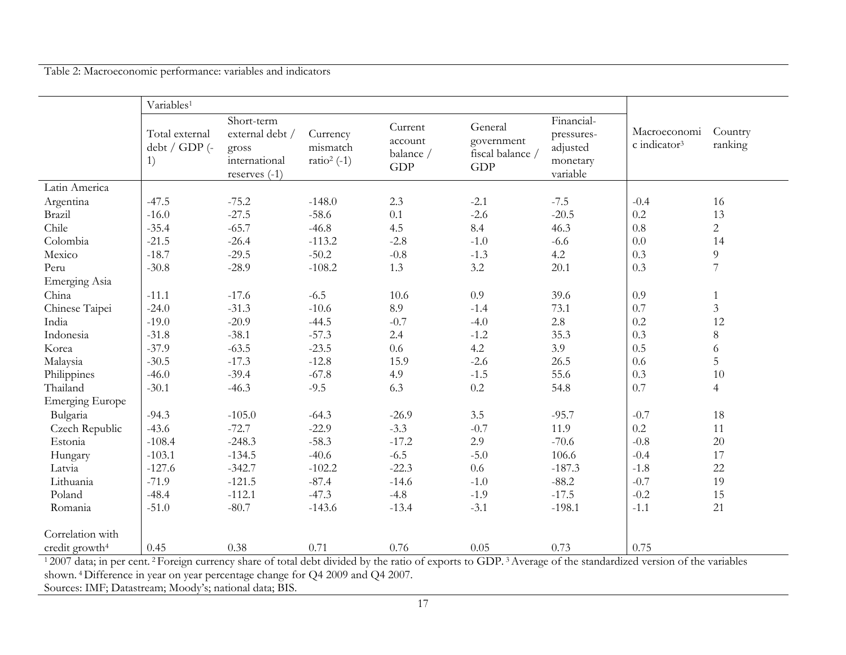Table 2: Macroeconomic performance: variables and indicators

|                                                | Variables <sup>1</sup>                  |                                                                            |                                                   |                                        |                                                  |                                                              |                                          |                         |
|------------------------------------------------|-----------------------------------------|----------------------------------------------------------------------------|---------------------------------------------------|----------------------------------------|--------------------------------------------------|--------------------------------------------------------------|------------------------------------------|-------------------------|
|                                                | Total external<br>$debt / GDP$ (-<br>1) | Short-term<br>external debt /<br>gross<br>international<br>reserves $(-1)$ | Currency<br>mismatch<br>ratio <sup>2</sup> $(-1)$ | Current<br>account<br>balance /<br>GDP | General<br>government<br>fiscal balance /<br>GDP | Financial-<br>pressures-<br>adjusted<br>monetary<br>variable | Macroeconomi<br>c indicator <sup>3</sup> | Country<br>ranking      |
| Latin America                                  |                                         |                                                                            |                                                   |                                        |                                                  |                                                              |                                          |                         |
| Argentina                                      | $-47.5$                                 | $-75.2$                                                                    | $-148.0$                                          | 2.3                                    | $-2.1$                                           | $-7.5$                                                       | $-0.4$                                   | 16                      |
| Brazil                                         | $-16.0$                                 | $-27.5$                                                                    | $-58.6$                                           | 0.1                                    | $-2.6$                                           | $-20.5$                                                      | 0.2                                      | 13                      |
| Chile                                          | $-35.4$                                 | $-65.7$                                                                    | $-46.8$                                           | 4.5                                    | 8.4                                              | 46.3                                                         | 0.8                                      | $\overline{2}$          |
| Colombia                                       | $-21.5$                                 | $-26.4$                                                                    | $-113.2$                                          | $-2.8$                                 | $-1.0$                                           | $-6.6$                                                       | 0.0                                      | 14                      |
| Mexico                                         | $-18.7$                                 | $-29.5$                                                                    | $-50.2$                                           | $-0.8$                                 | $-1.3$                                           | 4.2                                                          | 0.3                                      | 9                       |
| Peru                                           | $-30.8$                                 | $-28.9$                                                                    | $-108.2$                                          | 1.3                                    | 3.2                                              | 20.1                                                         | 0.3                                      | $\overline{7}$          |
| Emerging Asia                                  |                                         |                                                                            |                                                   |                                        |                                                  |                                                              |                                          |                         |
| China                                          | $-11.1$                                 | $-17.6$                                                                    | $-6.5$                                            | 10.6                                   | 0.9                                              | 39.6                                                         | 0.9                                      | $\mathbf{1}$            |
| Chinese Taipei                                 | $-24.0$                                 | $-31.3$                                                                    | $-10.6$                                           | 8.9                                    | $-1.4$                                           | 73.1                                                         | 0.7                                      | $\overline{3}$          |
| India                                          | $-19.0$                                 | $-20.9$                                                                    | $-44.5$                                           | $-0.7$                                 | $-4.0$                                           | 2.8                                                          | 0.2                                      | 12                      |
| Indonesia                                      | $-31.8$                                 | $-38.1$                                                                    | $-57.3$                                           | 2.4                                    | $-1.2$                                           | 35.3                                                         | 0.3                                      | $8\,$                   |
| Korea                                          | $-37.9$                                 | $-63.5$                                                                    | $-23.5$                                           | 0.6                                    | 4.2                                              | 3.9                                                          | 0.5                                      | 6                       |
| Malaysia                                       | $-30.5$                                 | $-17.3$                                                                    | $-12.8$                                           | 15.9                                   | $-2.6$                                           | 26.5                                                         | 0.6                                      | $\overline{5}$          |
| Philippines                                    | $-46.0$                                 | $-39.4$                                                                    | $-67.8$                                           | 4.9                                    | $-1.5$                                           | 55.6                                                         | 0.3                                      | 10                      |
| Thailand                                       | $-30.1$                                 | $-46.3$                                                                    | $-9.5$                                            | 6.3                                    | 0.2                                              | 54.8                                                         | 0.7                                      | $\overline{4}$          |
| <b>Emerging Europe</b>                         |                                         |                                                                            |                                                   |                                        |                                                  |                                                              |                                          |                         |
| Bulgaria                                       | $-94.3$                                 | $-105.0$                                                                   | $-64.3$                                           | $-26.9$                                | 3.5                                              | $-95.7$                                                      | $-0.7$                                   | 18                      |
| Czech Republic                                 | $-43.6$                                 | $-72.7$                                                                    | $-22.9$                                           | $-3.3$                                 | $-0.7$                                           | 11.9                                                         | 0.2                                      | 11                      |
| Estonia                                        | $-108.4$                                | $-248.3$                                                                   | $-58.3$                                           | $-17.2$                                | 2.9                                              | $-70.6$                                                      | $-0.8$                                   | $20\,$                  |
| Hungary                                        | $-103.1$                                | $-134.5$                                                                   | $-40.6$                                           | $-6.5$                                 | $-5.0$                                           | 106.6                                                        | $-0.4$                                   | 17                      |
| Latvia                                         | $-127.6$                                | $-342.7$                                                                   | $-102.2$                                          | $-22.3$                                | 0.6                                              | $-187.3$                                                     | $-1.8$                                   | 22                      |
| Lithuania                                      | $-71.9$                                 | $-121.5$                                                                   | $-87.4$                                           | $-14.6$                                | $-1.0$                                           | $-88.2$                                                      | $-0.7$                                   | 19                      |
| Poland                                         | $-48.4$                                 | $-112.1$                                                                   | $-47.3$                                           | $-4.8$                                 | $-1.9$                                           | $-17.5$                                                      | $-0.2$                                   | 15                      |
| Romania                                        | $-51.0$                                 | $-80.7$                                                                    | $-143.6$                                          | $-13.4$                                | $-3.1$                                           | $-198.1$                                                     | $-1.1$                                   | 21                      |
| Correlation with                               |                                         |                                                                            |                                                   |                                        |                                                  |                                                              |                                          |                         |
| credit growth <sup>4</sup><br>100071<br>$\sim$ | 0.45<br>2 <sub>0</sub>                  | 0.38                                                                       | 0.71<br>11.11.11                                  | 0.76                                   | 0.05<br>$\cap$ nn 2                              | 0.73<br>$\sim$ $\sim$ $\sim$<br>$\mathbf{1}$                 | 0.75                                     | $\cdot$ $\cdot$ $\cdot$ |

<sup>1</sup> 2007 data; in per cent. <sup>2</sup> Foreign currency share of total debt divided by the ratio of exports to GDP. <sup>3</sup>Average of the standardized version of the variables shown. <sup>4</sup> Difference in year on year percentage change for Q4 2009 and Q4 2007.

Sources: IMF; Datastream; Moody's; national data; BIS.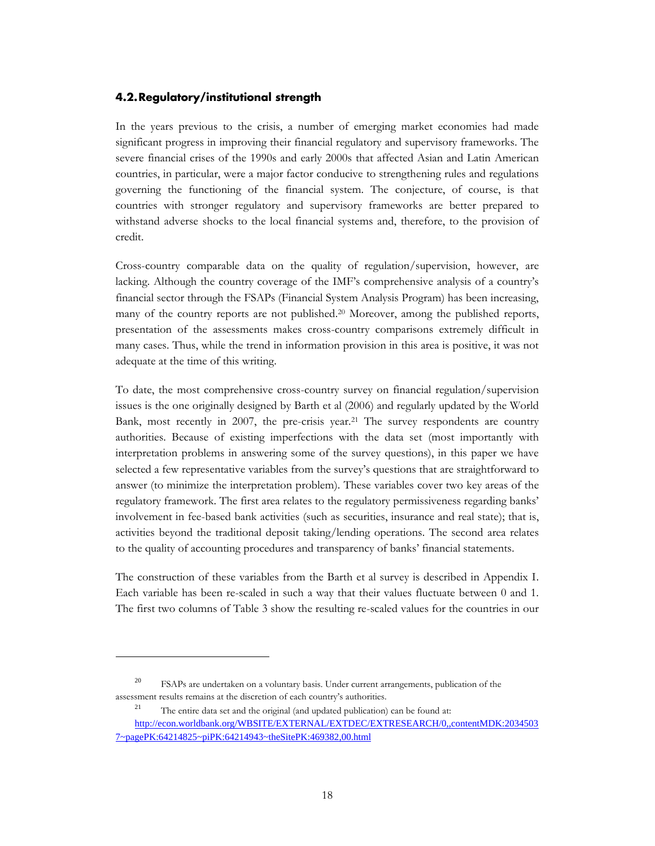#### <span id="page-21-0"></span>**4.2.Regulatory/institutional strength**

In the years previous to the crisis, a number of emerging market economies had made significant progress in improving their financial regulatory and supervisory frameworks. The severe financial crises of the 1990s and early 2000s that affected Asian and Latin American countries, in particular, were a major factor conducive to strengthening rules and regulations governing the functioning of the financial system. The conjecture, of course, is that countries with stronger regulatory and supervisory frameworks are better prepared to withstand adverse shocks to the local financial systems and, therefore, to the provision of credit.

Cross-country comparable data on the quality of regulation/supervision, however, are lacking. Although the country coverage of the IMF's comprehensive analysis of a country's financial sector through the FSAPs (Financial System Analysis Program) has been increasing, many of the country reports are not published. <sup>20</sup> Moreover, among the published reports, presentation of the assessments makes cross-country comparisons extremely difficult in many cases. Thus, while the trend in information provision in this area is positive, it was not adequate at the time of this writing.

To date, the most comprehensive cross-country survey on financial regulation/supervision issues is the one originally designed by Barth et al (2006) and regularly updated by the World Bank, most recently in 2007, the pre-crisis year.<sup>21</sup> The survey respondents are country authorities. Because of existing imperfections with the data set (most importantly with interpretation problems in answering some of the survey questions), in this paper we have selected a few representative variables from the survey's questions that are straightforward to answer (to minimize the interpretation problem). These variables cover two key areas of the regulatory framework. The first area relates to the regulatory permissiveness regarding banks' involvement in fee-based bank activities (such as securities, insurance and real state); that is, activities beyond the traditional deposit taking/lending operations. The second area relates to the quality of accounting procedures and transparency of banks' financial statements.

The construction of these variables from the Barth et al survey is described in Appendix I. Each variable has been re-scaled in such a way that their values fluctuate between 0 and 1. The first two columns of Table 3 show the resulting re-scaled values for the countries in our

 $\ddot{\phantom{a}}$ 

<sup>&</sup>lt;sup>20</sup> FSAPs are undertaken on a voluntary basis. Under current arrangements, publication of the assessment results remains at the discretion of each country's authorities.

<sup>&</sup>lt;sup>21</sup> The entire data set and the original (and updated publication) can be found at:

[http://econ.worldbank.org/WBSITE/EXTERNAL/EXTDEC/EXTRESEARCH/0,,contentMDK:2034503](http://econ.worldbank.org/WBSITE/EXTERNAL/EXTDEC/EXTRESEARCH/0,,contentMDK:20345037~pagePK:64214825~piPK:64214943~theSitePK:469382,00.html) [7~pagePK:64214825~piPK:64214943~theSitePK:469382,00.html](http://econ.worldbank.org/WBSITE/EXTERNAL/EXTDEC/EXTRESEARCH/0,,contentMDK:20345037~pagePK:64214825~piPK:64214943~theSitePK:469382,00.html)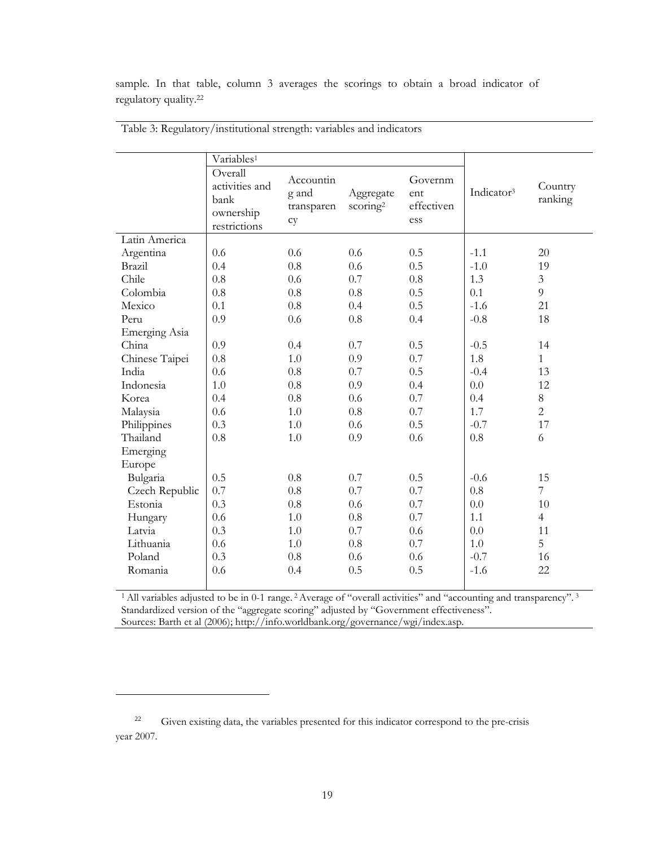|                | Variables <sup>1</sup>                                         |                                        |                                   |                                     |                        |                    |
|----------------|----------------------------------------------------------------|----------------------------------------|-----------------------------------|-------------------------------------|------------------------|--------------------|
|                | Overall<br>activities and<br>bank<br>ownership<br>restrictions | Accountin<br>g and<br>transparen<br>cy | Aggregate<br>scoring <sup>2</sup> | Governm<br>ent<br>effectiven<br>ess | Indicator <sup>3</sup> | Country<br>ranking |
| Latin America  |                                                                |                                        |                                   |                                     |                        |                    |
| Argentina      | 0.6                                                            | 0.6                                    | 0.6                               | 0.5                                 | $-1.1$                 | 20                 |
| Brazil         | 0.4                                                            | 0.8                                    | 0.6                               | 0.5                                 | $-1.0$                 | 19                 |
| Chile          | 0.8                                                            | 0.6                                    | 0.7                               | 0.8                                 | 1.3                    | $\mathfrak{Z}$     |
| Colombia       | 0.8                                                            | 0.8                                    | 0.8                               | 0.5                                 | 0.1                    | 9                  |
| Mexico         | 0.1                                                            | 0.8                                    | 0.4                               | 0.5                                 | $-1.6$                 | 21                 |
| Peru           | 0.9                                                            | 0.6                                    | 0.8                               | 0.4                                 | $-0.8$                 | 18                 |
| Emerging Asia  |                                                                |                                        |                                   |                                     |                        |                    |
| China          | 0.9                                                            | 0.4                                    | 0.7                               | 0.5                                 | $-0.5$                 | 14                 |
| Chinese Taipei | 0.8                                                            | 1.0                                    | 0.9                               | 0.7                                 | 1.8                    | $\mathbf{1}$       |
| India          | 0.6                                                            | 0.8                                    | 0.7                               | 0.5                                 | $-0.4$                 | 13                 |
| Indonesia      | 1.0                                                            | 0.8                                    | 0.9                               | 0.4                                 | 0.0                    | 12                 |
| Korea          | 0.4                                                            | 0.8                                    | 0.6                               | 0.7                                 | 0.4                    | 8                  |
| Malaysia       | 0.6                                                            | 1.0                                    | 0.8                               | 0.7                                 | 1.7                    | $\overline{2}$     |
| Philippines    | 0.3                                                            | 1.0                                    | 0.6                               | 0.5                                 | $-0.7$                 | 17                 |
| Thailand       | 0.8                                                            | 1.0                                    | 0.9                               | 0.6                                 | 0.8                    | 6                  |
| Emerging       |                                                                |                                        |                                   |                                     |                        |                    |
| Europe         |                                                                |                                        |                                   |                                     |                        |                    |
| Bulgaria       | 0.5                                                            | 0.8                                    | 0.7                               | 0.5                                 | $-0.6$                 | 15                 |
| Czech Republic | 0.7                                                            | 0.8                                    | 0.7                               | 0.7                                 | 0.8                    | $\overline{7}$     |
| Estonia        | 0.3                                                            | 0.8                                    | 0.6                               | 0.7                                 | 0.0                    | 10                 |
| Hungary        | 0.6                                                            | 1.0                                    | 0.8                               | 0.7                                 | 1.1                    | $\overline{4}$     |
| Latvia         | 0.3                                                            | 1.0                                    | 0.7                               | 0.6                                 | 0.0                    | 11                 |
| Lithuania      | 0.6                                                            | 1.0                                    | 0.8                               | 0.7                                 | 1.0                    | 5                  |
| Poland         | 0.3                                                            | 0.8                                    | 0.6                               | 0.6                                 | $-0.7$                 | 16                 |
| Romania        | 0.6                                                            | 0.4                                    | 0.5                               | 0.5                                 | $-1.6$                 | 22                 |
|                |                                                                |                                        |                                   |                                     |                        |                    |

sample. In that table, column 3 averages the scorings to obtain a broad indicator of regulatory quality.<sup>22</sup>

Table 3: Regulatory/institutional strength: variables and indicators

<sup>1</sup> All variables adjusted to be in 0-1 range.<sup>2</sup> Average of "overall activities" and "accounting and transparency".<sup>3</sup> Standardized version of the "aggregate scoring" adjusted by "Government effectiveness". Sources: Barth et al (2006); http://info.worldbank.org/governance/wgi/index.asp.

<sup>&</sup>lt;sup>22</sup> Given existing data, the variables presented for this indicator correspond to the pre-crisis year 2007.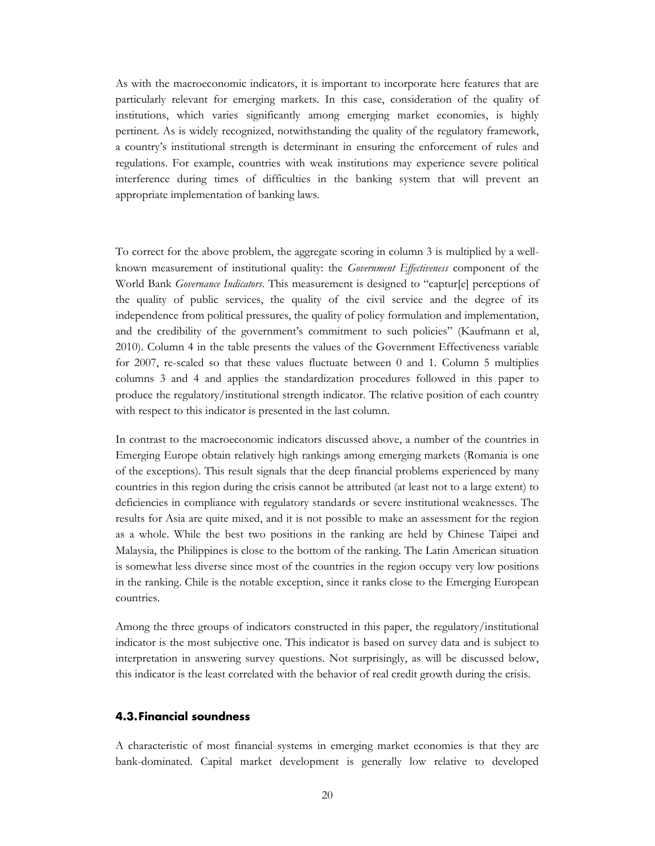As with the macroeconomic indicators, it is important to incorporate here features that are particularly relevant for emerging markets. In this case, consideration of the quality of institutions, which varies significantly among emerging market economies, is highly pertinent. As is widely recognized, notwithstanding the quality of the regulatory framework, a country's institutional strength is determinant in ensuring the enforcement of rules and regulations. For example, countries with weak institutions may experience severe political interference during times of difficulties in the banking system that will prevent an appropriate implementation of banking laws.

To correct for the above problem, the aggregate scoring in column 3 is multiplied by a wellknown measurement of institutional quality: the *Government Effectiveness* component of the World Bank *Governance Indicators*. This measurement is designed to "captur[e] perceptions of the quality of public services, the quality of the civil service and the degree of its independence from political pressures, the quality of policy formulation and implementation, and the credibility of the government's commitment to such policies" (Kaufmann et al, 2010). Column 4 in the table presents the values of the Government Effectiveness variable for 2007, re-scaled so that these values fluctuate between 0 and 1. Column 5 multiplies columns 3 and 4 and applies the standardization procedures followed in this paper to produce the regulatory/institutional strength indicator. The relative position of each country with respect to this indicator is presented in the last column.

In contrast to the macroeconomic indicators discussed above, a number of the countries in Emerging Europe obtain relatively high rankings among emerging markets (Romania is one of the exceptions). This result signals that the deep financial problems experienced by many countries in this region during the crisis cannot be attributed (at least not to a large extent) to deficiencies in compliance with regulatory standards or severe institutional weaknesses. The results for Asia are quite mixed, and it is not possible to make an assessment for the region as a whole. While the best two positions in the ranking are held by Chinese Taipei and Malaysia, the Philippines is close to the bottom of the ranking. The Latin American situation is somewhat less diverse since most of the countries in the region occupy very low positions in the ranking. Chile is the notable exception, since it ranks close to the Emerging European countries.

Among the three groups of indicators constructed in this paper, the regulatory/institutional indicator is the most subjective one. This indicator is based on survey data and is subject to interpretation in answering survey questions. Not surprisingly, as will be discussed below, this indicator is the least correlated with the behavior of real credit growth during the crisis.

#### <span id="page-23-0"></span>**4.3.Financial soundness**

A characteristic of most financial systems in emerging market economies is that they are bank-dominated. Capital market development is generally low relative to developed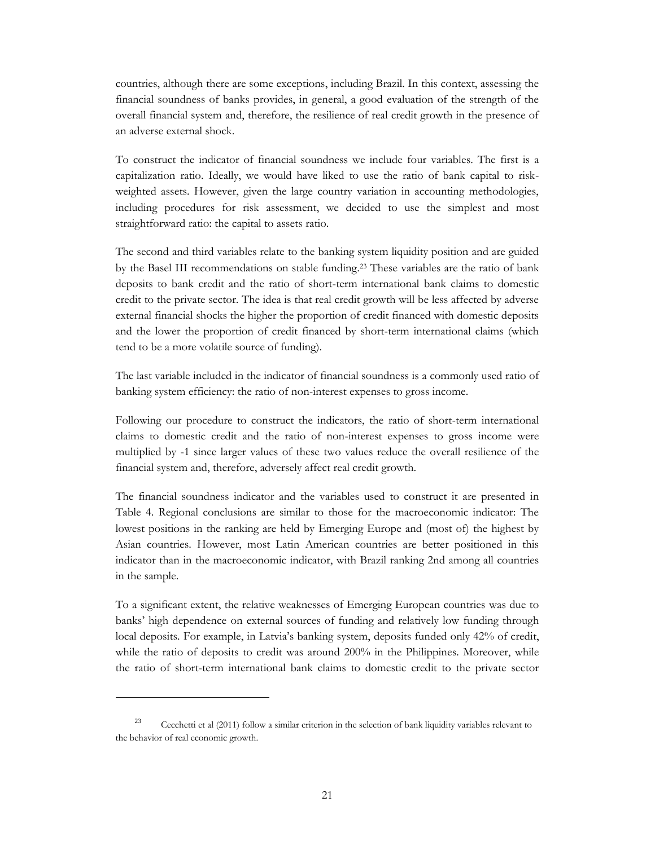countries, although there are some exceptions, including Brazil. In this context, assessing the financial soundness of banks provides, in general, a good evaluation of the strength of the overall financial system and, therefore, the resilience of real credit growth in the presence of an adverse external shock.

To construct the indicator of financial soundness we include four variables. The first is a capitalization ratio. Ideally, we would have liked to use the ratio of bank capital to riskweighted assets. However, given the large country variation in accounting methodologies, including procedures for risk assessment, we decided to use the simplest and most straightforward ratio: the capital to assets ratio.

The second and third variables relate to the banking system liquidity position and are guided by the Basel III recommendations on stable funding. <sup>23</sup> These variables are the ratio of bank deposits to bank credit and the ratio of short-term international bank claims to domestic credit to the private sector. The idea is that real credit growth will be less affected by adverse external financial shocks the higher the proportion of credit financed with domestic deposits and the lower the proportion of credit financed by short-term international claims (which tend to be a more volatile source of funding).

The last variable included in the indicator of financial soundness is a commonly used ratio of banking system efficiency: the ratio of non-interest expenses to gross income.

Following our procedure to construct the indicators, the ratio of short-term international claims to domestic credit and the ratio of non-interest expenses to gross income were multiplied by -1 since larger values of these two values reduce the overall resilience of the financial system and, therefore, adversely affect real credit growth.

The financial soundness indicator and the variables used to construct it are presented in Table 4. Regional conclusions are similar to those for the macroeconomic indicator: The lowest positions in the ranking are held by Emerging Europe and (most of) the highest by Asian countries. However, most Latin American countries are better positioned in this indicator than in the macroeconomic indicator, with Brazil ranking 2nd among all countries in the sample.

To a significant extent, the relative weaknesses of Emerging European countries was due to banks' high dependence on external sources of funding and relatively low funding through local deposits. For example, in Latvia's banking system, deposits funded only 42% of credit, while the ratio of deposits to credit was around 200% in the Philippines. Moreover, while the ratio of short-term international bank claims to domestic credit to the private sector

 $\ddot{\phantom{a}}$ 

<sup>23</sup> Cecchetti et al (2011) follow a similar criterion in the selection of bank liquidity variables relevant to the behavior of real economic growth.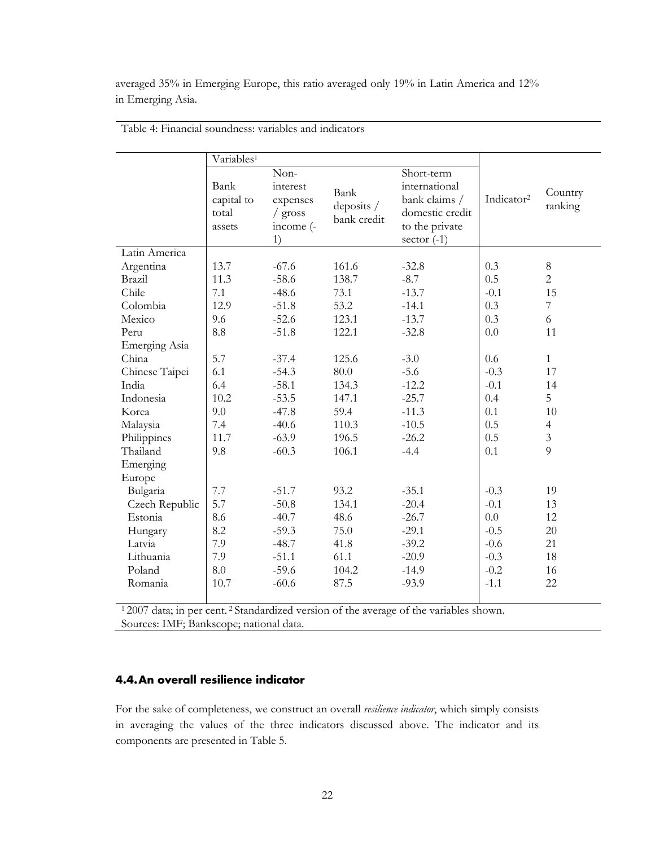|                    | Variables <sup>1</sup><br>Bank<br>capital to<br>total<br>assets | Non-<br>interest<br>expenses<br>$\frac{\text{cross}}{\text{cases}}$<br>income (-<br>1) | Bank<br>deposits /<br>bank credit | Short-term<br>international<br>bank claims /<br>domestic credit<br>to the private<br>sector $(-1)$ | Indicator <sup>2</sup> | Country<br>ranking |
|--------------------|-----------------------------------------------------------------|----------------------------------------------------------------------------------------|-----------------------------------|----------------------------------------------------------------------------------------------------|------------------------|--------------------|
| Latin America      |                                                                 |                                                                                        |                                   |                                                                                                    |                        |                    |
| Argentina          | 13.7                                                            | $-67.6$                                                                                | 161.6                             | $-32.8$                                                                                            | 0.3                    | 8                  |
| Brazil             | 11.3                                                            | $-58.6$                                                                                | 138.7                             | $-8.7$                                                                                             | 0.5                    | $\overline{2}$     |
| Chile              | 7.1                                                             | $-48.6$                                                                                | 73.1                              | $-13.7$                                                                                            | $-0.1$                 | 15                 |
| Colombia           | 12.9                                                            | $-51.8$                                                                                | 53.2                              | $-14.1$                                                                                            | 0.3                    | $\overline{7}$     |
| Mexico             | 9.6                                                             | $-52.6$                                                                                | 123.1                             | $-13.7$                                                                                            | 0.3                    | 6                  |
| Peru               | 8.8                                                             | $-51.8$                                                                                | 122.1                             | $-32.8$                                                                                            | 0.0                    | 11                 |
| Emerging Asia      |                                                                 |                                                                                        |                                   |                                                                                                    |                        |                    |
| China              | 5.7                                                             | $-37.4$                                                                                | 125.6                             | $-3.0$                                                                                             | 0.6                    | $\mathbf{1}$       |
| Chinese Taipei     | 6.1                                                             | $-54.3$                                                                                | 80.0                              | $-5.6$                                                                                             | $-0.3$                 | 17                 |
| India              | 6.4                                                             | $-58.1$                                                                                | 134.3                             | $-12.2$                                                                                            | $-0.1$                 | 14                 |
| Indonesia          | 10.2                                                            | $-53.5$                                                                                | 147.1                             | $-25.7$                                                                                            | 0.4                    | 5                  |
| Korea              | 9.0                                                             | $-47.8$                                                                                | 59.4                              | $-11.3$                                                                                            | 0.1                    | 10                 |
| Malaysia           | 7.4                                                             | $-40.6$                                                                                | 110.3                             | $-10.5$                                                                                            | 0.5                    | $\overline{4}$     |
| Philippines        | 11.7                                                            | $-63.9$                                                                                | 196.5                             | $-26.2$                                                                                            | 0.5                    | $\overline{3}$     |
| Thailand           | 9.8                                                             | $-60.3$                                                                                | 106.1                             | $-4.4$                                                                                             | 0.1                    | 9                  |
| Emerging<br>Europe |                                                                 |                                                                                        |                                   |                                                                                                    |                        |                    |
| Bulgaria           | 7.7                                                             | $-51.7$                                                                                | 93.2                              | $-35.1$                                                                                            | $-0.3$                 | 19                 |
| Czech Republic     | 5.7                                                             | $-50.8$                                                                                | 134.1                             | $-20.4$                                                                                            | $-0.1$                 | 13                 |
| Estonia            | 8.6                                                             | $-40.7$                                                                                | 48.6                              | $-26.7$                                                                                            | 0.0                    | 12                 |
| Hungary            | 8.2                                                             | $-59.3$                                                                                | 75.0                              | $-29.1$                                                                                            | $-0.5$                 | 20                 |
| Latvia             | 7.9                                                             | $-48.7$                                                                                | 41.8                              | $-39.2$                                                                                            | $-0.6$                 | 21                 |
| Lithuania          | 7.9                                                             | $-51.1$                                                                                | 61.1                              | $-20.9$                                                                                            | $-0.3$                 | 18                 |
| Poland             | 8.0                                                             | $-59.6$                                                                                | 104.2                             | $-14.9$                                                                                            | $-0.2$                 | 16                 |
| Romania            | 10.7                                                            | $-60.6$                                                                                | 87.5                              | $-93.9$                                                                                            | $-1.1$                 | 22                 |

averaged 35% in Emerging Europe, this ratio averaged only 19% in Latin America and 12% in Emerging Asia.

Table 4: Financial soundness: variables and indicators

<sup>1</sup> 2007 data; in per cent. <sup>2</sup> Standardized version of the average of the variables shown. Sources: IMF; Bankscope; national data.

#### <span id="page-25-0"></span>**4.4.An overall resilience indicator**

For the sake of completeness, we construct an overall *resilience indicator*, which simply consists in averaging the values of the three indicators discussed above. The indicator and its components are presented in Table 5.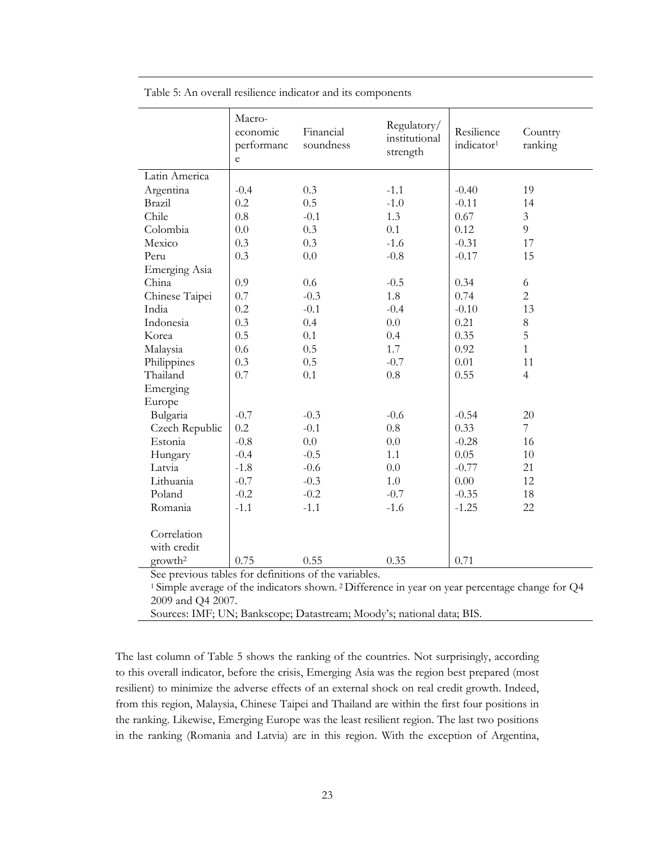|                            | Macro-<br>economic<br>performanc<br>e | Financial<br>soundness                                | Regulatory/<br>institutional<br>strength | Resilience<br>indicator <sup>1</sup> | Country<br>ranking |
|----------------------------|---------------------------------------|-------------------------------------------------------|------------------------------------------|--------------------------------------|--------------------|
| Latin America              |                                       |                                                       |                                          |                                      |                    |
| Argentina                  | $-0.4$                                | 0.3                                                   | $-1.1$                                   | $-0.40$                              | 19                 |
| Brazil                     | 0.2                                   | 0.5                                                   | $-1.0$                                   | $-0.11$                              | 14                 |
| Chile                      | 0.8                                   | $-0.1$                                                | 1.3                                      | 0.67                                 | 3                  |
| Colombia                   | 0.0                                   | 0.3                                                   | 0.1                                      | 0.12                                 | 9                  |
| Mexico                     | 0.3                                   | 0.3                                                   | $-1.6$                                   | $-0.31$                              | 17                 |
| Peru                       | 0.3                                   | 0.0                                                   | $-0.8$                                   | $-0.17$                              | 15                 |
| Emerging Asia              |                                       |                                                       |                                          |                                      |                    |
| China                      | 0.9                                   | 0.6                                                   | $-0.5$                                   | 0.34                                 | 6                  |
| Chinese Taipei             | 0.7                                   | $-0.3$                                                | 1.8                                      | 0.74                                 | $\overline{2}$     |
| India                      | 0.2                                   | $-0.1$                                                | $-0.4$                                   | $-0.10$                              | 13                 |
| Indonesia                  | 0.3                                   | 0.4                                                   | 0.0                                      | 0.21                                 | 8                  |
| Korea                      | 0.5                                   | 0.1                                                   | 0.4                                      | 0.35                                 | 5                  |
| Malaysia                   | 0.6                                   | 0.5                                                   | 1.7                                      | 0.92                                 | $\mathbf{1}$       |
| Philippines                | 0.3                                   | 0.5                                                   | $-0.7$                                   | $0.01\,$                             | 11                 |
| Thailand                   | 0.7                                   | 0.1                                                   | $0.8\,$                                  | 0.55                                 | $\overline{4}$     |
| Emerging                   |                                       |                                                       |                                          |                                      |                    |
| Europe                     |                                       |                                                       |                                          |                                      |                    |
| Bulgaria                   | $-0.7$                                | $-0.3$                                                | $-0.6$                                   | $-0.54$                              | 20                 |
| Czech Republic             | 0.2                                   | $-0.1$                                                | 0.8                                      | 0.33                                 | $7\overline{ }$    |
| Estonia                    | $-0.8$                                | 0.0                                                   | 0.0                                      | $-0.28$                              | 16                 |
| Hungary                    | $-0.4$                                | $-0.5$                                                | 1.1                                      | 0.05                                 | 10                 |
| Latvia                     | $-1.8$                                | $-0.6$                                                | 0.0                                      | $-0.77$                              | 21                 |
| Lithuania                  | $-0.7$                                | $-0.3$                                                | 1.0                                      | 0.00                                 | 12                 |
| Poland                     | $-0.2$                                | $-0.2$                                                | $-0.7$                                   | $-0.35$                              | 18                 |
| Romania                    | $-1.1$                                | $-1.1$                                                | $-1.6$                                   | $-1.25$                              | 22                 |
| Correlation<br>with credit |                                       |                                                       |                                          |                                      |                    |
| growth <sup>2</sup>        | 0.75                                  | 0.55                                                  | 0.35                                     | 0.71                                 |                    |
|                            |                                       | See previous tables for definitions of the variables. |                                          |                                      |                    |

Table 5: An overall resilience indicator and its components

See previous tables for definitions of the variables.

<sup>1</sup>Simple average of the indicators shown. <sup>2</sup>Difference in year on year percentage change for Q4 2009 and Q4 2007.

Sources: IMF; UN; Bankscope; Datastream; Moody's; national data; BIS.

The last column of Table 5 shows the ranking of the countries. Not surprisingly, according to this overall indicator, before the crisis, Emerging Asia was the region best prepared (most resilient) to minimize the adverse effects of an external shock on real credit growth. Indeed, from this region, Malaysia, Chinese Taipei and Thailand are within the first four positions in the ranking. Likewise, Emerging Europe was the least resilient region. The last two positions in the ranking (Romania and Latvia) are in this region. With the exception of Argentina,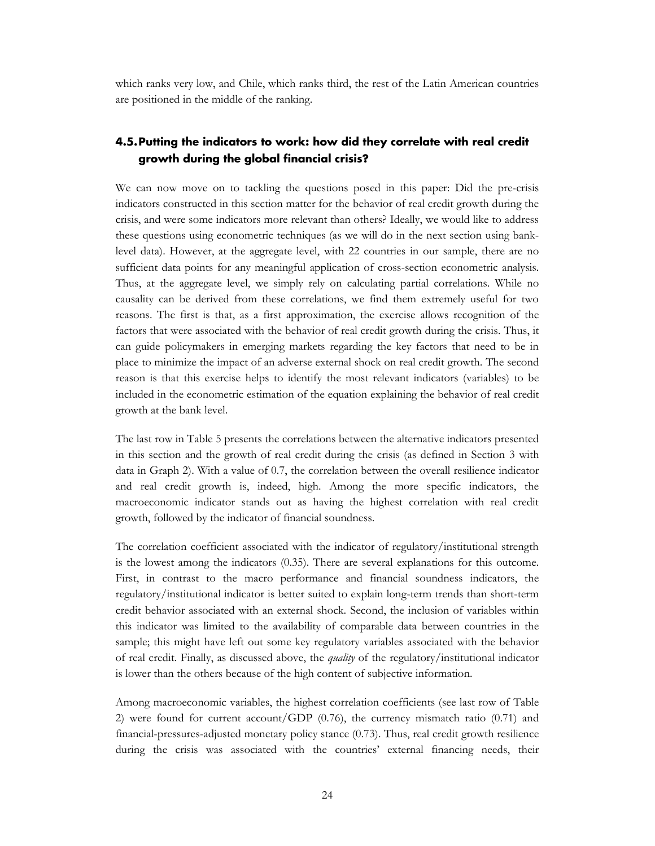which ranks very low, and Chile, which ranks third, the rest of the Latin American countries are positioned in the middle of the ranking.

## <span id="page-27-0"></span>**4.5.Putting the indicators to work: how did they correlate with real credit growth during the global financial crisis?**

We can now move on to tackling the questions posed in this paper: Did the pre-crisis indicators constructed in this section matter for the behavior of real credit growth during the crisis, and were some indicators more relevant than others? Ideally, we would like to address these questions using econometric techniques (as we will do in the next section using banklevel data). However, at the aggregate level, with 22 countries in our sample, there are no sufficient data points for any meaningful application of cross-section econometric analysis. Thus, at the aggregate level, we simply rely on calculating partial correlations. While no causality can be derived from these correlations, we find them extremely useful for two reasons. The first is that, as a first approximation, the exercise allows recognition of the factors that were associated with the behavior of real credit growth during the crisis. Thus, it can guide policymakers in emerging markets regarding the key factors that need to be in place to minimize the impact of an adverse external shock on real credit growth. The second reason is that this exercise helps to identify the most relevant indicators (variables) to be included in the econometric estimation of the equation explaining the behavior of real credit growth at the bank level.

The last row in Table 5 presents the correlations between the alternative indicators presented in this section and the growth of real credit during the crisis (as defined in Section 3 with data in Graph 2). With a value of 0.7, the correlation between the overall resilience indicator and real credit growth is, indeed, high. Among the more specific indicators, the macroeconomic indicator stands out as having the highest correlation with real credit growth, followed by the indicator of financial soundness.

The correlation coefficient associated with the indicator of regulatory/institutional strength is the lowest among the indicators (0.35). There are several explanations for this outcome. First, in contrast to the macro performance and financial soundness indicators, the regulatory/institutional indicator is better suited to explain long-term trends than short-term credit behavior associated with an external shock. Second, the inclusion of variables within this indicator was limited to the availability of comparable data between countries in the sample; this might have left out some key regulatory variables associated with the behavior of real credit. Finally, as discussed above, the *quality* of the regulatory/institutional indicator is lower than the others because of the high content of subjective information.

Among macroeconomic variables, the highest correlation coefficients (see last row of Table 2) were found for current account/GDP (0.76), the currency mismatch ratio (0.71) and financial-pressures-adjusted monetary policy stance (0.73). Thus, real credit growth resilience during the crisis was associated with the countries' external financing needs, their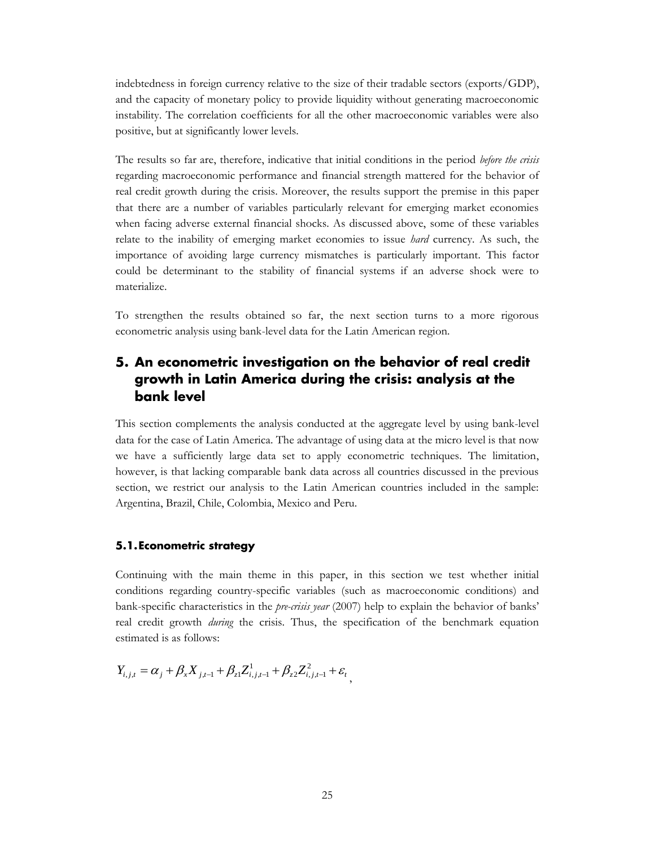indebtedness in foreign currency relative to the size of their tradable sectors (exports/GDP), and the capacity of monetary policy to provide liquidity without generating macroeconomic instability. The correlation coefficients for all the other macroeconomic variables were also positive, but at significantly lower levels.

The results so far are, therefore, indicative that initial conditions in the period *before the crisis*  regarding macroeconomic performance and financial strength mattered for the behavior of real credit growth during the crisis. Moreover, the results support the premise in this paper that there are a number of variables particularly relevant for emerging market economies when facing adverse external financial shocks. As discussed above, some of these variables relate to the inability of emerging market economies to issue *hard* currency. As such, the importance of avoiding large currency mismatches is particularly important. This factor could be determinant to the stability of financial systems if an adverse shock were to materialize.

To strengthen the results obtained so far, the next section turns to a more rigorous econometric analysis using bank-level data for the Latin American region.

## <span id="page-28-0"></span>**5. An econometric investigation on the behavior of real credit growth in Latin America during the crisis: analysis at the bank level**

This section complements the analysis conducted at the aggregate level by using bank-level data for the case of Latin America. The advantage of using data at the micro level is that now we have a sufficiently large data set to apply econometric techniques. The limitation, however, is that lacking comparable bank data across all countries discussed in the previous section, we restrict our analysis to the Latin American countries included in the sample: Argentina, Brazil, Chile, Colombia, Mexico and Peru.

#### <span id="page-28-1"></span>**5.1.Econometric strategy**

Continuing with the main theme in this paper, in this section we test whether initial conditions regarding country-specific variables (such as macroeconomic conditions) and bank-specific characteristics in the *pre-crisis year* (2007) help to explain the behavior of banks' real credit growth *during* the crisis. Thus, the specification of the benchmark equation estimated is as follows:

$$
Y_{i,j,t} = \alpha_j + \beta_x X_{j,t-1} + \beta_{z1} Z_{i,j,t-1}^1 + \beta_{z2} Z_{i,j,t-1}^2 + \varepsilon_t
$$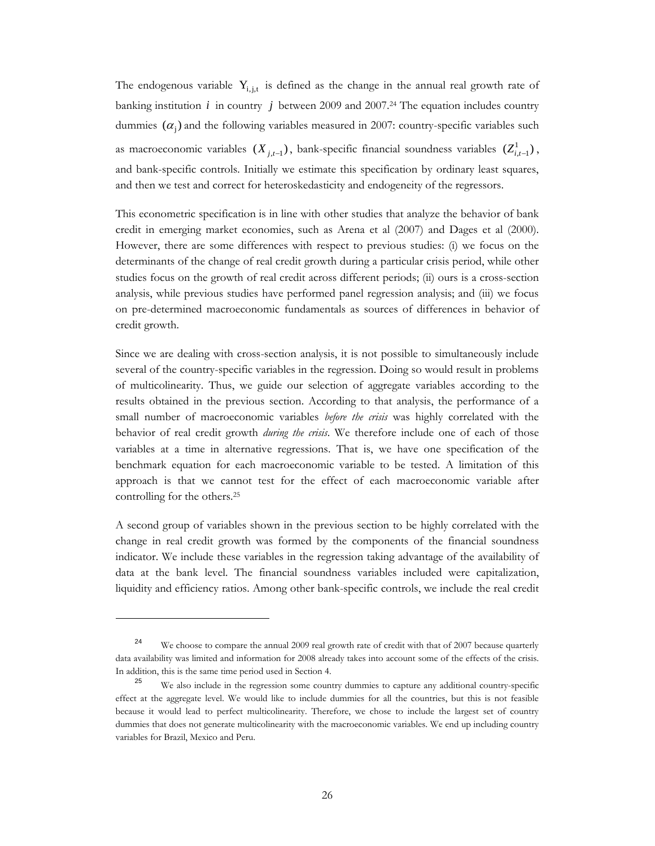The endogenous variable  $Y_{i,j,t}$  is defined as the change in the annual real growth rate of banking institution *i* in country *j* between 2009 and 2007.<sup>24</sup> The equation includes country dummies  $(\alpha_j)$  and the following variables measured in 2007: country-specific variables such as macroeconomic variables  $(X_{j,t-1})$ , bank-specific financial soundness variables  $(Z_{i,t-1}^1)$ , and bank-specific controls. Initially we estimate this specification by ordinary least squares, and then we test and correct for heteroskedasticity and endogeneity of the regressors.

This econometric specification is in line with other studies that analyze the behavior of bank credit in emerging market economies, such as Arena et al (2007) and Dages et al (2000). However, there are some differences with respect to previous studies: (i) we focus on the determinants of the change of real credit growth during a particular crisis period, while other studies focus on the growth of real credit across different periods; (ii) ours is a cross-section analysis, while previous studies have performed panel regression analysis; and (iii) we focus on pre-determined macroeconomic fundamentals as sources of differences in behavior of credit growth.

Since we are dealing with cross-section analysis, it is not possible to simultaneously include several of the country-specific variables in the regression. Doing so would result in problems of multicolinearity. Thus, we guide our selection of aggregate variables according to the results obtained in the previous section. According to that analysis, the performance of a small number of macroeconomic variables *before the crisis* was highly correlated with the behavior of real credit growth *during the crisis*. We therefore include one of each of those variables at a time in alternative regressions. That is, we have one specification of the benchmark equation for each macroeconomic variable to be tested. A limitation of this approach is that we cannot test for the effect of each macroeconomic variable after controlling for the others.<sup>25</sup>

A second group of variables shown in the previous section to be highly correlated with the change in real credit growth was formed by the components of the financial soundness indicator. We include these variables in the regression taking advantage of the availability of data at the bank level. The financial soundness variables included were capitalization, liquidity and efficiency ratios. Among other bank-specific controls, we include the real credit

 $\ddot{\phantom{a}}$ 

<sup>&</sup>lt;sup>24</sup> We choose to compare the annual 2009 real growth rate of credit with that of 2007 because quarterly data availability was limited and information for 2008 already takes into account some of the effects of the crisis. In addition, this is the same time period used in Section 4.

<sup>&</sup>lt;sup>25</sup> We also include in the regression some country dummies to capture any additional country-specific effect at the aggregate level. We would like to include dummies for all the countries, but this is not feasible because it would lead to perfect multicolinearity. Therefore, we chose to include the largest set of country dummies that does not generate multicolinearity with the macroeconomic variables. We end up including country variables for Brazil, Mexico and Peru.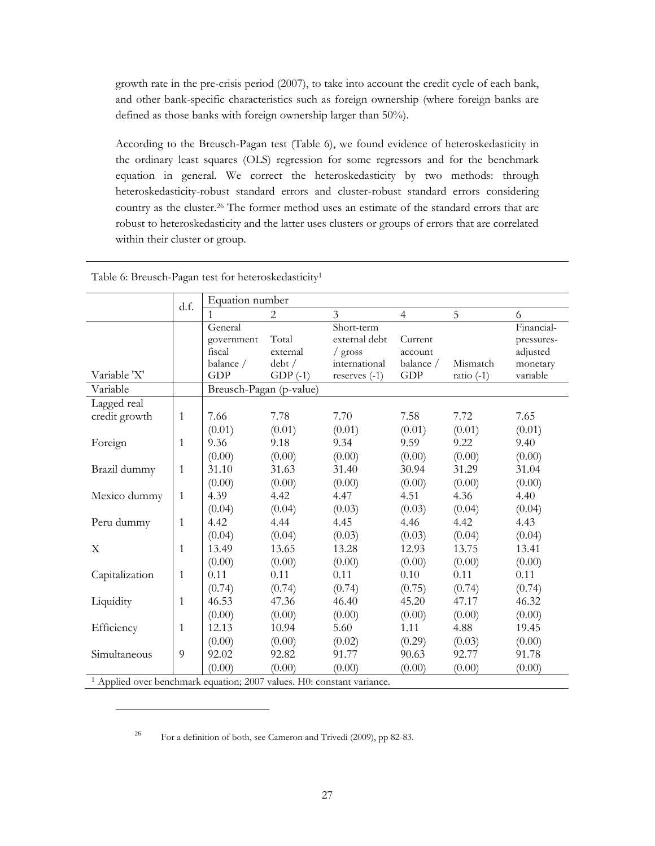growth rate in the pre-crisis period (2007), to take into account the credit cycle of each bank, and other bank-specific characteristics such as foreign ownership (where foreign banks are defined as those banks with foreign ownership larger than 50%).

According to the Breusch-Pagan test (Table 6), we found evidence of heteroskedasticity in the ordinary least squares (OLS) regression for some regressors and for the benchmark equation in general. We correct the heteroskedasticity by two methods: through heteroskedasticity-robust standard errors and cluster-robust standard errors considering country as the cluster. <sup>26</sup> The former method uses an estimate of the standard errors that are robust to heteroskedasticity and the latter uses clusters or groups of errors that are correlated within their cluster or group.

|                                                                                   | d.f.         | Equation number                                            |                                         |                                                                                          |                                        |                          |                                                              |  |
|-----------------------------------------------------------------------------------|--------------|------------------------------------------------------------|-----------------------------------------|------------------------------------------------------------------------------------------|----------------------------------------|--------------------------|--------------------------------------------------------------|--|
|                                                                                   |              |                                                            | 2                                       | 3                                                                                        | $\overline{4}$                         | 5                        | 6                                                            |  |
| Variable 'X'                                                                      |              | General<br>government<br>fiscal<br>balance /<br><b>GDP</b> | Total<br>external<br>debt/<br>$GDP(-1)$ | Short-term<br>external debt<br>$\sqrt{\text{gross}}$<br>international<br>reserves $(-1)$ | Current<br>account<br>balance /<br>GDP | Mismatch<br>ratio $(-1)$ | Financial-<br>pressures-<br>adjusted<br>monetary<br>variable |  |
| Variable                                                                          |              | Breusch-Pagan (p-value)                                    |                                         |                                                                                          |                                        |                          |                                                              |  |
| Lagged real                                                                       |              |                                                            |                                         |                                                                                          |                                        |                          |                                                              |  |
| credit growth                                                                     | $\mathbf{1}$ | 7.66                                                       | 7.78                                    | 7.70                                                                                     | 7.58                                   | 7.72                     | 7.65                                                         |  |
|                                                                                   |              | (0.01)                                                     | (0.01)                                  | (0.01)                                                                                   | (0.01)                                 | (0.01)                   | (0.01)                                                       |  |
| Foreign                                                                           | 1            | 9.36                                                       | 9.18                                    | 9.34                                                                                     | 9.59                                   | 9.22                     | 9.40                                                         |  |
|                                                                                   |              | (0.00)                                                     | (0.00)                                  | (0.00)                                                                                   | (0.00)                                 | (0.00)                   | (0.00)                                                       |  |
| Brazil dummy                                                                      | 1            | 31.10                                                      | 31.63                                   | 31.40                                                                                    | 30.94                                  | 31.29                    | 31.04                                                        |  |
|                                                                                   |              | (0.00)                                                     | (0.00)                                  | (0.00)                                                                                   | (0.00)                                 | (0.00)                   | (0.00)                                                       |  |
| Mexico dummy                                                                      | 1            | 4.39                                                       | 4.42                                    | 4.47                                                                                     | 4.51                                   | 4.36                     | 4.40                                                         |  |
|                                                                                   |              | (0.04)                                                     | (0.04)                                  | (0.03)                                                                                   | (0.03)                                 | (0.04)                   | (0.04)                                                       |  |
| Peru dummy                                                                        | 1            | 4.42                                                       | 4.44                                    | 4.45                                                                                     | 4.46                                   | 4.42                     | 4.43                                                         |  |
|                                                                                   |              | (0.04)                                                     | (0.04)                                  | (0.03)                                                                                   | (0.03)                                 | (0.04)                   | (0.04)                                                       |  |
| X                                                                                 | 1            | 13.49                                                      | 13.65                                   | 13.28                                                                                    | 12.93                                  | 13.75                    | 13.41                                                        |  |
|                                                                                   |              | (0.00)                                                     | (0.00)                                  | (0.00)                                                                                   | (0.00)                                 | (0.00)                   | (0.00)                                                       |  |
| Capitalization                                                                    | $\mathbf{1}$ | 0.11                                                       | 0.11                                    | 0.11                                                                                     | 0.10                                   | 0.11                     | 0.11                                                         |  |
|                                                                                   |              | (0.74)                                                     | (0.74)                                  | (0.74)                                                                                   | (0.75)                                 | (0.74)                   | (0.74)                                                       |  |
| Liquidity                                                                         | 1            | 46.53                                                      | 47.36                                   | 46.40                                                                                    | 45.20                                  | 47.17                    | 46.32                                                        |  |
|                                                                                   |              | (0.00)                                                     | (0.00)                                  | (0.00)                                                                                   | (0.00)                                 | (0.00)                   | (0.00)                                                       |  |
| Efficiency                                                                        | 1            | 12.13                                                      | 10.94                                   | 5.60                                                                                     | 1.11                                   | 4.88                     | 19.45                                                        |  |
|                                                                                   |              | (0.00)                                                     | (0.00)                                  | (0.02)                                                                                   | (0.29)                                 | (0.03)                   | (0.00)                                                       |  |
| Simultaneous                                                                      | 9            | 92.02                                                      | 92.82                                   | 91.77                                                                                    | 90.63                                  | 92.77                    | 91.78                                                        |  |
|                                                                                   |              | (0.00)                                                     | (0.00)                                  | (0.00)                                                                                   | (0.00)                                 | (0.00)                   | (0.00)                                                       |  |
| <sup>1</sup> Applied over benchmark equation; 2007 values. H0: constant variance. |              |                                                            |                                         |                                                                                          |                                        |                          |                                                              |  |

Table 6: Breusch-Pagan test for heteroskedasticity<sup>1</sup>

<sup>&</sup>lt;sup>26</sup> For a definition of both, see Cameron and Trivedi (2009), pp 82-83.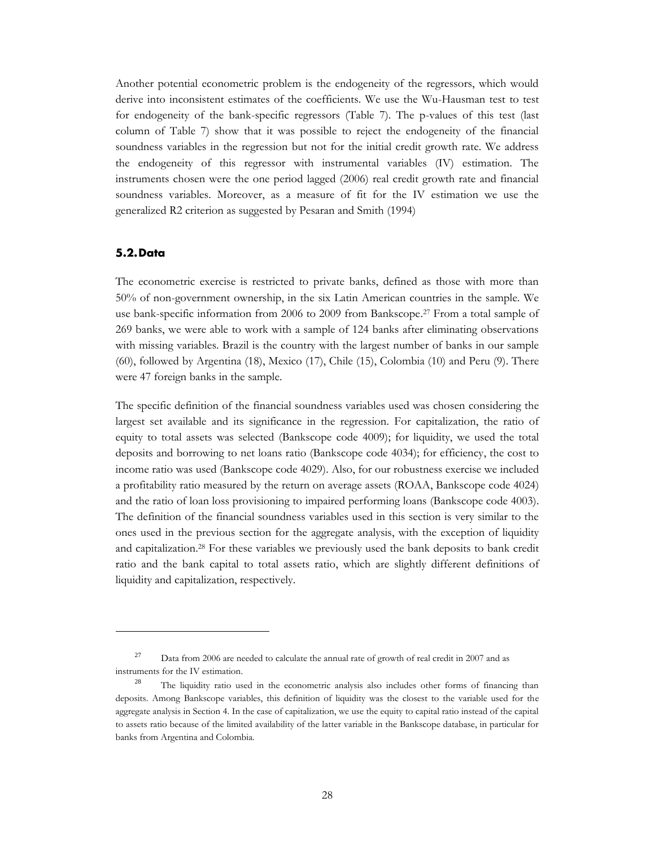Another potential econometric problem is the endogeneity of the regressors, which would derive into inconsistent estimates of the coefficients. We use the Wu-Hausman test to test for endogeneity of the bank-specific regressors (Table 7). The p-values of this test (last column of Table 7) show that it was possible to reject the endogeneity of the financial soundness variables in the regression but not for the initial credit growth rate. We address the endogeneity of this regressor with instrumental variables (IV) estimation. The instruments chosen were the one period lagged (2006) real credit growth rate and financial soundness variables. Moreover, as a measure of fit for the IV estimation we use the generalized R2 criterion as suggested by Pesaran and Smith (1994)

#### <span id="page-31-0"></span>**5.2.Data**

 $\overline{a}$ 

The econometric exercise is restricted to private banks, defined as those with more than 50% of non-government ownership, in the six Latin American countries in the sample. We use bank-specific information from 2006 to 2009 from Bankscope. <sup>27</sup> From a total sample of 269 banks, we were able to work with a sample of 124 banks after eliminating observations with missing variables. Brazil is the country with the largest number of banks in our sample (60), followed by Argentina (18), Mexico (17), Chile (15), Colombia (10) and Peru (9). There were 47 foreign banks in the sample.

The specific definition of the financial soundness variables used was chosen considering the largest set available and its significance in the regression. For capitalization, the ratio of equity to total assets was selected (Bankscope code 4009); for liquidity, we used the total deposits and borrowing to net loans ratio (Bankscope code 4034); for efficiency, the cost to income ratio was used (Bankscope code 4029). Also, for our robustness exercise we included a profitability ratio measured by the return on average assets (ROAA, Bankscope code 4024) and the ratio of loan loss provisioning to impaired performing loans (Bankscope code 4003). The definition of the financial soundness variables used in this section is very similar to the ones used in the previous section for the aggregate analysis, with the exception of liquidity and capitalization. <sup>28</sup> For these variables we previously used the bank deposits to bank credit ratio and the bank capital to total assets ratio, which are slightly different definitions of liquidity and capitalization, respectively.

<sup>&</sup>lt;sup>27</sup> Data from 2006 are needed to calculate the annual rate of growth of real credit in 2007 and as instruments for the IV estimation.

<sup>&</sup>lt;sup>28</sup> The liquidity ratio used in the econometric analysis also includes other forms of financing than deposits. Among Bankscope variables, this definition of liquidity was the closest to the variable used for the aggregate analysis in Section 4. In the case of capitalization, we use the equity to capital ratio instead of the capital to assets ratio because of the limited availability of the latter variable in the Bankscope database, in particular for banks from Argentina and Colombia.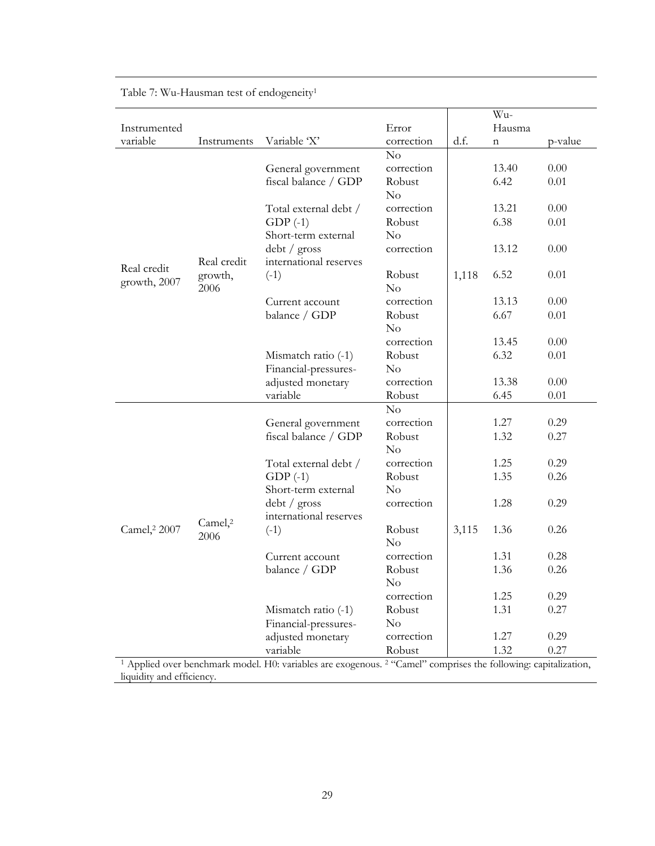|                          |                     |                                                                                                                                                   |            |       | Wu-          |         |
|--------------------------|---------------------|---------------------------------------------------------------------------------------------------------------------------------------------------|------------|-------|--------------|---------|
| Instrumented             |                     |                                                                                                                                                   | Error      |       | Hausma       |         |
| variable                 | Instruments         | Variable 'X'                                                                                                                                      | correction | d.f.  | n            | p-value |
|                          |                     |                                                                                                                                                   | $\rm No$   |       |              |         |
|                          |                     | General government                                                                                                                                | correction |       | 13.40        | 0.00    |
|                          |                     | fiscal balance / GDP                                                                                                                              | Robust     |       | 6.42         | 0.01    |
|                          |                     |                                                                                                                                                   | No         |       |              |         |
|                          |                     | Total external debt /                                                                                                                             | correction |       | 13.21        | 0.00    |
|                          |                     | $GDP(-1)$                                                                                                                                         | Robust     |       | 6.38         | 0.01    |
|                          |                     | Short-term external                                                                                                                               | No         |       |              |         |
|                          |                     | debt / gross                                                                                                                                      | correction |       | 13.12        | 0.00    |
| Real credit              | Real credit         | international reserves                                                                                                                            |            |       |              |         |
| growth, 2007             | growth,             | $(-1)$                                                                                                                                            | Robust     | 1,118 | 6.52         | 0.01    |
|                          | 2006                |                                                                                                                                                   | No         |       |              |         |
|                          |                     | Current account                                                                                                                                   | correction |       | 13.13        | 0.00    |
|                          |                     | balance / GDP                                                                                                                                     | Robust     |       | 6.67         | 0.01    |
|                          |                     |                                                                                                                                                   | No         |       |              |         |
|                          |                     |                                                                                                                                                   | correction |       | 13.45        | 0.00    |
|                          |                     | Mismatch ratio (-1)                                                                                                                               | Robust     |       | 6.32         | 0.01    |
|                          |                     | Financial-pressures-                                                                                                                              | No         |       |              |         |
|                          |                     | adjusted monetary                                                                                                                                 | correction |       | 13.38        | 0.00    |
|                          |                     | variable                                                                                                                                          | Robust     |       | 6.45         | 0.01    |
|                          |                     |                                                                                                                                                   | No         |       |              |         |
|                          |                     | General government                                                                                                                                | correction |       | 1.27         | 0.29    |
|                          |                     | fiscal balance / GDP                                                                                                                              | Robust     |       | 1.32         | 0.27    |
|                          |                     |                                                                                                                                                   | No         |       |              |         |
|                          |                     | Total external debt /                                                                                                                             | correction |       | 1.25         | 0.29    |
|                          |                     | $GDP(-1)$                                                                                                                                         | Robust     |       | 1.35         | 0.26    |
|                          |                     | Short-term external                                                                                                                               | No         |       |              |         |
|                          |                     | debt / gross                                                                                                                                      | correction |       | 1.28         | 0.29    |
|                          | Camel, <sup>2</sup> | international reserves                                                                                                                            |            |       |              |         |
| Camel, <sup>2</sup> 2007 | 2006                | $(-1)$                                                                                                                                            | Robust     | 3,115 | 1.36         | 0.26    |
|                          |                     |                                                                                                                                                   | No         |       |              |         |
|                          |                     | Current account                                                                                                                                   | correction |       | 1.31         | 0.28    |
|                          |                     | balance / GDP                                                                                                                                     | Robust     |       | 1.36         | 0.26    |
|                          |                     |                                                                                                                                                   | $\rm No$   |       |              |         |
|                          |                     |                                                                                                                                                   | correction |       | 1.25         | 0.29    |
|                          |                     | Mismatch ratio (-1)                                                                                                                               | Robust     |       | 1.31         | 0.27    |
|                          |                     | Financial-pressures-                                                                                                                              | $\rm No$   |       |              |         |
|                          |                     | adjusted monetary                                                                                                                                 | correction |       | 1.27<br>1.32 | 0.29    |
|                          |                     | variable<br><sup>1</sup> Applied over benchmark model. H0: variables are exogenous. <sup>2</sup> "Camel" comprises the following: capitalization, | Robust     |       |              | 0.27    |

### Table 7: Wu-Hausman test of endogeneity<sup>1</sup>

<sup>1</sup> Applied over benchmark model. H0: variables are exogenous. <sup>2</sup> "Camel" comprises the following: capitalization, liquidity and efficiency.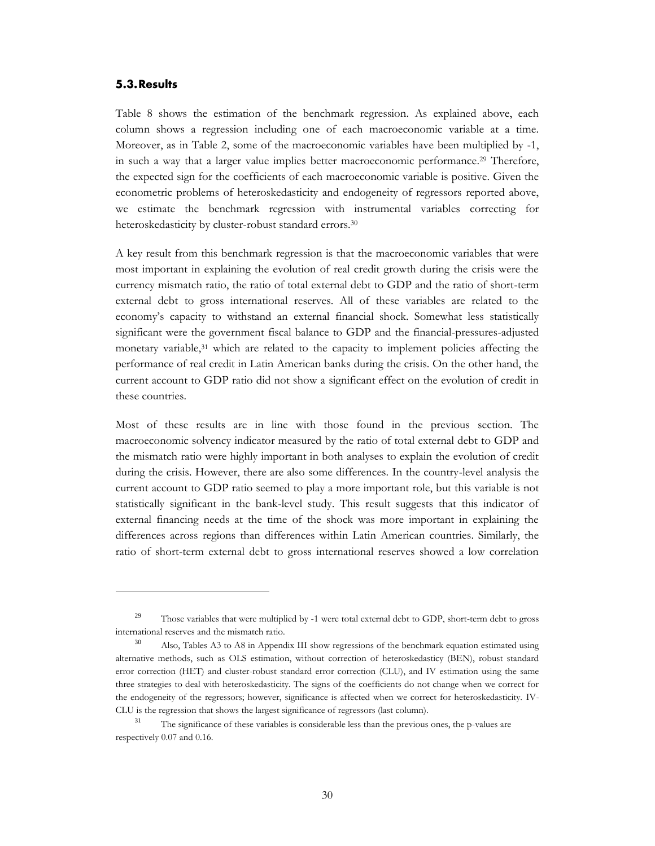#### <span id="page-33-0"></span>**5.3.Results**

 $\overline{a}$ 

Table 8 shows the estimation of the benchmark regression. As explained above, each column shows a regression including one of each macroeconomic variable at a time. Moreover, as in Table 2, some of the macroeconomic variables have been multiplied by -1, in such a way that a larger value implies better macroeconomic performance. <sup>29</sup> Therefore, the expected sign for the coefficients of each macroeconomic variable is positive. Given the econometric problems of heteroskedasticity and endogeneity of regressors reported above, we estimate the benchmark regression with instrumental variables correcting for heteroskedasticity by cluster-robust standard errors.<sup>30</sup>

A key result from this benchmark regression is that the macroeconomic variables that were most important in explaining the evolution of real credit growth during the crisis were the currency mismatch ratio, the ratio of total external debt to GDP and the ratio of short-term external debt to gross international reserves. All of these variables are related to the economy's capacity to withstand an external financial shock. Somewhat less statistically significant were the government fiscal balance to GDP and the financial-pressures-adjusted monetary variable,<sup>31</sup> which are related to the capacity to implement policies affecting the performance of real credit in Latin American banks during the crisis. On the other hand, the current account to GDP ratio did not show a significant effect on the evolution of credit in these countries.

Most of these results are in line with those found in the previous section. The macroeconomic solvency indicator measured by the ratio of total external debt to GDP and the mismatch ratio were highly important in both analyses to explain the evolution of credit during the crisis. However, there are also some differences. In the country-level analysis the current account to GDP ratio seemed to play a more important role, but this variable is not statistically significant in the bank-level study. This result suggests that this indicator of external financing needs at the time of the shock was more important in explaining the differences across regions than differences within Latin American countries. Similarly, the ratio of short-term external debt to gross international reserves showed a low correlation

<sup>&</sup>lt;sup>29</sup> Those variables that were multiplied by -1 were total external debt to GDP, short-term debt to gross international reserves and the mismatch ratio.

Also, Tables A3 to A8 in Appendix III show regressions of the benchmark equation estimated using alternative methods, such as OLS estimation, without correction of heteroskedasticy (BEN), robust standard error correction (HET) and cluster-robust standard error correction (CLU), and IV estimation using the same three strategies to deal with heteroskedasticity. The signs of the coefficients do not change when we correct for the endogeneity of the regressors; however, significance is affected when we correct for heteroskedasticity. IV-CLU is the regression that shows the largest significance of regressors (last column).

The significance of these variables is considerable less than the previous ones, the p-values are respectively 0.07 and 0.16.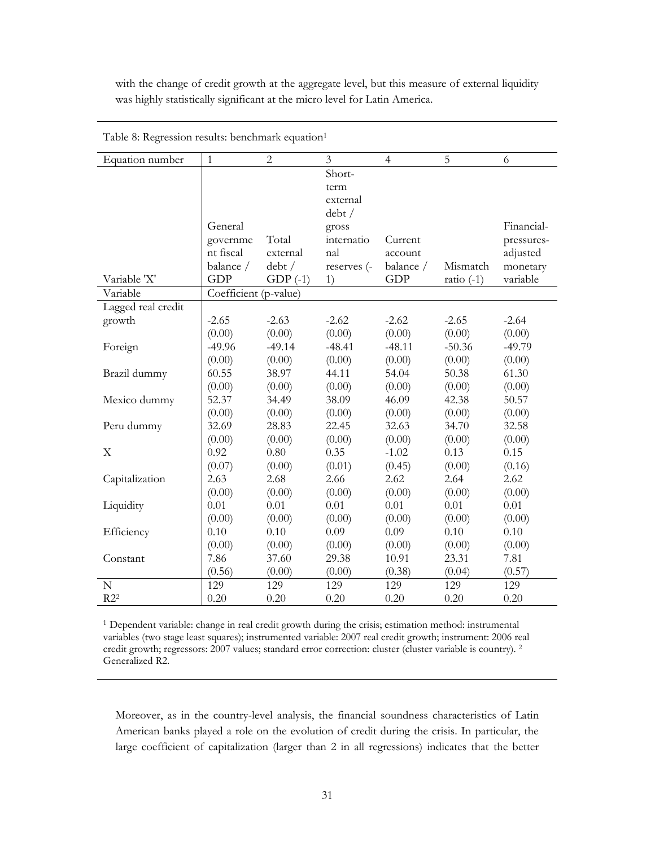with the change of credit growth at the aggregate level, but this measure of external liquidity was highly statistically significant at the micro level for Latin America.

| Equation number           | $\mathbf{1}$          | $\overline{2}$ | $\overline{3}$ | $\overline{4}$ | 5              | 6              |
|---------------------------|-----------------------|----------------|----------------|----------------|----------------|----------------|
|                           |                       |                | Short-         |                |                |                |
|                           |                       |                | term           |                |                |                |
|                           |                       |                | external       |                |                |                |
|                           |                       |                | debt /         |                |                |                |
|                           | General               |                | gross          |                |                | Financial-     |
|                           | governme              | Total          | internatio     | Current        |                | pressures-     |
|                           | nt fiscal             | external       | nal            | account        |                | adjusted       |
|                           | balance /             | debt /         | reserves (-    | balance /      | Mismatch       | monetary       |
| Variable 'X'              | <b>GDP</b>            | $GDP(-1)$      | 1)             | <b>GDP</b>     | ratio $(-1)$   | variable       |
| Variable                  | Coefficient (p-value) |                |                |                |                |                |
| Lagged real credit        |                       |                |                |                |                |                |
| growth                    | $-2.65$               | $-2.63$        | $-2.62$        | $-2.62$        | $-2.65$        | $-2.64$        |
|                           | (0.00)                | (0.00)         | (0.00)         | (0.00)         | (0.00)         | (0.00)         |
| Foreign                   | $-49.96$              | $-49.14$       | $-48.41$       | $-48.11$       | $-50.36$       | $-49.79$       |
|                           | (0.00)                | (0.00)         | (0.00)         | (0.00)         | (0.00)         | (0.00)         |
| Brazil dummy              | 60.55                 | 38.97          | 44.11          | 54.04          | 50.38          | 61.30          |
|                           | (0.00)                | (0.00)         | (0.00)         | (0.00)         | (0.00)         | (0.00)         |
| Mexico dummy              | 52.37                 | 34.49          | 38.09          | 46.09          | 42.38          | 50.57          |
|                           | (0.00)                | (0.00)         | (0.00)         | (0.00)         | (0.00)         | (0.00)         |
| Peru dummy                | 32.69                 | 28.83          | 22.45          | 32.63          | 34.70          | 32.58          |
| $\boldsymbol{\mathrm{X}}$ | (0.00)<br>0.92        | (0.00)         | (0.00)         | (0.00)         | (0.00)         | (0.00)         |
|                           |                       | 0.80           | 0.35           | $-1.02$        | 0.13           | 0.15           |
|                           | (0.07)                | (0.00)         | (0.01)         | (0.45)         | (0.00)         | (0.16)         |
| Capitalization            | 2.63                  | 2.68           | 2.66           | 2.62           | 2.64           | 2.62           |
|                           | (0.00)                | (0.00)         | (0.00)         | (0.00)         | (0.00)         | (0.00)         |
| Liquidity                 | 0.01                  | 0.01           | 0.01           | 0.01           | 0.01           | 0.01           |
| Efficiency                | (0.00)<br>0.10        | (0.00)<br>0.10 | (0.00)<br>0.09 | (0.00)<br>0.09 | (0.00)<br>0.10 | (0.00)<br>0.10 |
|                           | (0.00)                | (0.00)         | (0.00)         | (0.00)         | (0.00)         |                |
| Constant                  | 7.86                  | 37.60          | 29.38          | 10.91          | 23.31          | (0.00)<br>7.81 |
|                           | (0.56)                | (0.00)         | (0.00)         | (0.38)         | (0.04)         | (0.57)         |
| ${\bf N}$                 | 129                   | 129            | 129            | 129            | 129            | 129            |
|                           |                       |                |                |                |                |                |
| R2 <sup>2</sup>           | 0.20                  | 0.20           | 0.20           | 0.20           | 0.20           | 0.20           |

Table 8: Regression results: benchmark equation<sup>1</sup>

<sup>1</sup> Dependent variable: change in real credit growth during the crisis; estimation method: instrumental variables (two stage least squares); instrumented variable: 2007 real credit growth; instrument: 2006 real credit growth; regressors: 2007 values; standard error correction: cluster (cluster variable is country). <sup>2</sup> Generalized R2.

Moreover, as in the country-level analysis, the financial soundness characteristics of Latin American banks played a role on the evolution of credit during the crisis. In particular, the large coefficient of capitalization (larger than 2 in all regressions) indicates that the better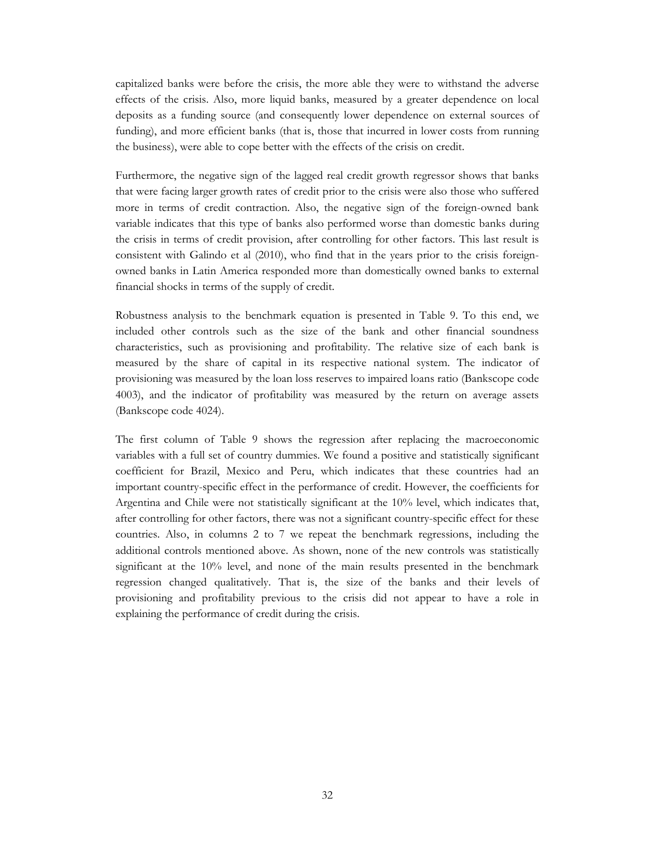capitalized banks were before the crisis, the more able they were to withstand the adverse effects of the crisis. Also, more liquid banks, measured by a greater dependence on local deposits as a funding source (and consequently lower dependence on external sources of funding), and more efficient banks (that is, those that incurred in lower costs from running the business), were able to cope better with the effects of the crisis on credit.

Furthermore, the negative sign of the lagged real credit growth regressor shows that banks that were facing larger growth rates of credit prior to the crisis were also those who suffered more in terms of credit contraction. Also, the negative sign of the foreign-owned bank variable indicates that this type of banks also performed worse than domestic banks during the crisis in terms of credit provision, after controlling for other factors. This last result is consistent with Galindo et al (2010), who find that in the years prior to the crisis foreignowned banks in Latin America responded more than domestically owned banks to external financial shocks in terms of the supply of credit.

Robustness analysis to the benchmark equation is presented in Table 9. To this end, we included other controls such as the size of the bank and other financial soundness characteristics, such as provisioning and profitability. The relative size of each bank is measured by the share of capital in its respective national system. The indicator of provisioning was measured by the loan loss reserves to impaired loans ratio (Bankscope code 4003), and the indicator of profitability was measured by the return on average assets (Bankscope code 4024).

The first column of Table 9 shows the regression after replacing the macroeconomic variables with a full set of country dummies. We found a positive and statistically significant coefficient for Brazil, Mexico and Peru, which indicates that these countries had an important country-specific effect in the performance of credit. However, the coefficients for Argentina and Chile were not statistically significant at the 10% level, which indicates that, after controlling for other factors, there was not a significant country-specific effect for these countries. Also, in columns 2 to 7 we repeat the benchmark regressions, including the additional controls mentioned above. As shown, none of the new controls was statistically significant at the 10% level, and none of the main results presented in the benchmark regression changed qualitatively. That is, the size of the banks and their levels of provisioning and profitability previous to the crisis did not appear to have a role in explaining the performance of credit during the crisis.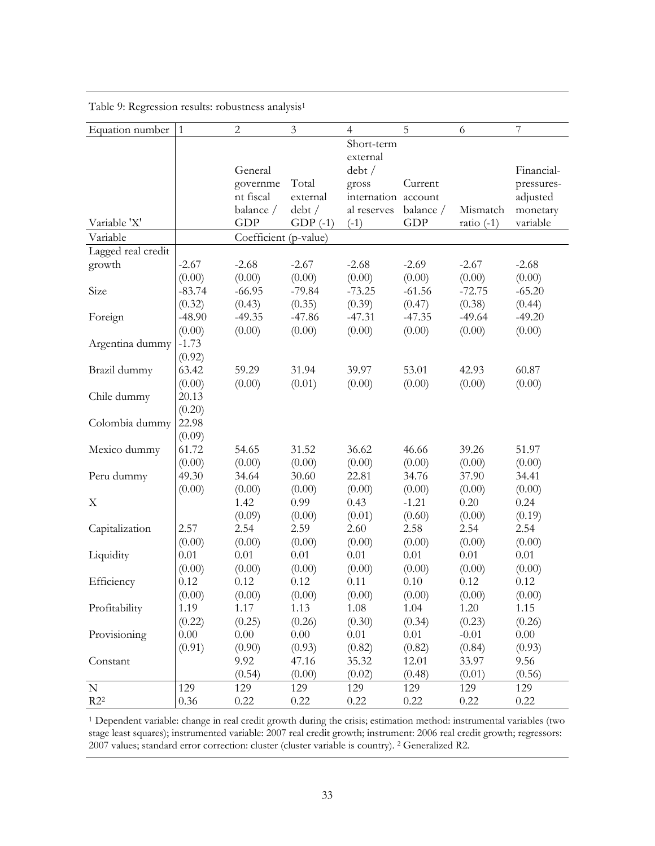| Table 9: Regression results: robustness analysis <sup>1</sup> |  |  |
|---------------------------------------------------------------|--|--|
|                                                               |  |  |

| Equation number    | $\vert$ 1 | $\overline{2}$        | 3               | $\overline{4}$      | 5               | 6               | 7              |
|--------------------|-----------|-----------------------|-----------------|---------------------|-----------------|-----------------|----------------|
|                    |           |                       |                 | Short-term          |                 |                 |                |
|                    |           |                       |                 | external            |                 |                 |                |
|                    |           | General               |                 | debt /              |                 |                 | Financial-     |
|                    |           | governme              | Total           | gross               | Current         |                 | pressures-     |
|                    |           | nt fiscal             | external        | internation account |                 |                 | adjusted       |
|                    |           | balance /             | debt /          | al reserves         | balance /       | Mismatch        | monetary       |
| Variable 'X'       |           | <b>GDP</b>            | $GDP(-1)$       | $(-1)$              | <b>GDP</b>      | ratio $(-1)$    | variable       |
| Variable           |           | Coefficient (p-value) |                 |                     |                 |                 |                |
| Lagged real credit |           |                       |                 |                     |                 |                 |                |
| growth             | $-2.67$   | $-2.68$               | $-2.67$         | $-2.68$             | $-2.69$         | $-2.67$         | $-2.68$        |
|                    | (0.00)    | (0.00)                | (0.00)          | (0.00)              | (0.00)          | (0.00)          | (0.00)         |
| Size               | $-83.74$  | $-66.95$              | $-79.84$        | $-73.25$            | $-61.56$        | $-72.75$        | $-65.20$       |
|                    | (0.32)    | (0.43)                | (0.35)          | (0.39)              | (0.47)          | (0.38)          | (0.44)         |
| Foreign            | $-48.90$  | $-49.35$              | $-47.86$        | $-47.31$            | $-47.35$        | $-49.64$        | $-49.20$       |
|                    | (0.00)    | (0.00)                | (0.00)          | (0.00)              | (0.00)          | (0.00)          | (0.00)         |
| Argentina dummy    | $-1.73$   |                       |                 |                     |                 |                 |                |
|                    | (0.92)    |                       |                 |                     |                 |                 |                |
| Brazil dummy       | 63.42     | 59.29                 | 31.94           | 39.97               | 53.01           | 42.93           | 60.87          |
|                    | (0.00)    | (0.00)                | (0.01)          | (0.00)              | (0.00)          | (0.00)          | (0.00)         |
| Chile dummy        | 20.13     |                       |                 |                     |                 |                 |                |
|                    | (0.20)    |                       |                 |                     |                 |                 |                |
| Colombia dummy     | 22.98     |                       |                 |                     |                 |                 |                |
|                    | (0.09)    |                       |                 |                     |                 |                 |                |
| Mexico dummy       | 61.72     | 54.65                 | 31.52           | 36.62               | 46.66           | 39.26           | 51.97          |
|                    | (0.00)    | (0.00)                | (0.00)          | (0.00)              | (0.00)          | (0.00)          | (0.00)         |
| Peru dummy         | 49.30     | 34.64                 | 30.60           | 22.81               | 34.76           | 37.90           | 34.41          |
|                    | (0.00)    | (0.00)                | (0.00)          | (0.00)              | (0.00)          | (0.00)          | (0.00)         |
| X                  |           | 1.42                  | 0.99            | 0.43                | $-1.21$         | 0.20            | 0.24           |
|                    |           | (0.09)                | (0.00)          | (0.01)              | (0.60)          | (0.00)          | (0.19)         |
| Capitalization     | 2.57      | 2.54                  | 2.59            | 2.60                | 2.58            | 2.54            | 2.54           |
|                    | (0.00)    | (0.00)                | (0.00)          | (0.00)              | (0.00)          | (0.00)          | (0.00)         |
| Liquidity          | 0.01      | 0.01                  | $0.01\,$        | $0.01\,$            | 0.01            | 0.01            | 0.01           |
|                    | (0.00)    | (0.00)                | (0.00)          | (0.00)              | (0.00)          | (0.00)          | (0.00)         |
| Efficiency         | 0.12      | 0.12                  | 0.12            | 0.11                | 0.10            | 0.12            | 0.12           |
|                    | (0.00)    | (0.00)                | (0.00)          | (0.00)              | (0.00)          | (0.00)          | (0.00)         |
| Profitability      | 1.19      | 1.17                  | 1.13            | 1.08                | 1.04            | 1.20            | 1.15           |
|                    | (0.22)    | (0.25)                | (0.26)          | (0.30)              | (0.34)          | (0.23)          | (0.26)         |
| Provisioning       | 0.00      | 0.00                  | $0.00\,$        | 0.01                | 0.01            | $-0.01$         | 0.00           |
|                    | (0.91)    | (0.90)                |                 | (0.82)              |                 |                 |                |
| Constant           |           | 9.92                  | (0.93)<br>47.16 | 35.32               | (0.82)          | (0.84)<br>33.97 | (0.93)<br>9.56 |
|                    |           | (0.54)                | (0.00)          | (0.02)              | 12.01<br>(0.48) | (0.01)          | (0.56)         |
| ${\bf N}$          | 129       | 129                   | 129             | 129                 | 129             | 129             | 129            |
| R2 <sup>2</sup>    |           |                       |                 |                     |                 |                 | 0.22           |
|                    | 0.36      | 0.22                  | 0.22            | 0.22                | 0.22            | 0.22            |                |

<sup>1</sup> Dependent variable: change in real credit growth during the crisis; estimation method: instrumental variables (two stage least squares); instrumented variable: 2007 real credit growth; instrument: 2006 real credit growth; regressors: 2007 values; standard error correction: cluster (cluster variable is country). <sup>2</sup> Generalized R2.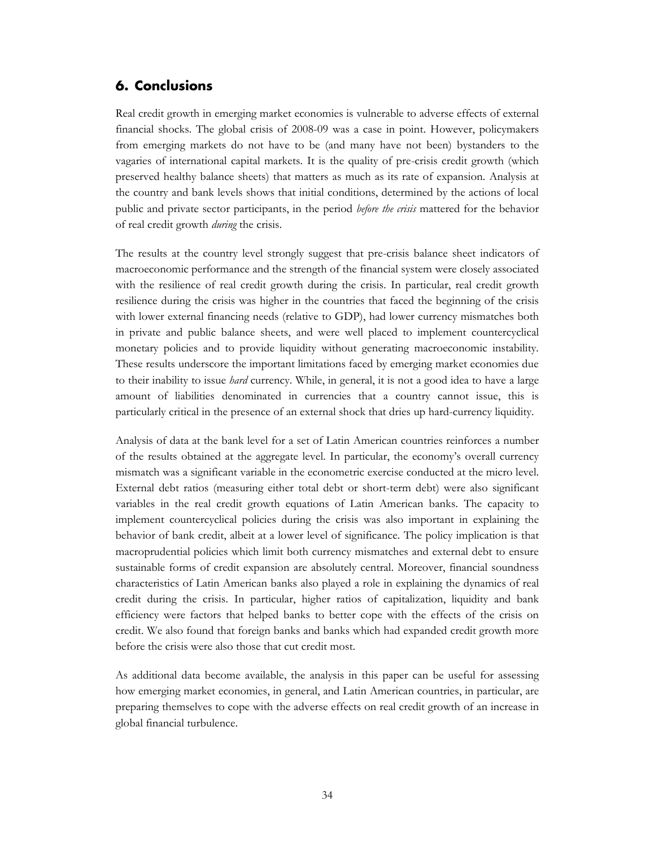## <span id="page-37-0"></span>**6. Conclusions**

Real credit growth in emerging market economies is vulnerable to adverse effects of external financial shocks. The global crisis of 2008-09 was a case in point. However, policymakers from emerging markets do not have to be (and many have not been) bystanders to the vagaries of international capital markets. It is the quality of pre-crisis credit growth (which preserved healthy balance sheets) that matters as much as its rate of expansion. Analysis at the country and bank levels shows that initial conditions, determined by the actions of local public and private sector participants, in the period *before the crisis* mattered for the behavior of real credit growth *during* the crisis.

The results at the country level strongly suggest that pre-crisis balance sheet indicators of macroeconomic performance and the strength of the financial system were closely associated with the resilience of real credit growth during the crisis. In particular, real credit growth resilience during the crisis was higher in the countries that faced the beginning of the crisis with lower external financing needs (relative to GDP), had lower currency mismatches both in private and public balance sheets, and were well placed to implement countercyclical monetary policies and to provide liquidity without generating macroeconomic instability. These results underscore the important limitations faced by emerging market economies due to their inability to issue *hard* currency. While, in general, it is not a good idea to have a large amount of liabilities denominated in currencies that a country cannot issue, this is particularly critical in the presence of an external shock that dries up hard-currency liquidity.

Analysis of data at the bank level for a set of Latin American countries reinforces a number of the results obtained at the aggregate level. In particular, the economy's overall currency mismatch was a significant variable in the econometric exercise conducted at the micro level. External debt ratios (measuring either total debt or short-term debt) were also significant variables in the real credit growth equations of Latin American banks. The capacity to implement countercyclical policies during the crisis was also important in explaining the behavior of bank credit, albeit at a lower level of significance. The policy implication is that macroprudential policies which limit both currency mismatches and external debt to ensure sustainable forms of credit expansion are absolutely central. Moreover, financial soundness characteristics of Latin American banks also played a role in explaining the dynamics of real credit during the crisis. In particular, higher ratios of capitalization, liquidity and bank efficiency were factors that helped banks to better cope with the effects of the crisis on credit. We also found that foreign banks and banks which had expanded credit growth more before the crisis were also those that cut credit most.

As additional data become available, the analysis in this paper can be useful for assessing how emerging market economies, in general, and Latin American countries, in particular, are preparing themselves to cope with the adverse effects on real credit growth of an increase in global financial turbulence.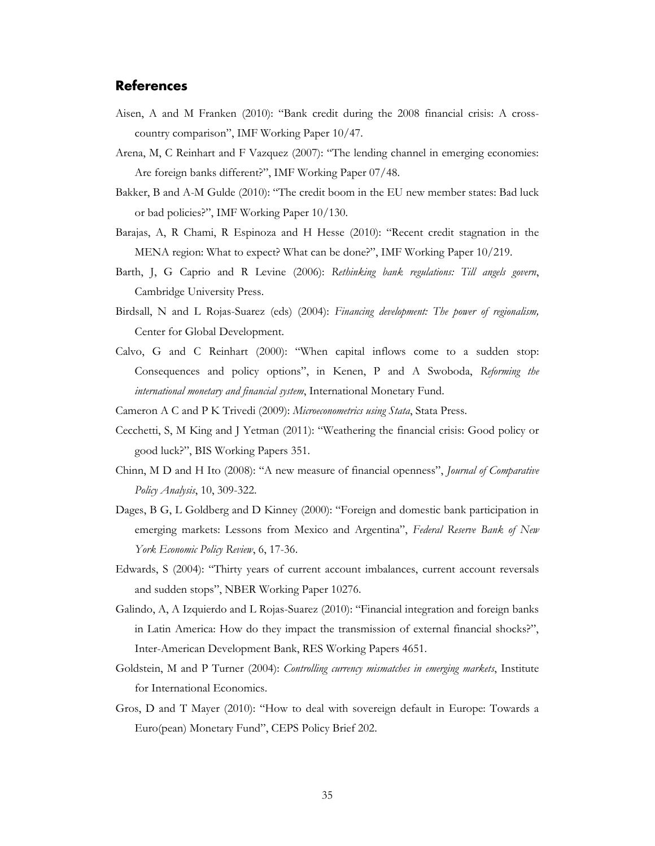## <span id="page-38-0"></span>**References**

- Aisen, A and M Franken (2010): "Bank credit during the 2008 financial crisis: A crosscountry comparison", IMF Working Paper 10/47.
- Arena, M, C Reinhart and F Vazquez (2007): "The lending channel in emerging economies: Are foreign banks different?", IMF Working Paper 07/48.
- Bakker, B and A-M Gulde (2010): "The credit boom in the EU new member states: Bad luck or bad policies?", IMF Working Paper 10/130.
- Barajas, A, R Chami, R Espinoza and H Hesse (2010): "Recent credit stagnation in the MENA region: What to expect? What can be done?", IMF Working Paper 10/219.
- Barth, J, G Caprio and R Levine (2006): *Rethinking bank regulations: Till angels govern*, Cambridge University Press.
- Birdsall, N and L Rojas-Suarez (eds) (2004): *Financing development: The power of regionalism,*  Center for Global Development.
- Calvo, G and C Reinhart (2000): "When capital inflows come to a sudden stop: Consequences and policy options", in Kenen, P and A Swoboda, *Reforming the international monetary and financial system*, International Monetary Fund.
- Cameron A C and P K Trivedi (2009): *Microeconometrics using Stata*, Stata Press.
- Cecchetti, S, M King and J Yetman (2011): "Weathering the financial crisis: Good policy or good luck?", BIS Working Papers 351.
- Chinn, M D and H Ito (2008): "A new measure of financial openness", *Journal of Comparative Policy Analysis*, 10, 309-322.
- Dages, B G, L Goldberg and D Kinney (2000): "Foreign and domestic bank participation in emerging markets: Lessons from Mexico and Argentina", *Federal Reserve Bank of New York Economic Policy Review*, 6, 17-36.
- Edwards, S (2004): "Thirty years of current account imbalances, current account reversals and sudden stops", NBER Working Paper 10276.
- Galindo, A, A Izquierdo and L Rojas-Suarez (2010): "Financial integration and foreign banks in Latin America: How do they impact the transmission of external financial shocks?", Inter-American Development Bank, RES Working Papers 4651.
- Goldstein, M and P Turner (2004): *Controlling currency mismatches in emerging markets*, Institute for International Economics.
- Gros, D and T Mayer (2010): "How to deal with sovereign default in Europe: Towards a Euro(pean) Monetary Fund", CEPS Policy Brief 202.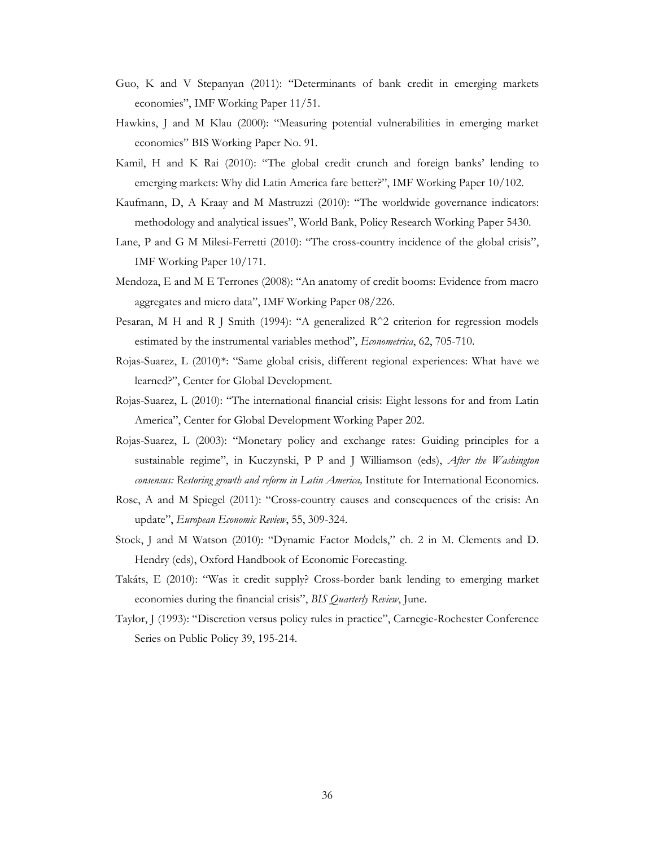- Guo, K and V Stepanyan (2011): "Determinants of bank credit in emerging markets economies", IMF Working Paper 11/51.
- Hawkins, J and M Klau (2000): "Measuring potential vulnerabilities in emerging market economies" BIS Working Paper No. 91.
- Kamil, H and K Rai (2010): "The global credit crunch and foreign banks' lending to emerging markets: Why did Latin America fare better?", IMF Working Paper 10/102.
- Kaufmann, D, A Kraay and M Mastruzzi (2010): "The worldwide governance indicators: methodology and analytical issues", World Bank, Policy Research Working Paper 5430.
- Lane, P and G M Milesi-Ferretti (2010): "The cross-country incidence of the global crisis", IMF Working Paper 10/171.
- Mendoza, E and M E Terrones (2008): "An anatomy of credit booms: Evidence from macro aggregates and micro data", IMF Working Paper 08/226.
- Pesaran, M H and R J Smith (1994): "A generalized R^2 criterion for regression models estimated by the instrumental variables method", *Econometrica*, 62, 705-710.
- Rojas-Suarez, L (2010)\*: "Same global crisis, different regional experiences: What have we learned?", Center for Global Development.
- Rojas-Suarez, L (2010): "The international financial crisis: Eight lessons for and from Latin America", Center for Global Development Working Paper 202.
- Rojas-Suarez, L (2003): "Monetary policy and exchange rates: Guiding principles for a sustainable regime", in Kuczynski, P P and J Williamson (eds), *After the Washington consensus: Restoring growth and reform in Latin America,* Institute for International Economics.
- Rose, A and M Spiegel (2011): "Cross-country causes and consequences of the crisis: An update", *European Economic Review*, 55, 309-324.
- Stock, J and M Watson (2010): "Dynamic Factor Models," ch. 2 in M. Clements and D. Hendry (eds), Oxford Handbook of Economic Forecasting.
- Takáts, E (2010): "Was it credit supply? Cross-border bank lending to emerging market economies during the financial crisis", *BIS Quarterly Review*, June.
- Taylor, J (1993): "Discretion versus policy rules in practice", Carnegie-Rochester Conference Series on Public Policy 39, 195-214.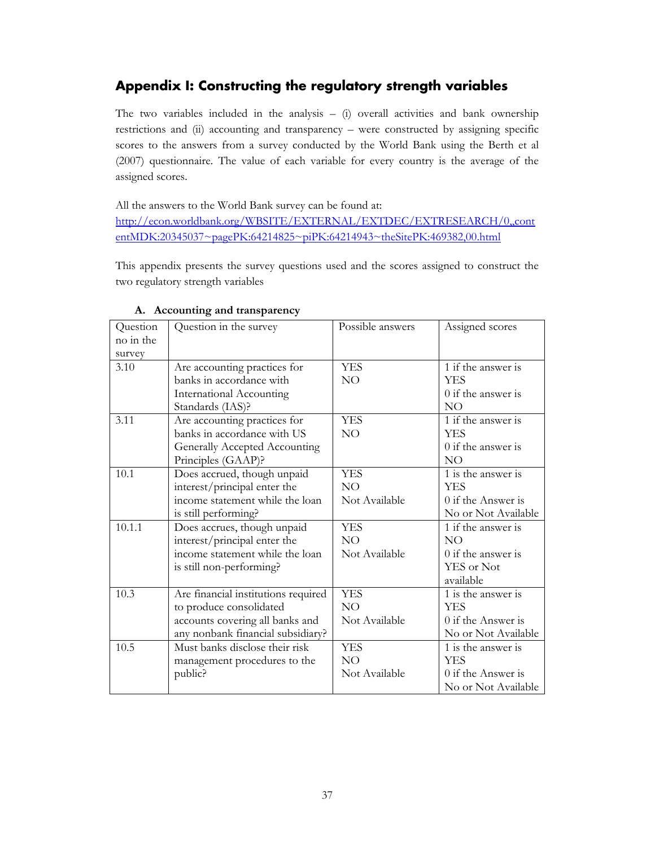## <span id="page-40-0"></span>**Appendix I: Constructing the regulatory strength variables**

The two variables included in the analysis  $-$  (i) overall activities and bank ownership restrictions and (ii) accounting and transparency – were constructed by assigning specific scores to the answers from a survey conducted by the World Bank using the Berth et al (2007) questionnaire. The value of each variable for every country is the average of the assigned scores.

All the answers to the World Bank survey can be found at: [http://econ.worldbank.org/WBSITE/EXTERNAL/EXTDEC/EXTRESEARCH/0,,cont](http://econ.worldbank.org/WBSITE/EXTERNAL/EXTDEC/EXTRESEARCH/0,,contentMDK:20345037~pagePK:64214825~piPK:64214943~theSitePK:469382,00.html) [entMDK:20345037~pagePK:64214825~piPK:64214943~theSitePK:469382,00.html](http://econ.worldbank.org/WBSITE/EXTERNAL/EXTDEC/EXTRESEARCH/0,,contentMDK:20345037~pagePK:64214825~piPK:64214943~theSitePK:469382,00.html)

This appendix presents the survey questions used and the scores assigned to construct the two regulatory strength variables

| Question  | Question in the survey              | Possible answers | Assigned scores      |
|-----------|-------------------------------------|------------------|----------------------|
| no in the |                                     |                  |                      |
| survey    |                                     |                  |                      |
| 3.10      | Are accounting practices for        | <b>YES</b>       | 1 if the answer is   |
|           | banks in accordance with            | NO.              | <b>YES</b>           |
|           | <b>International Accounting</b>     |                  | 0 if the answer is   |
|           | Standards (IAS)?                    |                  | NO                   |
| 3.11      | Are accounting practices for        | <b>YES</b>       | 1 if the answer is   |
|           | banks in accordance with US         | NO               | <b>YES</b>           |
|           | Generally Accepted Accounting       |                  | 0 if the answer is   |
|           | Principles (GAAP)?                  |                  | NO                   |
| 10.1      | Does accrued, though unpaid         | <b>YES</b>       | 1 is the answer is   |
|           | interest/principal enter the        | NO               | <b>YES</b>           |
|           | income statement while the loan     | Not Available    | 0 if the Answer is   |
|           | is still performing?                |                  | No or Not Available  |
| 10.1.1    | Does accrues, though unpaid         | <b>YES</b>       | 1 if the answer is   |
|           | interest/principal enter the        | NO.              | NO                   |
|           | income statement while the loan     | Not Available    | $0$ if the answer is |
|           | is still non-performing?            |                  | YES or Not           |
|           |                                     |                  | available            |
| 10.3      | Are financial institutions required | <b>YES</b>       | 1 is the answer is   |
|           | to produce consolidated             | NO               | <b>YES</b>           |
|           | accounts covering all banks and     | Not Available    | 0 if the Answer is   |
|           | any nonbank financial subsidiary?   |                  | No or Not Available  |
| 10.5      | Must banks disclose their risk      | <b>YES</b>       | 1 is the answer is   |
|           | management procedures to the        | NO               | <b>YES</b>           |
|           | public?                             | Not Available    | 0 if the Answer is   |
|           |                                     |                  | No or Not Available  |

#### **A. Accounting and transparency**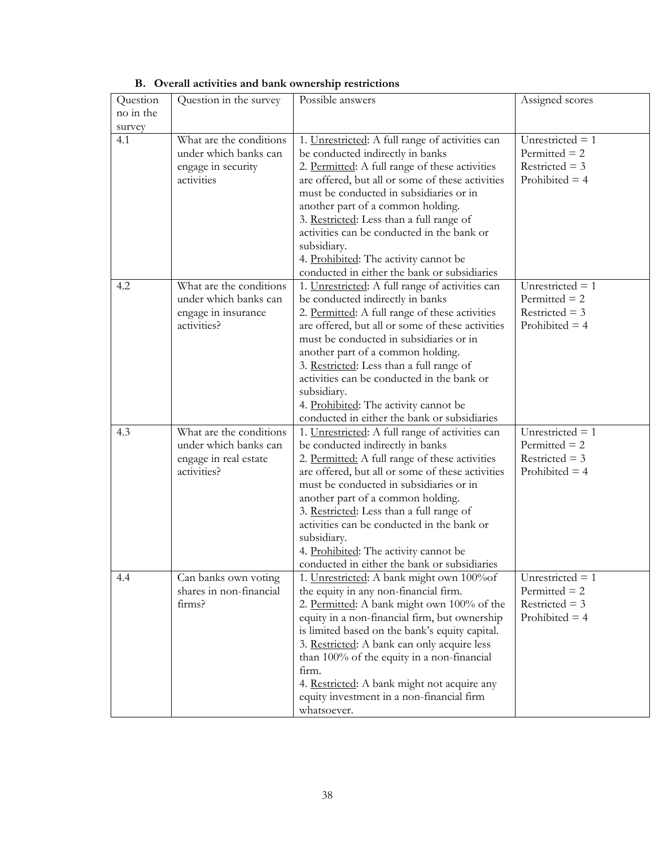| Question  | Question in the survey                          | Possible answers                                                                   | Assigned scores                       |
|-----------|-------------------------------------------------|------------------------------------------------------------------------------------|---------------------------------------|
| no in the |                                                 |                                                                                    |                                       |
| survey    |                                                 |                                                                                    |                                       |
| 4.1       | What are the conditions                         | 1. Unrestricted: A full range of activities can                                    | Unrestricted $= 1$                    |
|           | under which banks can                           | be conducted indirectly in banks                                                   | Permitted $= 2$                       |
|           | engage in security                              | 2. Permitted: A full range of these activities                                     | Restricted $=$ 3                      |
|           | activities                                      | are offered, but all or some of these activities                                   | Prohibited $=$ 4                      |
|           |                                                 | must be conducted in subsidiaries or in                                            |                                       |
|           |                                                 | another part of a common holding.                                                  |                                       |
|           |                                                 | 3. Restricted: Less than a full range of                                           |                                       |
|           |                                                 | activities can be conducted in the bank or                                         |                                       |
|           |                                                 | subsidiary.                                                                        |                                       |
|           |                                                 | 4. Prohibited: The activity cannot be                                              |                                       |
|           |                                                 | conducted in either the bank or subsidiaries                                       |                                       |
| 4.2       | What are the conditions                         | 1. Unrestricted: A full range of activities can                                    | Unrestricted $= 1$                    |
|           | under which banks can                           | be conducted indirectly in banks                                                   | Permitted $= 2$                       |
|           | engage in insurance                             | 2. Permitted: A full range of these activities                                     | Restricted $=$ 3                      |
|           | activities?                                     | are offered, but all or some of these activities                                   | Prohibited $=$ 4                      |
|           |                                                 | must be conducted in subsidiaries or in                                            |                                       |
|           |                                                 | another part of a common holding.                                                  |                                       |
|           |                                                 | 3. Restricted: Less than a full range of                                           |                                       |
|           |                                                 | activities can be conducted in the bank or                                         |                                       |
|           |                                                 | subsidiary.                                                                        |                                       |
|           |                                                 | 4. Prohibited: The activity cannot be                                              |                                       |
|           |                                                 | conducted in either the bank or subsidiaries                                       |                                       |
| 4.3       | What are the conditions                         | 1. Unrestricted: A full range of activities can                                    | Unrestricted $= 1$                    |
|           | under which banks can                           | be conducted indirectly in banks                                                   | Permitted $= 2$                       |
|           | engage in real estate                           | 2. Permitted: A full range of these activities                                     | Restricted $=$ 3                      |
|           | activities?                                     | are offered, but all or some of these activities                                   | Prohibited $=$ 4                      |
|           |                                                 | must be conducted in subsidiaries or in                                            |                                       |
|           |                                                 | another part of a common holding.                                                  |                                       |
|           |                                                 | 3. Restricted: Less than a full range of                                           |                                       |
|           |                                                 | activities can be conducted in the bank or                                         |                                       |
|           |                                                 | subsidiary.                                                                        |                                       |
|           |                                                 | 4. Prohibited: The activity cannot be                                              |                                       |
|           |                                                 | conducted in either the bank or subsidiaries                                       |                                       |
| 4.4       | Can banks own voting<br>shares in non-financial | 1. Unrestricted: A bank might own 100% of<br>the equity in any non-financial firm. | Unrestricted $= 1$<br>Permitted $= 2$ |
|           | firms?                                          | 2. Permitted: A bank might own 100% of the                                         | Restricted $=$ 3                      |
|           |                                                 | equity in a non-financial firm, but ownership                                      | Prohibited $=$ 4                      |
|           |                                                 | is limited based on the bank's equity capital.                                     |                                       |
|           |                                                 | 3. Restricted: A bank can only acquire less                                        |                                       |
|           |                                                 | than 100% of the equity in a non-financial                                         |                                       |
|           |                                                 | firm.                                                                              |                                       |
|           |                                                 | 4. Restricted: A bank might not acquire any                                        |                                       |
|           |                                                 | equity investment in a non-financial firm                                          |                                       |
|           |                                                 | whatsoever.                                                                        |                                       |
|           |                                                 |                                                                                    |                                       |

## **B. Overall activities and bank ownership restrictions**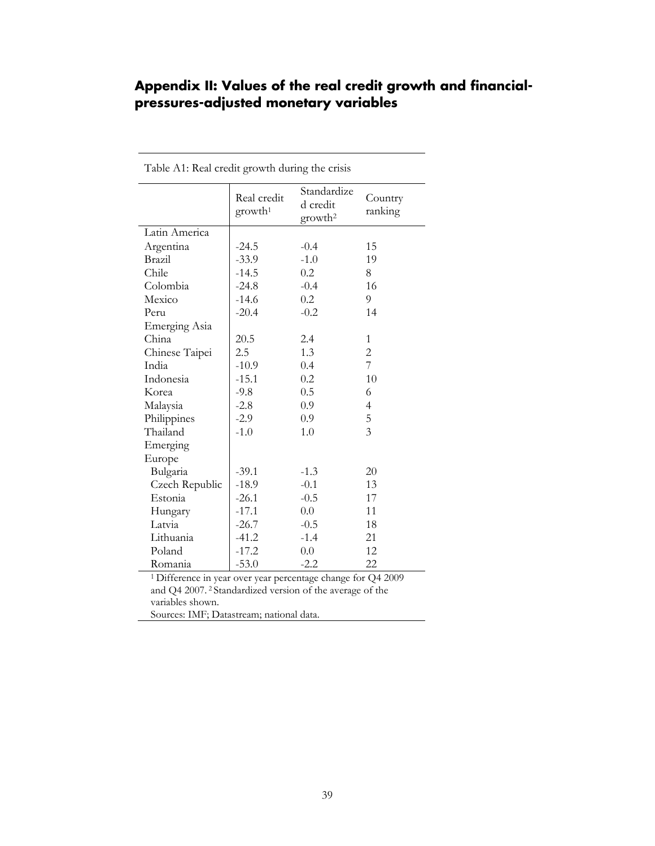## <span id="page-42-0"></span>**Appendix II: Values of the real credit growth and financialpressures-adjusted monetary variables**

|                                                                         | Real credit<br>growth <sup>1</sup> | Standardize<br>d credit<br>growth <sup>2</sup> | Country<br>ranking |
|-------------------------------------------------------------------------|------------------------------------|------------------------------------------------|--------------------|
| Latin America                                                           |                                    |                                                |                    |
| Argentina                                                               | $-24.5$                            | $-0.4$                                         | 15                 |
| Brazil                                                                  | $-33.9$                            | $-1.0$                                         | 19                 |
| Chile                                                                   | $-14.5$                            | 0.2                                            | 8                  |
| Colombia                                                                | $-24.8$                            | $-0.4$                                         | 16                 |
| Mexico                                                                  | $-14.6$                            | 0.2                                            | 9                  |
| Peru                                                                    | $-20.4$                            | $-0.2$                                         | 14                 |
| Emerging Asia                                                           |                                    |                                                |                    |
| China                                                                   | 20.5                               | 2.4                                            | 1                  |
| Chinese Taipei                                                          | 2.5                                | 1.3                                            | $\overline{c}$     |
| India                                                                   | $-10.9$                            | 0.4                                            | 7                  |
| Indonesia                                                               | $-15.1$                            | 0.2                                            | 10                 |
| Korea                                                                   | $-9.8$                             | 0.5                                            | 6                  |
| Malaysia                                                                | $-2.8$                             | 0.9                                            | 4                  |
| Philippines                                                             | $-2.9$                             | 0.9                                            | 5                  |
| Thailand                                                                | $-1.0$                             | 1.0                                            | 3                  |
| Emerging                                                                |                                    |                                                |                    |
| Europe                                                                  |                                    |                                                |                    |
| Bulgaria                                                                | $-39.1$                            | $-1.3$                                         | 20                 |
| Czech Republic                                                          | $-18.9$                            | $-0.1$                                         | 13                 |
| Estonia                                                                 | $-26.1$                            | $-0.5$                                         | 17                 |
| Hungary                                                                 | $-17.1$                            | $0.0\,$                                        | 11                 |
| Latvia                                                                  | $-26.7$                            | $-0.5$                                         | 18                 |
| Lithuania                                                               | $-41.2$                            | $-1.4$                                         | 21                 |
| Poland                                                                  | $-17.2$                            | 0.0                                            | 12                 |
| Romania                                                                 | $-53.0$                            | $-2.2$                                         | 22                 |
| <sup>1</sup> Difference in year over year percentage change for Q4 2009 |                                    |                                                |                    |
| and Q4 2007. <sup>2</sup> Standardized version of the average of the    |                                    |                                                |                    |

## $T$ <sup>11</sup>  $\begin{bmatrix} 1 & 1 & 1 \\ 0 & 1 & 1 \end{bmatrix}$  during the crisis the crisis the crisis the crisis the crisis the crisis the crisis the crisis the crisis the crisis the crisis the crisis the crisis the crisis the crisis the crisi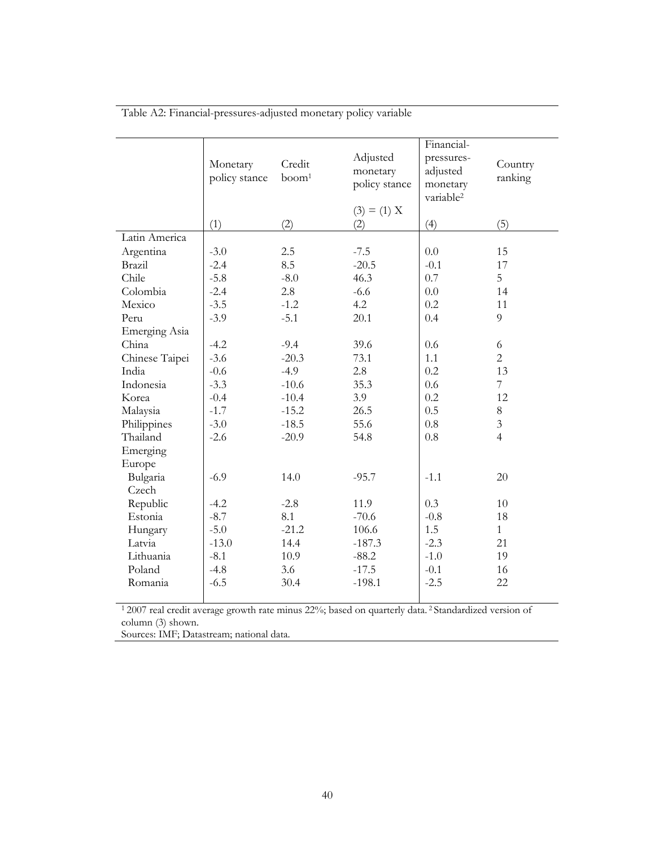|                | Monetary<br>policy stance | Credit<br>boom <sup>1</sup> | Adjusted<br>monetary<br>policy stance | Financial-<br>pressures-<br>adjusted<br>monetary<br>variable <sup>2</sup> | Country<br>ranking |
|----------------|---------------------------|-----------------------------|---------------------------------------|---------------------------------------------------------------------------|--------------------|
|                | (1)                       | (2)                         | $(3) = (1) X$<br>(2)                  | (4)                                                                       | (5)                |
| Latin America  |                           |                             |                                       |                                                                           |                    |
| Argentina      | $-3.0$                    | 2.5                         | $-7.5$                                | 0.0                                                                       | 15                 |
| Brazil         | $-2.4$                    | 8.5                         | $-20.5$                               | $-0.1$                                                                    | 17                 |
| Chile          | $-5.8$                    | $-8.0$                      | 46.3                                  | 0.7                                                                       | 5                  |
| Colombia       | $-2.4$                    | 2.8                         | $-6.6$                                | 0.0                                                                       | 14                 |
| Mexico         | $-3.5$                    | $-1.2$                      | 4.2                                   | 0.2                                                                       | 11                 |
| Peru           | $-3.9$                    | $-5.1$                      | 20.1                                  | 0.4                                                                       | 9                  |
| Emerging Asia  |                           |                             |                                       |                                                                           |                    |
| China          | $-4.2$                    | $-9.4$                      | 39.6                                  | 0.6                                                                       | 6                  |
| Chinese Taipei | $-3.6$                    | $-20.3$                     | 73.1                                  | 1.1                                                                       | $\overline{2}$     |
| India          | $-0.6$                    | $-4.9$                      | 2.8                                   | 0.2                                                                       | 13                 |
| Indonesia      | $-3.3$                    | $-10.6$                     | 35.3                                  | 0.6                                                                       | $\overline{7}$     |
| Korea          | $-0.4$                    | $-10.4$                     | 3.9                                   | 0.2                                                                       | 12                 |
| Malaysia       | $-1.7$                    | $-15.2$                     | 26.5                                  | 0.5                                                                       | 8                  |
| Philippines    | $-3.0$                    | $-18.5$                     | 55.6                                  | 0.8                                                                       | $\overline{3}$     |
| Thailand       | $-2.6$                    | $-20.9$                     | 54.8                                  | 0.8                                                                       | $\overline{4}$     |
| Emerging       |                           |                             |                                       |                                                                           |                    |
| Europe         |                           |                             |                                       |                                                                           |                    |
| Bulgaria       | $-6.9$                    | 14.0                        | $-95.7$                               | $-1.1$                                                                    | 20                 |
| Czech          |                           |                             |                                       |                                                                           |                    |
| Republic       | $-4.2$                    | $-2.8$                      | 11.9                                  | 0.3                                                                       | 10                 |
| Estonia        | $-8.7$                    | 8.1                         | $-70.6$                               | $-0.8$                                                                    | 18                 |
| Hungary        | $-5.0$                    | $-21.2$                     | 106.6                                 | 1.5                                                                       | $\mathbf{1}$       |
| Latvia         | $-13.0$                   | 14.4                        | $-187.3$                              | $-2.3$                                                                    | 21                 |
| Lithuania      | $-8.1$                    | 10.9                        | $-88.2$                               | $-1.0$                                                                    | 19                 |
| Poland         | $-4.8$                    | 3.6                         | $-17.5$                               | $-0.1$                                                                    | 16                 |
| Romania        | $-6.5$                    | 30.4                        | $-198.1$                              | $-2.5$                                                                    | 22                 |
|                |                           |                             |                                       |                                                                           |                    |

Table A2: Financial-pressures-adjusted monetary policy variable

<sup>1</sup> 2007 real credit average growth rate minus 22%; based on quarterly data. <sup>2</sup> Standardized version of column (3) shown.

Sources: IMF; Datastream; national data.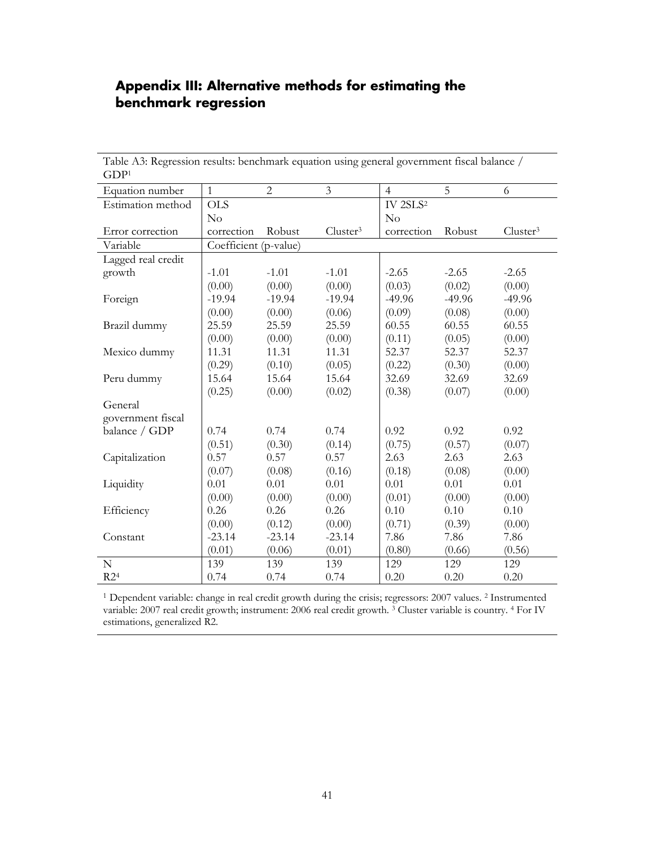## <span id="page-44-0"></span>**Appendix III: Alternative methods for estimating the benchmark regression**

| GDP <sup>1</sup>   |                       |                |                      |                      |          |                      |
|--------------------|-----------------------|----------------|----------------------|----------------------|----------|----------------------|
| Equation number    | $\mathbf{1}$          | $\overline{2}$ | 3                    | $\overline{4}$       | 5        | 6                    |
| Estimation method  | <b>OLS</b>            |                |                      | IV 2SLS <sup>2</sup> |          |                      |
|                    | $\rm No$              |                |                      | $\rm No$             |          |                      |
| Error correction   | correction            | Robust         | Cluster <sup>3</sup> | correction           | Robust   | Cluster <sup>3</sup> |
| Variable           | Coefficient (p-value) |                |                      |                      |          |                      |
| Lagged real credit |                       |                |                      |                      |          |                      |
| growth             | $-1.01$               | $-1.01$        | $-1.01$              | $-2.65$              | $-2.65$  | $-2.65$              |
|                    | (0.00)                | (0.00)         | (0.00)               | (0.03)               | (0.02)   | (0.00)               |
| Foreign            | $-19.94$              | $-19.94$       | $-19.94$             | $-49.96$             | $-49.96$ | $-49.96$             |
|                    | (0.00)                | (0.00)         | (0.06)               | (0.09)               | (0.08)   | (0.00)               |
| Brazil dummy       | 25.59                 | 25.59          | 25.59                | 60.55                | 60.55    | 60.55                |
|                    | (0.00)                | (0.00)         | (0.00)               | (0.11)               | (0.05)   | (0.00)               |
| Mexico dummy       | 11.31                 | 11.31          | 11.31                | 52.37                | 52.37    | 52.37                |
|                    | (0.29)                | (0.10)         | (0.05)               | (0.22)               | (0.30)   | (0.00)               |
| Peru dummy         | 15.64                 | 15.64          | 15.64                | 32.69                | 32.69    | 32.69                |
|                    | (0.25)                | (0.00)         | (0.02)               | (0.38)               | (0.07)   | (0.00)               |
| General            |                       |                |                      |                      |          |                      |
| government fiscal  |                       |                |                      |                      |          |                      |
| balance / GDP      | 0.74                  | 0.74           | 0.74                 | 0.92                 | 0.92     | 0.92                 |
|                    | (0.51)                | (0.30)         | (0.14)               | (0.75)               | (0.57)   | (0.07)               |
| Capitalization     | 0.57                  | 0.57           | 0.57                 | 2.63                 | 2.63     | 2.63                 |
|                    | (0.07)                | (0.08)         | (0.16)               | (0.18)               | (0.08)   | (0.00)               |
| Liquidity          | 0.01                  | 0.01           | 0.01                 | 0.01                 | 0.01     | 0.01                 |
|                    | (0.00)                | (0.00)         | (0.00)               | (0.01)               | (0.00)   | (0.00)               |
| Efficiency         | 0.26                  | 0.26           | 0.26                 | 0.10                 | 0.10     | 0.10                 |
|                    | (0.00)                | (0.12)         | (0.00)               | (0.71)               | (0.39)   | (0.00)               |
| Constant           | $-23.14$              | $-23.14$       | $-23.14$             | 7.86                 | 7.86     | 7.86                 |
|                    | (0.01)                | (0.06)         | (0.01)               | (0.80)               | (0.66)   | (0.56)               |
| $\mathbf N$        | 139                   | 139            | 139                  | 129                  | 129      | 129                  |
| R2 <sup>4</sup>    | 0.74                  | 0.74           | 0.74                 | 0.20                 | 0.20     | 0.20                 |

Table A3: Regression results: benchmark equation using general government fiscal balance /

<sup>1</sup> Dependent variable: change in real credit growth during the crisis; regressors: 2007 values. <sup>2</sup> Instrumented variable: 2007 real credit growth; instrument: 2006 real credit growth. <sup>3</sup> Cluster variable is country. <sup>4</sup> For IV estimations, generalized R2.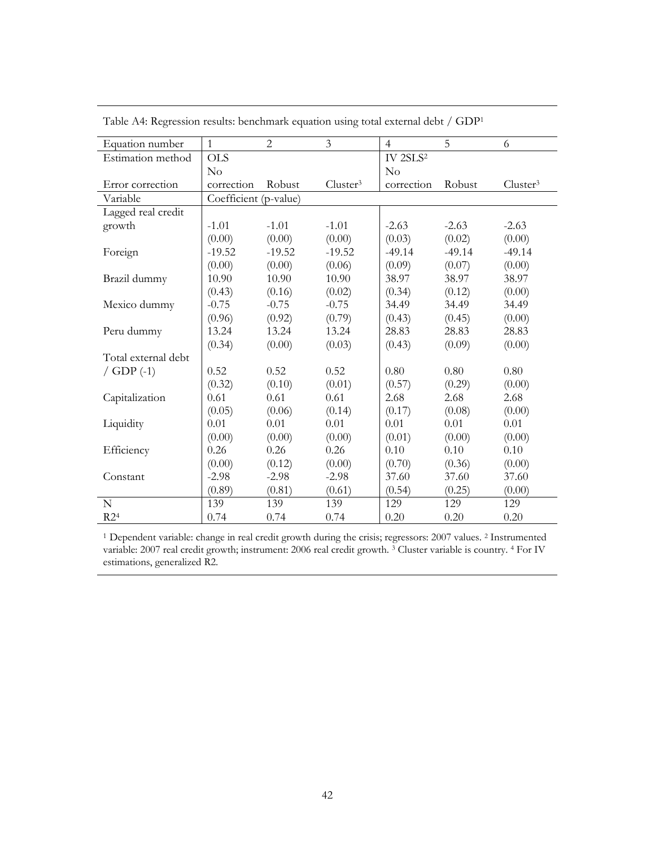| Equation number     | $\mathbf{1}$          | $\overline{2}$ | $\overline{3}$       | $\overline{4}$             | 5        | 6                    |
|---------------------|-----------------------|----------------|----------------------|----------------------------|----------|----------------------|
| Estimation method   | <b>OLS</b>            |                |                      | $\rm IV$ 2SLS <sup>2</sup> |          |                      |
|                     | No                    |                |                      | No                         |          |                      |
| Error correction    | correction            | Robust         | Cluster <sup>3</sup> | correction                 | Robust   | Cluster <sup>3</sup> |
| Variable            | Coefficient (p-value) |                |                      |                            |          |                      |
| Lagged real credit  |                       |                |                      |                            |          |                      |
| growth              | $-1.01$               | $-1.01$        | $-1.01$              | $-2.63$                    | $-2.63$  | $-2.63$              |
|                     | (0.00)                | (0.00)         | (0.00)               | (0.03)                     | (0.02)   | (0.00)               |
| Foreign             | $-19.52$              | $-19.52$       | $-19.52$             | $-49.14$                   | $-49.14$ | $-49.14$             |
|                     | (0.00)                | (0.00)         | (0.06)               | (0.09)                     | (0.07)   | (0.00)               |
| Brazil dummy        | 10.90                 | 10.90          | 10.90                | 38.97                      | 38.97    | 38.97                |
|                     | (0.43)                | (0.16)         | (0.02)               | (0.34)                     | (0.12)   | (0.00)               |
| Mexico dummy        | $-0.75$               | $-0.75$        | $-0.75$              | 34.49                      | 34.49    | 34.49                |
|                     | (0.96)                | (0.92)         | (0.79)               | (0.43)                     | (0.45)   | (0.00)               |
| Peru dummy          | 13.24                 | 13.24          | 13.24                | 28.83                      | 28.83    | 28.83                |
|                     | (0.34)                | (0.00)         | (0.03)               | (0.43)                     | (0.09)   | (0.00)               |
| Total external debt |                       |                |                      |                            |          |                      |
| $/$ GDP $(-1)$      | 0.52                  | 0.52           | 0.52                 | $0.80\,$                   | $0.80\,$ | $0.80\,$             |
|                     | (0.32)                | (0.10)         | (0.01)               | (0.57)                     | (0.29)   | (0.00)               |
| Capitalization      | 0.61                  | 0.61           | 0.61                 | 2.68                       | 2.68     | 2.68                 |
|                     | (0.05)                | (0.06)         | (0.14)               | (0.17)                     | (0.08)   | (0.00)               |
| Liquidity           | 0.01                  | 0.01           | 0.01                 | 0.01                       | 0.01     | 0.01                 |
|                     | (0.00)                | (0.00)         | (0.00)               | (0.01)                     | (0.00)   | (0.00)               |
| Efficiency          | 0.26                  | 0.26           | $0.26\,$             | 0.10                       | 0.10     | 0.10                 |
|                     | (0.00)                | (0.12)         | (0.00)               | (0.70)                     | (0.36)   | (0.00)               |
| Constant            | $-2.98$               | $-2.98$        | $-2.98$              | 37.60                      | 37.60    | 37.60                |
|                     | (0.89)                | (0.81)         | (0.61)               | (0.54)                     | (0.25)   | (0.00)               |
| $\mathbf N$         | 139                   | 139            | 139                  | 129                        | 129      | 129                  |
| R2 <sup>4</sup>     | 0.74                  | 0.74           | 0.74                 | 0.20                       | 0.20     | 0.20                 |

Table A4: Regression results: benchmark equation using total external debt / GDP<sup>1</sup>

<sup>1</sup> Dependent variable: change in real credit growth during the crisis; regressors: 2007 values. <sup>2</sup> Instrumented variable: 2007 real credit growth; instrument: 2006 real credit growth. <sup>3</sup> Cluster variable is country. <sup>4</sup> For IV estimations, generalized R2.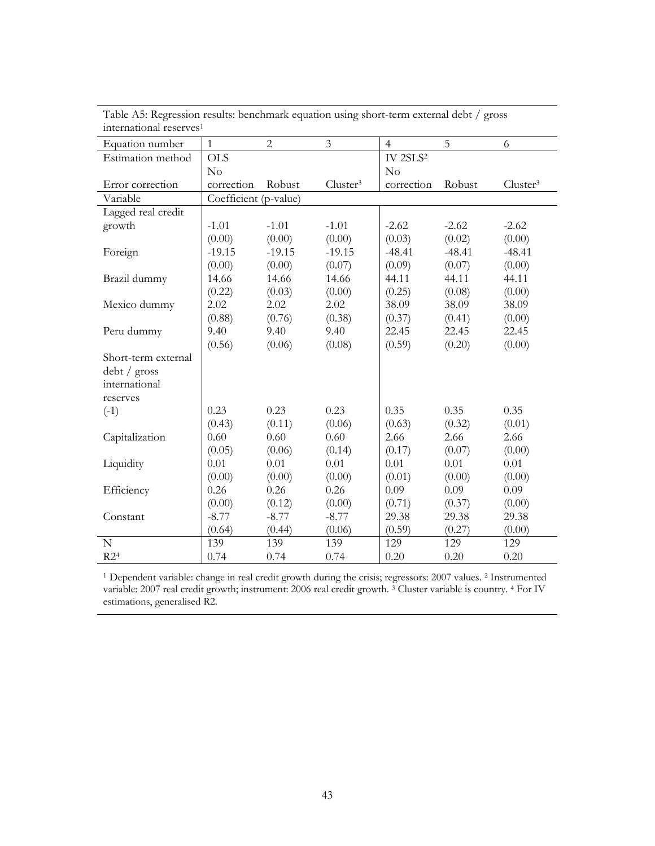| international reserves <sup>1</sup> |                       |                |                      |                      |          |                      |
|-------------------------------------|-----------------------|----------------|----------------------|----------------------|----------|----------------------|
| Equation number                     | $\mathbf{1}$          | $\overline{2}$ | $\overline{3}$       | $\overline{4}$       | 5        | 6                    |
| Estimation method                   | <b>OLS</b>            |                |                      | IV 2SLS <sup>2</sup> |          |                      |
|                                     | No                    |                |                      | No                   |          |                      |
| Error correction                    | correction            | Robust         | Cluster <sup>3</sup> | correction           | Robust   | Cluster <sup>3</sup> |
| Variable                            | Coefficient (p-value) |                |                      |                      |          |                      |
| Lagged real credit                  |                       |                |                      |                      |          |                      |
| growth                              | $-1.01$               | $-1.01$        | $-1.01$              | $-2.62$              | $-2.62$  | $-2.62$              |
|                                     | (0.00)                | (0.00)         | (0.00)               | (0.03)               | (0.02)   | (0.00)               |
| Foreign                             | $-19.15$              | $-19.15$       | $-19.15$             | $-48.41$             | $-48.41$ | $-48.41$             |
|                                     | (0.00)                | (0.00)         | (0.07)               | (0.09)               | (0.07)   | (0.00)               |
| Brazil dummy                        | 14.66                 | 14.66          | 14.66                | 44.11                | 44.11    | 44.11                |
|                                     | (0.22)                | (0.03)         | (0.00)               | (0.25)               | (0.08)   | (0.00)               |
| Mexico dummy                        | 2.02                  | 2.02           | 2.02                 | 38.09                | 38.09    | 38.09                |
|                                     | (0.88)                | (0.76)         | (0.38)               | (0.37)               | (0.41)   | (0.00)               |
| Peru dummy                          | 9.40                  | 9.40           | 9.40                 | 22.45                | 22.45    | 22.45                |
|                                     | (0.56)                | (0.06)         | (0.08)               | (0.59)               | (0.20)   | (0.00)               |
| Short-term external                 |                       |                |                      |                      |          |                      |
| debt / gross                        |                       |                |                      |                      |          |                      |
| international                       |                       |                |                      |                      |          |                      |
| reserves                            |                       |                |                      |                      |          |                      |
| $(-1)$                              | 0.23                  | 0.23           | 0.23                 | 0.35                 | 0.35     | 0.35                 |
|                                     | (0.43)                | (0.11)         | (0.06)               | (0.63)               | (0.32)   | (0.01)               |
| Capitalization                      | 0.60                  | 0.60           | 0.60                 | 2.66                 | 2.66     | 2.66                 |
|                                     | (0.05)                | (0.06)         | (0.14)               | (0.17)               | (0.07)   | (0.00)               |
| Liquidity                           | 0.01                  | 0.01           | 0.01                 | 0.01                 | 0.01     | 0.01                 |
|                                     | (0.00)                | (0.00)         | (0.00)               | (0.01)               | (0.00)   | (0.00)               |
| Efficiency                          | 0.26                  | 0.26           | 0.26                 | 0.09                 | 0.09     | 0.09                 |
|                                     | (0.00)                | (0.12)         | (0.00)               | (0.71)               | (0.37)   | (0.00)               |
| Constant                            | $-8.77$               | $-8.77$        | $-8.77$              | 29.38                | 29.38    | 29.38                |
|                                     | (0.64)                | (0.44)         | (0.06)               | (0.59)               | (0.27)   | (0.00)               |
| $\mathbf N$                         | 139                   | 139            | 139                  | 129                  | 129      | 129                  |
| R2 <sup>4</sup>                     | 0.74                  | 0.74           | 0.74                 | 0.20                 | 0.20     | 0.20                 |

Table A5: Regression results: benchmark equation using short-term external debt / gross international reserves<sup>1</sup>

<sup>1</sup> Dependent variable: change in real credit growth during the crisis; regressors: 2007 values. <sup>2</sup> Instrumented variable: 2007 real credit growth; instrument: 2006 real credit growth. <sup>3</sup> Cluster variable is country. <sup>4</sup> For IV estimations, generalised R2.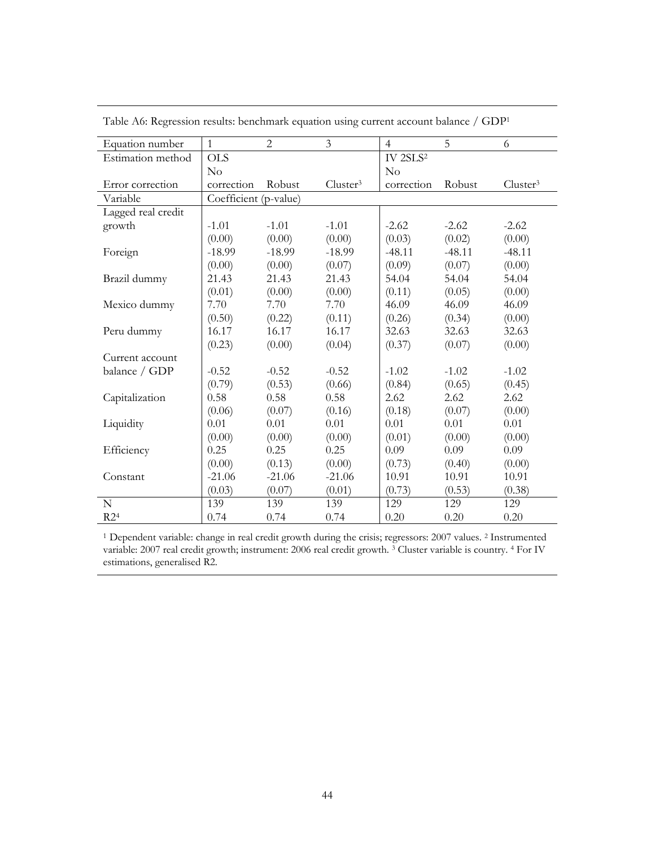| Equation number    | $\mathbf{1}$          | $\overline{2}$ | $\overline{3}$       | $\overline{4}$             | 5        | 6                    |
|--------------------|-----------------------|----------------|----------------------|----------------------------|----------|----------------------|
| Estimation method  | <b>OLS</b>            |                |                      | $\rm IV$ 2SLS <sup>2</sup> |          |                      |
|                    | No                    |                |                      | No                         |          |                      |
| Error correction   | correction            | Robust         | Cluster <sup>3</sup> | correction                 | Robust   | Cluster <sup>3</sup> |
| Variable           | Coefficient (p-value) |                |                      |                            |          |                      |
| Lagged real credit |                       |                |                      |                            |          |                      |
| growth             | $-1.01$               | $-1.01$        | $-1.01$              | $-2.62$                    | $-2.62$  | $-2.62$              |
|                    | (0.00)                | (0.00)         | (0.00)               | (0.03)                     | (0.02)   | (0.00)               |
| Foreign            | $-18.99$              | $-18.99$       | $-18.99$             | $-48.11$                   | $-48.11$ | $-48.11$             |
|                    | (0.00)                | (0.00)         | (0.07)               | (0.09)                     | (0.07)   | (0.00)               |
| Brazil dummy       | 21.43                 | 21.43          | 21.43                | 54.04                      | 54.04    | 54.04                |
|                    | (0.01)                | (0.00)         | (0.00)               | (0.11)                     | (0.05)   | (0.00)               |
| Mexico dummy       | 7.70                  | 7.70           | 7.70                 | 46.09                      | 46.09    | 46.09                |
|                    | (0.50)                | (0.22)         | (0.11)               | (0.26)                     | (0.34)   | (0.00)               |
| Peru dummy         | 16.17                 | 16.17          | 16.17                | 32.63                      | 32.63    | 32.63                |
|                    | (0.23)                | (0.00)         | (0.04)               | (0.37)                     | (0.07)   | (0.00)               |
| Current account    |                       |                |                      |                            |          |                      |
| balance / GDP      | $-0.52$               | $-0.52$        | $-0.52$              | $-1.02$                    | $-1.02$  | $-1.02$              |
|                    | (0.79)                | (0.53)         | (0.66)               | (0.84)                     | (0.65)   | (0.45)               |
| Capitalization     | 0.58                  | 0.58           | $0.58\,$             | 2.62                       | 2.62     | 2.62                 |
|                    | (0.06)                | (0.07)         | (0.16)               | (0.18)                     | (0.07)   | (0.00)               |
| Liquidity          | 0.01                  | 0.01           | 0.01                 | 0.01                       | 0.01     | 0.01                 |
|                    | (0.00)                | (0.00)         | (0.00)               | (0.01)                     | (0.00)   | (0.00)               |
| Efficiency         | 0.25                  | 0.25           | 0.25                 | 0.09                       | 0.09     | 0.09                 |
|                    | (0.00)                | (0.13)         | (0.00)               | (0.73)                     | (0.40)   | (0.00)               |
| Constant           | $-21.06$              | $-21.06$       | $-21.06$             | 10.91                      | 10.91    | 10.91                |
|                    | (0.03)                | (0.07)         | (0.01)               | (0.73)                     | (0.53)   | (0.38)               |
| ${\bf N}$          | 139                   | 139            | 139                  | 129                        | 129      | 129                  |
| R2 <sup>4</sup>    | 0.74                  | 0.74           | 0.74                 | 0.20                       | 0.20     | 0.20                 |

Table A6: Regression results: benchmark equation using current account balance / GDP<sup>1</sup>

<sup>1</sup> Dependent variable: change in real credit growth during the crisis; regressors: 2007 values. <sup>2</sup> Instrumented variable: 2007 real credit growth; instrument: 2006 real credit growth. <sup>3</sup> Cluster variable is country. <sup>4</sup> For IV estimations, generalised R2.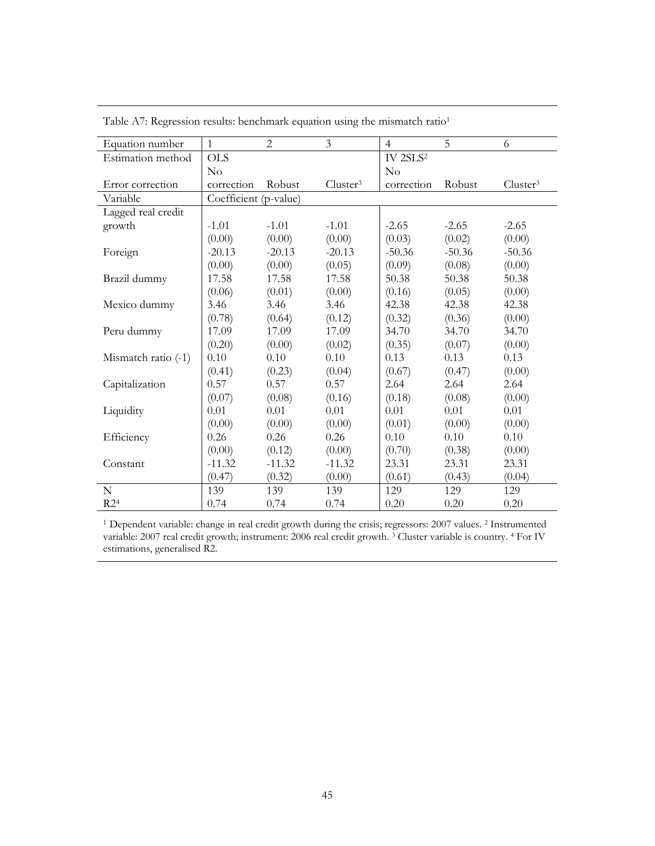| Equation number     | $\mathbf{1}$          | $\overline{2}$ | $\overline{3}$       | $\overline{4}$       | 5        | 6                    |
|---------------------|-----------------------|----------------|----------------------|----------------------|----------|----------------------|
| Estimation method   | <b>OLS</b>            |                |                      | IV 2SLS <sup>2</sup> |          |                      |
|                     | No                    |                |                      | $\rm No$             |          |                      |
| Error correction    | correction            | Robust         | Cluster <sup>3</sup> | correction           | Robust   | Cluster <sup>3</sup> |
| Variable            | Coefficient (p-value) |                |                      |                      |          |                      |
| Lagged real credit  |                       |                |                      |                      |          |                      |
| growth              | $-1.01$               | $-1.01$        | $-1.01$              | $-2.65$              | $-2.65$  | $-2.65$              |
|                     | (0.00)                | (0.00)         | (0.00)               | (0.03)               | (0.02)   | (0.00)               |
| Foreign             | $-20.13$              | $-20.13$       | $-20.13$             | $-50.36$             | $-50.36$ | $-50.36$             |
|                     | (0.00)                | (0.00)         | (0.05)               | (0.09)               | (0.08)   | (0.00)               |
| Brazil dummy        | 17.58                 | 17.58          | 17.58                | 50.38                | 50.38    | 50.38                |
|                     | (0.06)                | (0.01)         | (0.00)               | (0.16)               | (0.05)   | (0.00)               |
| Mexico dummy        | 3.46                  | 3.46           | 3.46                 | 42.38                | 42.38    | 42.38                |
|                     | (0.78)                | (0.64)         | (0.12)               | (0.32)               | (0.36)   | (0.00)               |
| Peru dummy          | 17.09                 | 17.09          | 17.09                | 34.70                | 34.70    | 34.70                |
|                     | (0.20)                | (0.00)         | (0.02)               | (0.35)               | (0.07)   | (0.00)               |
| Mismatch ratio (-1) | $0.10\,$              | $0.10\,$       | 0.10                 | 0.13                 | 0.13     | 0.13                 |
|                     | (0.41)                | (0.23)         | (0.04)               | (0.67)               | (0.47)   | (0.00)               |
| Capitalization      | 0.57                  | 0.57           | 0.57                 | 2.64                 | 2.64     | 2.64                 |
|                     | (0.07)                | (0.08)         | (0.16)               | (0.18)               | (0.08)   | (0.00)               |
| Liquidity           | 0.01                  | $0.01\,$       | 0.01                 | 0.01                 | 0.01     | 0.01                 |
|                     | (0.00)                | (0.00)         | (0.00)               | (0.01)               | (0.00)   | (0.00)               |
| Efficiency          | 0.26                  | 0.26           | 0.26                 | 0.10                 | 0.10     | 0.10                 |
|                     | (0.00)                | (0.12)         | (0.00)               | (0.70)               | (0.38)   | (0.00)               |
| Constant            | $-11.32$              | $-11.32$       | $-11.32$             | 23.31                | 23.31    | 23.31                |
|                     | (0.47)                | (0.32)         | (0.00)               | (0.61)               | (0.43)   | (0.04)               |
| $\mathbf N$         | 139                   | 139            | 139                  | 129                  | 129      | 129                  |
| R2 <sup>4</sup>     | 0.74                  | 0.74           | 0.74                 | 0.20                 | 0.20     | 0.20                 |

Table A7: Regression results: benchmark equation using the mismatch ratio<sup>1</sup>

<sup>1</sup> Dependent variable: change in real credit growth during the crisis; regressors: 2007 values. <sup>2</sup> Instrumented variable: 2007 real credit growth; instrument: 2006 real credit growth. <sup>3</sup> Cluster variable is country. <sup>4</sup> For IV estimations, generalised R2.